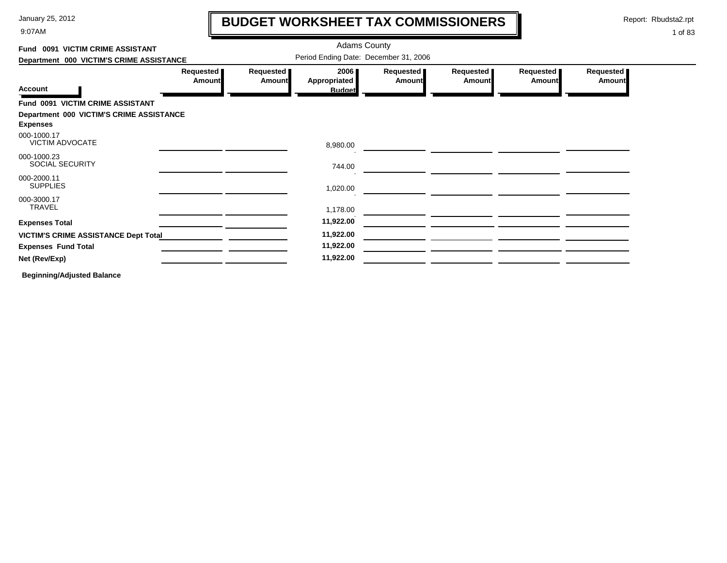9:07AM

# **BUDGET WORKSHEET TAX COMMISSIONERS**

Report: Rbudsta2.rpt

1 of 83

#### Adams County **Fund 0091 VICTIM CRIME ASSISTANT**Period Ending Date: December 31, 2006 **Department 000 VICTIM'S CRIME ASSISTANCE Requested Requested Requested Requested Requested Requested 2006 AmountAppropriated AmountAmount Amount Amount Amount Account Budget Fund 0091 VICTIM CRIME ASSISTANT Department 000 VICTIM'S CRIME ASSISTANCE Expenses** 000-1000.17VICTIM ADVOCATE 8,980.00 000-1000.23SOCIAL SECURITY 744.00 000-2000.11SUPPLIES 1,020.00 000-3000.17TRAVEL 1,178.00 **Expenses Total 11,922.00 VICTIM'S CRIME ASSISTANCE Dept Total 11,922.00 Expenses Fund Total 11,922.00 Net (Rev/Exp) 11,922.00**

**Beginning/Adjusted Balance**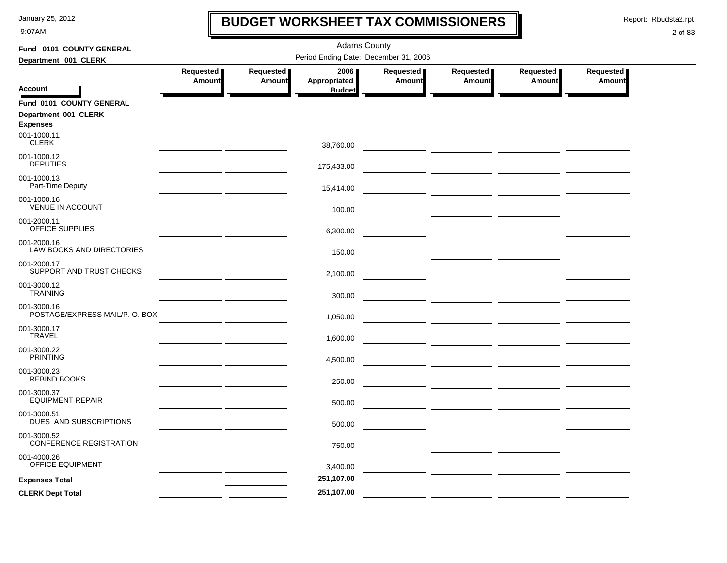9:07AM

### **BUDGET WORKSHEET TAX COMMISSIONERS**

Report: Rbudsta2.rpt

 $\mathbf l$ 

| Fund 0101 COUNTY GENERAL                      | <b>Adams County</b>                   |               |                               |               |                                 |           |               |  |  |
|-----------------------------------------------|---------------------------------------|---------------|-------------------------------|---------------|---------------------------------|-----------|---------------|--|--|
| Department 001 CLERK                          | Period Ending Date: December 31, 2006 |               |                               |               |                                 |           |               |  |  |
|                                               | Requested                             | Requested     | 2006                          | Requested     | Requested                       | Requested | Requested     |  |  |
| <b>Account</b>                                | Amount                                | <b>Amount</b> | Appropriated<br><b>Budget</b> | <b>Amount</b> | <b>Amount</b>                   | Amount    | <b>Amount</b> |  |  |
| Fund 0101 COUNTY GENERAL                      |                                       |               |                               |               |                                 |           |               |  |  |
| Department 001 CLERK                          |                                       |               |                               |               |                                 |           |               |  |  |
| <b>Expenses</b><br>001-1000.11                |                                       |               |                               |               |                                 |           |               |  |  |
| <b>CLERK</b>                                  |                                       |               | 38,760.00                     |               |                                 |           |               |  |  |
| 001-1000.12                                   |                                       |               |                               |               |                                 |           |               |  |  |
| <b>DEPUTIES</b>                               |                                       |               | 175,433.00                    |               |                                 |           |               |  |  |
| 001-1000.13<br>Part-Time Deputy               |                                       |               |                               |               |                                 |           |               |  |  |
| 001-1000.16                                   |                                       |               | 15,414.00                     |               |                                 |           |               |  |  |
| <b>VENUE IN ACCOUNT</b>                       |                                       |               | 100.00                        |               |                                 |           |               |  |  |
| 001-2000.11                                   |                                       |               |                               |               |                                 |           |               |  |  |
| OFFICE SUPPLIES                               |                                       |               | 6,300.00                      |               |                                 |           |               |  |  |
| 001-2000.16<br>LAW BOOKS AND DIRECTORIES      |                                       |               |                               |               |                                 |           |               |  |  |
| 001-2000.17                                   |                                       |               | 150.00                        |               |                                 |           |               |  |  |
| SUPPORT AND TRUST CHECKS                      |                                       |               | 2,100.00                      |               |                                 |           |               |  |  |
| 001-3000.12                                   |                                       |               |                               |               |                                 |           |               |  |  |
| <b>TRAINING</b>                               |                                       |               | 300.00                        |               |                                 |           |               |  |  |
| 001-3000.16<br>POSTAGE/EXPRESS MAIL/P. O. BOX |                                       |               |                               |               |                                 |           |               |  |  |
| 001-3000.17                                   |                                       |               | 1,050.00                      |               |                                 |           |               |  |  |
| <b>TRAVEL</b>                                 |                                       |               | 1,600.00                      |               |                                 |           |               |  |  |
| 001-3000.22                                   |                                       |               |                               |               |                                 |           |               |  |  |
| <b>PRINTING</b>                               |                                       |               | 4,500.00                      |               |                                 |           |               |  |  |
| 001-3000.23<br><b>REBIND BOOKS</b>            |                                       |               |                               |               |                                 |           |               |  |  |
| 001-3000.37                                   |                                       |               | 250.00                        |               | <u> Alexandria (Alexandria)</u> |           |               |  |  |
| <b>EQUIPMENT REPAIR</b>                       |                                       |               | 500.00                        |               |                                 |           |               |  |  |
| 001-3000.51                                   |                                       |               |                               |               |                                 |           |               |  |  |
| DUES AND SUBSCRIPTIONS                        |                                       |               | 500.00                        |               |                                 |           |               |  |  |
| 001-3000.52<br><b>CONFERENCE REGISTRATION</b> |                                       |               | 750.00                        |               | — <u>— — — — — — — — — —</u>    |           |               |  |  |
| 001-4000.26                                   |                                       |               |                               |               |                                 |           |               |  |  |
| OFFICE EQUIPMENT                              |                                       |               | 3,400.00                      |               |                                 |           |               |  |  |
| <b>Expenses Total</b>                         |                                       |               | 251,107.00                    |               |                                 |           |               |  |  |
| <b>CLERK Dept Total</b>                       |                                       |               | 251,107.00                    |               |                                 |           |               |  |  |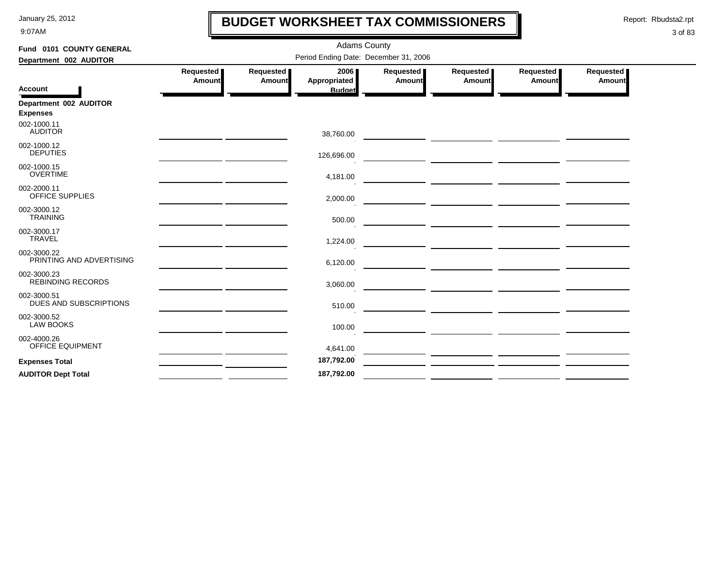9:07AM

### **BUDGET WORKSHEET TAX COMMISSIONERS**

Report: Rbudsta2.rpt

 $\mathbf l$ 

| Fund 0101 COUNTY GENERAL                  |                     |                     | <b>Adams County</b>                   |                     |                                                                                                                       |                       |                            |
|-------------------------------------------|---------------------|---------------------|---------------------------------------|---------------------|-----------------------------------------------------------------------------------------------------------------------|-----------------------|----------------------------|
| Department 002 AUDITOR                    |                     |                     | Period Ending Date: December 31, 2006 |                     |                                                                                                                       |                       |                            |
| <b>Account</b>                            | Requested<br>Amount | Requested<br>Amount | 2006<br>Appropriated<br><b>Budget</b> | Requested<br>Amount | Requested<br><b>Amount</b>                                                                                            | Requested  <br>Amount | Requested<br><b>Amount</b> |
| Department 002 AUDITOR<br><b>Expenses</b> |                     |                     |                                       |                     |                                                                                                                       |                       |                            |
| 002-1000.11<br><b>AUDITOR</b>             |                     |                     | 38,760.00                             |                     |                                                                                                                       |                       |                            |
| 002-1000.12<br><b>DEPUTIES</b>            |                     |                     | 126,696.00                            |                     | <u> The Common Section of the Common Section of the Common Section of the Common Section of the Common Section of</u> |                       |                            |
| 002-1000.15<br><b>OVERTIME</b>            |                     |                     | 4,181.00                              |                     |                                                                                                                       |                       |                            |
| 002-2000.11<br>OFFICE SUPPLIES            |                     |                     | 2,000.00                              |                     |                                                                                                                       |                       |                            |
| 002-3000.12<br><b>TRAINING</b>            |                     |                     | 500.00                                |                     | <u> 1989 - John Harry Harry Harry Harry Harry Harry Harry Harry Harry Harry Harry Harry Harry Harry Harry Harry H</u> |                       |                            |
| 002-3000.17<br><b>TRAVEL</b>              |                     |                     | 1,224.00                              |                     |                                                                                                                       |                       |                            |
| 002-3000.22<br>PRINTING AND ADVERTISING   |                     |                     | 6,120.00                              |                     | <u> La provincia de la contrada de la contrada de la contrada de la contrada de la contrada de la contrada de la</u>  |                       |                            |
| 002-3000.23<br><b>REBINDING RECORDS</b>   |                     |                     | 3,060.00                              |                     | <u> 1999 - John Harry Harry Harry Harry Harry Harry Harry Harry Harry Harry Harry Harry Harry Harry Harry Harry H</u> |                       |                            |
| 002-3000.51<br>DUES AND SUBSCRIPTIONS     |                     |                     | 510.00                                |                     |                                                                                                                       |                       |                            |
| 002-3000.52<br><b>LAW BOOKS</b>           |                     |                     | 100.00                                |                     |                                                                                                                       |                       |                            |
| 002-4000.26<br>OFFICE EQUIPMENT           |                     |                     | 4,641.00                              |                     |                                                                                                                       |                       |                            |
| <b>Expenses Total</b>                     |                     |                     | 187,792.00                            |                     |                                                                                                                       |                       |                            |
| <b>AUDITOR Dept Total</b>                 |                     |                     | 187,792.00                            |                     |                                                                                                                       |                       |                            |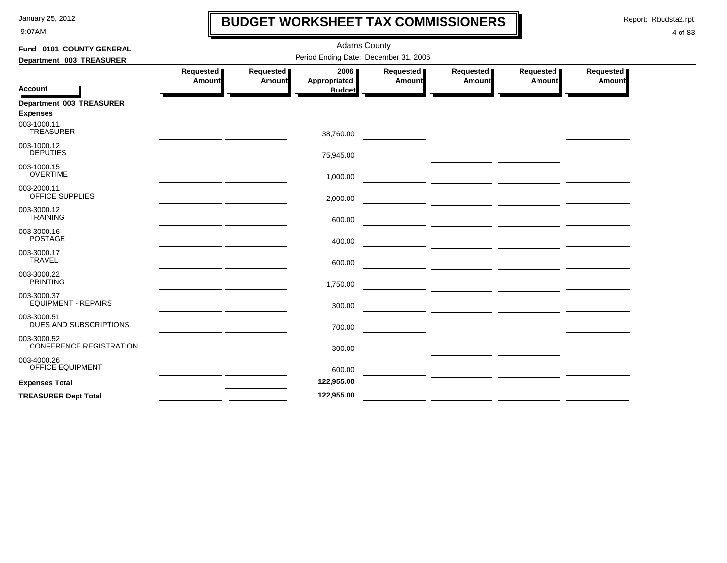9:07AM

### **BUDGET WORKSHEET TAX COMMISSIONERS**

Report: Rbudsta2.rpt

 $\mathbf l$ 

| Fund 0101 COUNTY GENERAL                      |                            |                     | <b>Adams County</b>                   |                     |                                                                                                                       |                            |                     |
|-----------------------------------------------|----------------------------|---------------------|---------------------------------------|---------------------|-----------------------------------------------------------------------------------------------------------------------|----------------------------|---------------------|
| Department 003 TREASURER                      |                            |                     | Period Ending Date: December 31, 2006 |                     |                                                                                                                       |                            |                     |
|                                               | Requested<br><b>Amount</b> | Requested<br>Amount | 2006<br>Appropriated                  | Requested<br>Amount | Requested<br><b>Amount</b>                                                                                            | Requested<br><b>Amount</b> | Requested<br>Amount |
| <b>Account</b>                                |                            |                     | <b>Budget</b>                         |                     |                                                                                                                       |                            |                     |
| Department 003 TREASURER<br><b>Expenses</b>   |                            |                     |                                       |                     |                                                                                                                       |                            |                     |
| 003-1000.11<br>TREASURER                      |                            |                     | 38,760.00                             |                     |                                                                                                                       |                            |                     |
| 003-1000.12<br><b>DEPUTIES</b>                |                            |                     | 75,945.00                             |                     | <u> 1990 - John Harry Harrison, politik eta politik eta politikaria (h. 1905).</u>                                    |                            |                     |
| 003-1000.15<br><b>OVERTIME</b>                |                            |                     | 1,000.00                              |                     |                                                                                                                       |                            |                     |
| 003-2000.11<br>OFFICE SUPPLIES                |                            |                     | 2,000.00                              |                     |                                                                                                                       |                            |                     |
| 003-3000.12<br><b>TRAINING</b>                |                            |                     | 600.00                                |                     |                                                                                                                       |                            |                     |
| 003-3000.16<br><b>POSTAGE</b>                 |                            |                     | 400.00                                |                     |                                                                                                                       |                            |                     |
| 003-3000.17<br><b>TRAVEL</b>                  |                            |                     | 600.00                                |                     |                                                                                                                       |                            |                     |
| 003-3000.22<br><b>PRINTING</b>                |                            |                     | 1,750.00                              |                     |                                                                                                                       |                            |                     |
| 003-3000.37<br><b>EQUIPMENT - REPAIRS</b>     |                            |                     | 300.00                                |                     | <u>  La provincia de la provincia de la provincia de la provincia de la provincia de la provincia de la provincia</u> |                            |                     |
| 003-3000.51<br>DUES AND SUBSCRIPTIONS         |                            |                     | 700.00                                |                     |                                                                                                                       |                            |                     |
| 003-3000.52<br><b>CONFERENCE REGISTRATION</b> |                            |                     | 300.00                                |                     |                                                                                                                       |                            |                     |
| 003-4000.26<br>OFFICE EQUIPMENT               |                            |                     | 600.00                                |                     |                                                                                                                       |                            |                     |
| <b>Expenses Total</b>                         |                            |                     | 122,955.00                            |                     |                                                                                                                       |                            |                     |
| <b>TREASURER Dept Total</b>                   |                            |                     | 122,955.00                            |                     |                                                                                                                       |                            |                     |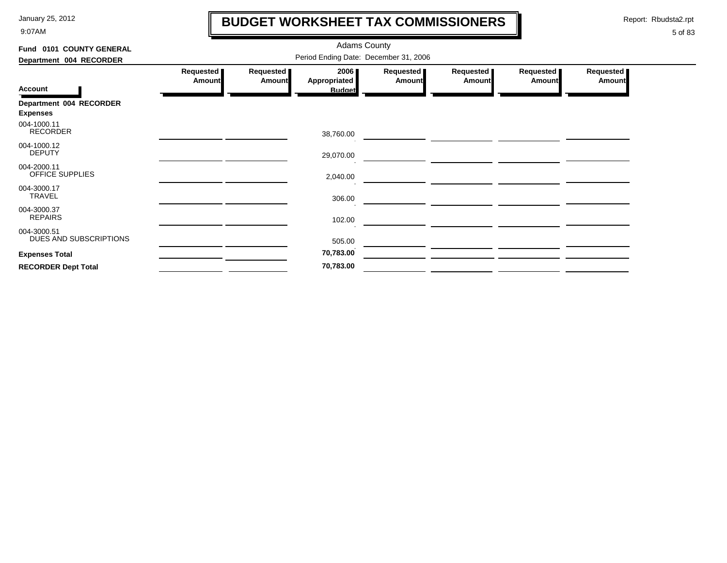9:07AM

# **BUDGET WORKSHEET TAX COMMISSIONERS**

Report: Rbudsta2.rpt

 $\mathbf l$ 

| Fund 0101 COUNTY GENERAL              |                                       |                              | <b>Adams County</b>         |                     |                              |                       |                            |  |  |  |
|---------------------------------------|---------------------------------------|------------------------------|-----------------------------|---------------------|------------------------------|-----------------------|----------------------------|--|--|--|
| Department 004 RECORDER               | Period Ending Date: December 31, 2006 |                              |                             |                     |                              |                       |                            |  |  |  |
|                                       | Requested<br><b>Amount</b>            | <b>Requested</b> ■<br>Amount | 2006<br><b>Appropriated</b> | Requested<br>Amount | Requested  <br><b>Amount</b> | Requested  <br>Amount | Requested<br><b>Amount</b> |  |  |  |
| <b>Account</b>                        |                                       |                              | <b>Budget</b>               |                     |                              |                       |                            |  |  |  |
| Department 004 RECORDER               |                                       |                              |                             |                     |                              |                       |                            |  |  |  |
| <b>Expenses</b>                       |                                       |                              |                             |                     |                              |                       |                            |  |  |  |
| 004-1000.11<br><b>RECORDER</b>        |                                       |                              | 38,760.00                   |                     |                              |                       |                            |  |  |  |
| 004-1000.12<br><b>DEPUTY</b>          |                                       |                              | 29,070.00                   |                     |                              |                       |                            |  |  |  |
| 004-2000.11<br>OFFICE SUPPLIES        |                                       |                              | 2,040.00                    |                     |                              |                       |                            |  |  |  |
| 004-3000.17<br><b>TRAVEL</b>          |                                       |                              | 306.00                      |                     |                              |                       |                            |  |  |  |
| 004-3000.37<br><b>REPAIRS</b>         |                                       |                              | 102.00                      |                     |                              |                       |                            |  |  |  |
| 004-3000.51<br>DUES AND SUBSCRIPTIONS |                                       |                              | 505.00                      |                     |                              |                       |                            |  |  |  |
| <b>Expenses Total</b>                 |                                       |                              | 70,783.00                   |                     |                              |                       |                            |  |  |  |
| <b>RECORDER Dept Total</b>            |                                       |                              | 70,783.00                   |                     |                              |                       |                            |  |  |  |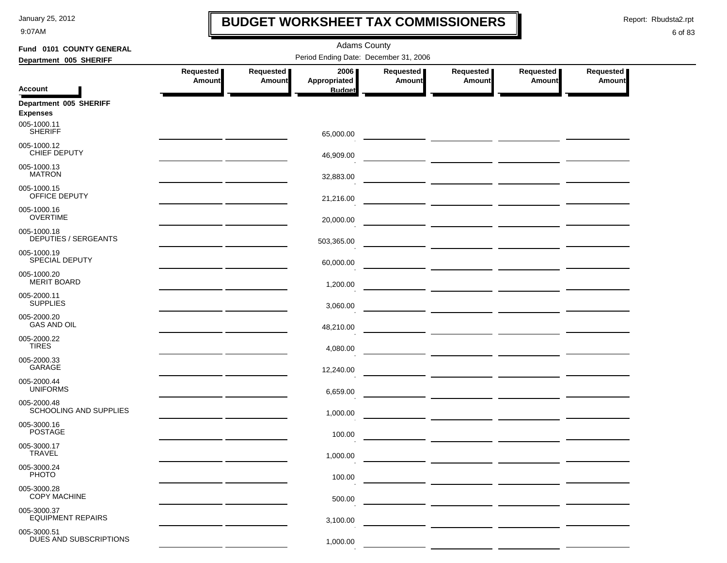9:07AM

### **BUDGET WORKSHEET TAX COMMISSIONERS**

Report: Rbudsta2.rpt

 $\mathbf l$ 

| Fund 0101 COUNTY GENERAL                   | <b>Adams County</b>                                                                                                    |                            |                                       |                            |                                      |                            |                                   |  |  |  |
|--------------------------------------------|------------------------------------------------------------------------------------------------------------------------|----------------------------|---------------------------------------|----------------------------|--------------------------------------|----------------------------|-----------------------------------|--|--|--|
| Department 005 SHERIFF                     |                                                                                                                        |                            | Period Ending Date: December 31, 2006 |                            |                                      |                            |                                   |  |  |  |
|                                            | Requested  <br>Amount                                                                                                  | Requested<br><b>Amount</b> | 2006<br>Appropriated                  | Requested<br><b>Amount</b> | Requested  <br><b>Amount</b>         | Requested<br><b>Amount</b> | <b>Requested</b><br><b>Amount</b> |  |  |  |
| <b>Account</b>                             |                                                                                                                        |                            | <b>Budget</b>                         |                            |                                      |                            |                                   |  |  |  |
| Department 005 SHERIFF<br><b>Expenses</b>  |                                                                                                                        |                            |                                       |                            |                                      |                            |                                   |  |  |  |
| 005-1000.11<br><b>SHERIFF</b>              |                                                                                                                        |                            | 65,000.00                             |                            |                                      |                            |                                   |  |  |  |
| 005-1000.12<br>CHIEF DEPUTY                |                                                                                                                        |                            | 46,909.00                             |                            |                                      |                            |                                   |  |  |  |
| 005-1000.13<br><b>MATRON</b>               |                                                                                                                        |                            | 32,883.00                             |                            |                                      |                            |                                   |  |  |  |
| 005-1000.15<br>OFFICE DEPUTY               |                                                                                                                        |                            | 21,216.00                             |                            |                                      |                            |                                   |  |  |  |
| 005-1000.16<br><b>OVERTIME</b>             |                                                                                                                        |                            | 20,000.00                             |                            |                                      |                            |                                   |  |  |  |
| 005-1000.18<br><b>DEPUTIES / SERGEANTS</b> | <u> 1990 - John Harry Barn, mars and de la partie de la partie de la partie de la partie de la partie de la partie</u> |                            | 503,365.00                            |                            |                                      |                            |                                   |  |  |  |
| 005-1000.19<br><b>SPECIAL DEPUTY</b>       | <u> 1989 - Johann Barn, amerikansk politiker</u>                                                                       |                            | 60,000.00                             |                            |                                      |                            |                                   |  |  |  |
| 005-1000.20<br><b>MERIT BOARD</b>          | <u> 1989 - Johann Harry Harry Harry Harry Harry Harry Harry Harry Harry Harry Harry Harry Harry Harry Harry Harry</u>  |                            | 1,200.00                              |                            |                                      |                            |                                   |  |  |  |
| 005-2000.11<br><b>SUPPLIES</b>             | <u> 1980 - Johann John Stein, mars ar yn y brenin y brenin y brenin y brenin y brenin y brenin y brenin y brenin</u>   |                            | 3,060.00                              |                            |                                      |                            |                                   |  |  |  |
| 005-2000.20<br><b>GAS AND OIL</b>          |                                                                                                                        |                            | 48,210.00                             |                            |                                      |                            |                                   |  |  |  |
| 005-2000.22<br><b>TIRES</b>                |                                                                                                                        |                            | 4,080.00                              |                            |                                      |                            |                                   |  |  |  |
| 005-2000.33<br>GARAGE                      |                                                                                                                        |                            | 12,240.00                             |                            |                                      |                            |                                   |  |  |  |
| 005-2000.44<br><b>UNIFORMS</b>             |                                                                                                                        |                            | 6,659.00                              |                            |                                      |                            |                                   |  |  |  |
| 005-2000.48<br>SCHOOLING AND SUPPLIES      |                                                                                                                        |                            | 1,000.00                              |                            |                                      |                            |                                   |  |  |  |
| 005-3000.16<br><b>POSTAGE</b>              |                                                                                                                        |                            | 100.00                                |                            | ____ ____________ ______________ ___ |                            |                                   |  |  |  |
| 005-3000.17<br><b>IRAVEL</b>               |                                                                                                                        |                            | 1,000.00                              |                            |                                      |                            |                                   |  |  |  |
| 005-3000.24<br><b>PHOTO</b>                |                                                                                                                        |                            | 100.00                                |                            |                                      |                            |                                   |  |  |  |
| 005-3000.28<br><b>COPY MACHINE</b>         |                                                                                                                        |                            | 500.00                                |                            |                                      |                            |                                   |  |  |  |
| 005-3000.37<br><b>EQUIPMENT REPAIRS</b>    |                                                                                                                        |                            | 3,100.00                              |                            |                                      |                            |                                   |  |  |  |
| 005-3000.51<br>DUES AND SUBSCRIPTIONS      |                                                                                                                        |                            | 1,000.00                              |                            |                                      |                            |                                   |  |  |  |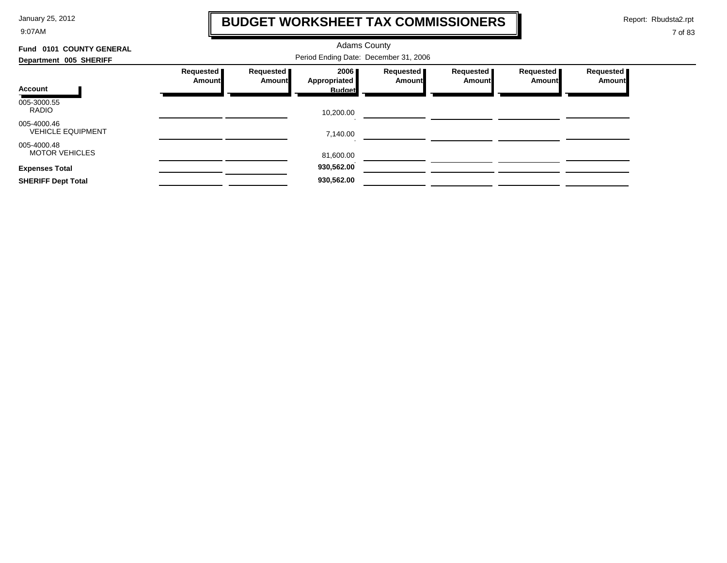9:07AM

### **BUDGET WORKSHEET TAX COMMISSIONERS**

Report: Rbudsta2.rpt

 $\mathbf \mathbf I$ 

| Fund 0101 COUNTY GENERAL                |                            |                     |                      |                     |                       |                     |                            |
|-----------------------------------------|----------------------------|---------------------|----------------------|---------------------|-----------------------|---------------------|----------------------------|
| Department 005 SHERIFF                  |                            |                     |                      |                     |                       |                     |                            |
|                                         | Requested<br><b>Amount</b> | Requested<br>Amount | 2006<br>Appropriated | Requested<br>Amount | Requested  <br>Amount | Requested<br>Amount | Requested<br><b>Amount</b> |
| Account                                 |                            |                     | <b>Budget</b>        |                     |                       |                     |                            |
| 005-3000.55<br><b>RADIO</b>             |                            |                     | 10,200.00            |                     |                       |                     |                            |
| 005-4000.46<br><b>VEHICLE EQUIPMENT</b> |                            |                     | 7,140.00             |                     |                       |                     |                            |
| 005-4000.48<br><b>MOTOR VEHICLES</b>    |                            |                     | 81,600.00            |                     |                       |                     |                            |
| <b>Expenses Total</b>                   |                            |                     | 930,562.00           |                     |                       |                     |                            |
| <b>SHERIFF Dept Total</b>               |                            |                     | 930,562.00           |                     |                       |                     |                            |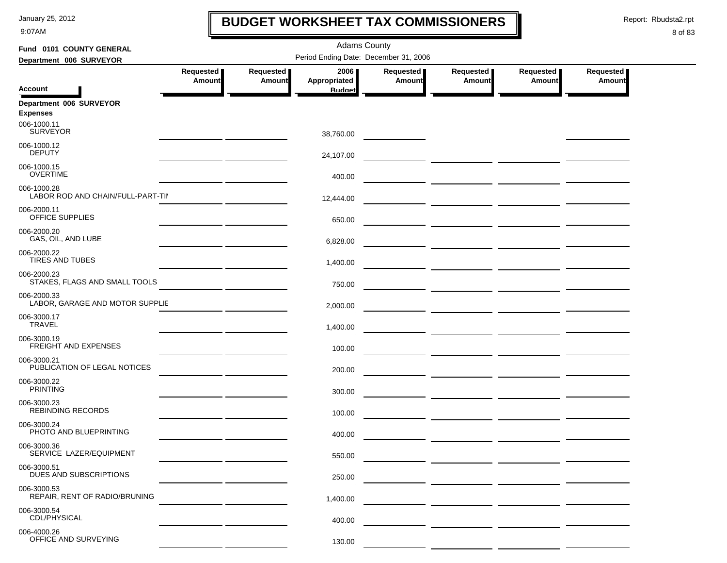9:07AM

### **BUDGET WORKSHEET TAX COMMISSIONERS**

Report: Rbudsta2.rpt

 $\mathbf I$ 

| Fund 0101 COUNTY GENERAL                         | <b>Adams County</b>        |                            |                                       |                                   |                                      |                            |                            |  |
|--------------------------------------------------|----------------------------|----------------------------|---------------------------------------|-----------------------------------|--------------------------------------|----------------------------|----------------------------|--|
| Department 006 SURVEYOR                          |                            |                            | Period Ending Date: December 31, 2006 |                                   |                                      |                            |                            |  |
|                                                  | Requested<br><b>Amount</b> | Requested<br><b>Amount</b> | 2006<br>Appropriated                  | <b>Requested</b><br><b>Amount</b> | Requested<br><b>Amount</b>           | Requested<br><b>Amount</b> | Requested<br><b>Amount</b> |  |
| <b>Account</b>                                   |                            |                            | <b>Budget</b>                         |                                   |                                      |                            |                            |  |
| Department 006 SURVEYOR<br><b>Expenses</b>       |                            |                            |                                       |                                   |                                      |                            |                            |  |
| 006-1000.11<br><b>SURVEYOR</b>                   |                            |                            | 38,760.00                             |                                   |                                      |                            |                            |  |
| 006-1000.12<br><b>DEPUTY</b>                     |                            |                            | 24,107.00                             |                                   |                                      |                            |                            |  |
| 006-1000.15<br><b>OVERTIME</b>                   |                            |                            | 400.00                                |                                   |                                      |                            |                            |  |
| 006-1000.28<br>LABOR ROD AND CHAIN/FULL-PART-TII |                            |                            | 12,444.00                             |                                   |                                      |                            |                            |  |
| 006-2000.11<br>OFFICE SUPPLIES                   |                            |                            | 650.00                                |                                   |                                      |                            |                            |  |
| 006-2000.20<br>GAS, OIL, AND LUBE                |                            |                            | 6,828.00                              |                                   |                                      |                            |                            |  |
| 006-2000.22<br><b>TIRES AND TUBES</b>            |                            |                            | 1,400.00                              |                                   |                                      |                            |                            |  |
| 006-2000.23<br>STAKES, FLAGS AND SMALL TOOLS     |                            |                            | 750.00                                |                                   |                                      |                            |                            |  |
| 006-2000.33<br>LABOR, GARAGE AND MOTOR SUPPLIE   |                            |                            | 2,000.00                              |                                   |                                      |                            |                            |  |
| 006-3000.17<br><b>TRAVEL</b>                     |                            |                            | 1,400.00                              |                                   |                                      |                            |                            |  |
| 006-3000.19<br><b>FREIGHT AND EXPENSES</b>       |                            |                            | 100.00                                |                                   |                                      |                            |                            |  |
| 006-3000.21<br>PUBLICATION OF LEGAL NOTICES      |                            |                            | 200.00                                |                                   |                                      |                            |                            |  |
| 006-3000.22<br><b>PRINTING</b>                   |                            |                            | 300.00                                |                                   |                                      |                            |                            |  |
| 006-3000.23<br>REBINDING RECORDS                 |                            |                            | 100.00                                |                                   | — <u>— — — — — — — — — — — — — —</u> |                            |                            |  |
| 006-3000.24<br>PHOTO AND BLUEPRINTING            |                            |                            | 400.00                                |                                   |                                      |                            |                            |  |
| 006-3000.36<br>SERVICE LAZER/EQUIPMENT           |                            |                            | 550.00                                |                                   |                                      |                            |                            |  |
| 006-3000.51<br>DUES AND SUBSCRIPTIONS            |                            |                            | 250.00                                |                                   |                                      |                            |                            |  |
| 006-3000.53<br>REPAIR, RENT OF RADIO/BRUNING     |                            |                            | 1,400.00                              |                                   |                                      |                            |                            |  |
| 006-3000.54<br>CDL/PHYSICAL                      |                            |                            | 400.00                                |                                   |                                      |                            |                            |  |
| 006-4000.26<br>OFFICE AND SURVEYING              |                            |                            | 130.00                                |                                   |                                      |                            |                            |  |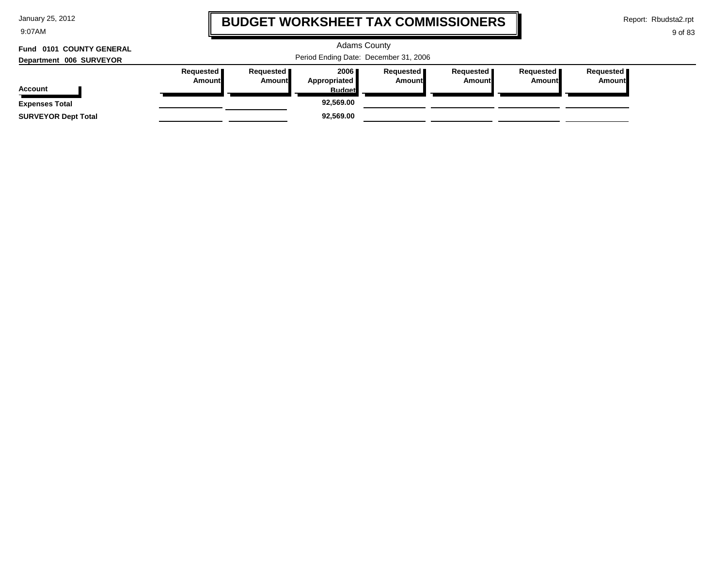| January 25, 2012 |  |  |
|------------------|--|--|
|------------------|--|--|

9:07AM

### **BUDGET WORKSHEET TAX COMMISSIONERS**

Report: Rbudsta2.rpt

9 of 83

#### Adams County Period Ending Date: December 31, 2006 **Account Department 006 SURVEYOR Fund 0101 COUNTY GENERAL Requested Amount Requested Amount 2006 Appropriated Budget Requested Amount Requested Amount Requested Amount Requested Amount Expenses Total 92,569.00 SURVEYOR Dept Total 92,569.00**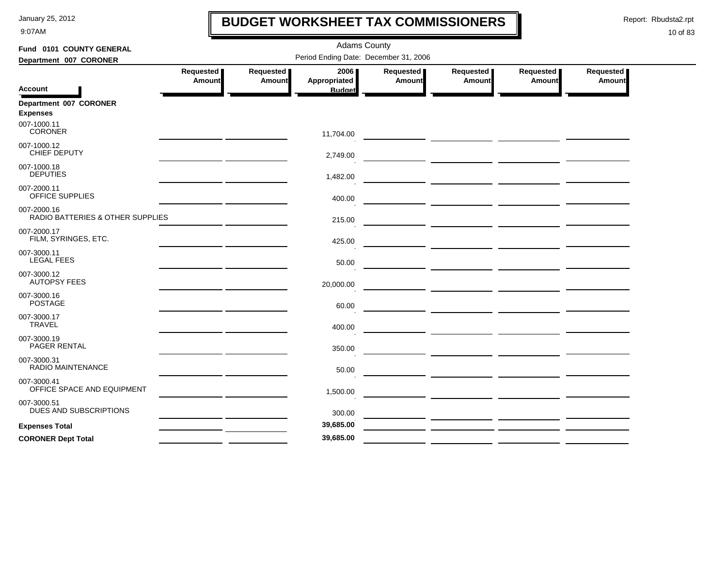9:07AM

### **BUDGET WORKSHEET TAX COMMISSIONERS**

Report: Rbudsta2.rpt

 $\mathbf l$ 

| Fund 0101 COUNTY GENERAL                        |                     |                     | <b>Adams County</b>                   |                     |                                                                                                                       |                     |                     |
|-------------------------------------------------|---------------------|---------------------|---------------------------------------|---------------------|-----------------------------------------------------------------------------------------------------------------------|---------------------|---------------------|
| Department 007 CORONER                          |                     |                     | Period Ending Date: December 31, 2006 |                     |                                                                                                                       |                     |                     |
|                                                 | Requested<br>Amount | Requested<br>Amount | 2006<br>Appropriated                  | Requested<br>Amount | Requested<br>Amount                                                                                                   | Requested<br>Amount | Requested<br>Amount |
| <b>Account</b>                                  |                     |                     | <b>Budget</b>                         |                     |                                                                                                                       |                     |                     |
| Department 007 CORONER<br><b>Expenses</b>       |                     |                     |                                       |                     |                                                                                                                       |                     |                     |
| 007-1000.11<br><b>CORONER</b>                   |                     |                     | 11,704.00                             |                     |                                                                                                                       |                     |                     |
| 007-1000.12<br><b>CHIEF DEPUTY</b>              |                     |                     | 2,749.00                              |                     |                                                                                                                       |                     |                     |
| 007-1000.18<br><b>DEPUTIES</b>                  |                     |                     | 1,482.00                              |                     |                                                                                                                       |                     |                     |
| 007-2000.11<br><b>OFFICE SUPPLIES</b>           |                     |                     | 400.00                                |                     |                                                                                                                       |                     |                     |
| 007-2000.16<br>RADIO BATTERIES & OTHER SUPPLIES |                     |                     | 215.00                                |                     | <u> 1990 - Johann Harry Harry Harry Harry Harry Harry Harry Harry Harry Harry Harry Harry Harry Harry Harry Harry</u> |                     |                     |
| 007-2000.17<br>FILM, SYRINGES, ETC.             |                     |                     | 425.00                                |                     |                                                                                                                       |                     |                     |
| 007-3000.11<br><b>LEGAL FEES</b>                |                     |                     | 50.00                                 |                     |                                                                                                                       |                     |                     |
| 007-3000.12<br><b>AUTOPSY FEES</b>              |                     |                     | 20,000.00                             |                     |                                                                                                                       |                     |                     |
| 007-3000.16<br><b>POSTAGE</b>                   |                     |                     | 60.00                                 |                     |                                                                                                                       |                     |                     |
| 007-3000.17<br><b>TRAVEL</b>                    |                     |                     | 400.00                                |                     |                                                                                                                       |                     |                     |
| 007-3000.19<br>PAGER RENTAL                     |                     |                     | 350.00                                |                     | <u> 1989 - Johann John Stone, mars and de la partie de la partie de la partie de la partie de la partie de la pa</u>  |                     |                     |
| 007-3000.31<br>RADIO MAINTENANCE                |                     |                     | 50.00                                 |                     |                                                                                                                       |                     |                     |
| 007-3000.41<br>OFFICE SPACE AND EQUIPMENT       |                     |                     | 1,500.00                              |                     |                                                                                                                       |                     |                     |
| 007-3000.51<br>DUES AND SUBSCRIPTIONS           |                     |                     | 300.00                                |                     |                                                                                                                       |                     |                     |
| <b>Expenses Total</b>                           |                     |                     | 39,685.00                             |                     | <u> 2000 - 2000 - 2000 - 2000 - 2000 - 2000 - 2000 - 2000 - 2000 - 2000 - 2000 - 2000 - 2000 - 2000 - 2000 - 200</u>  |                     |                     |
| <b>CORONER Dept Total</b>                       |                     |                     | 39,685.00                             |                     |                                                                                                                       |                     |                     |
|                                                 |                     |                     |                                       |                     |                                                                                                                       |                     |                     |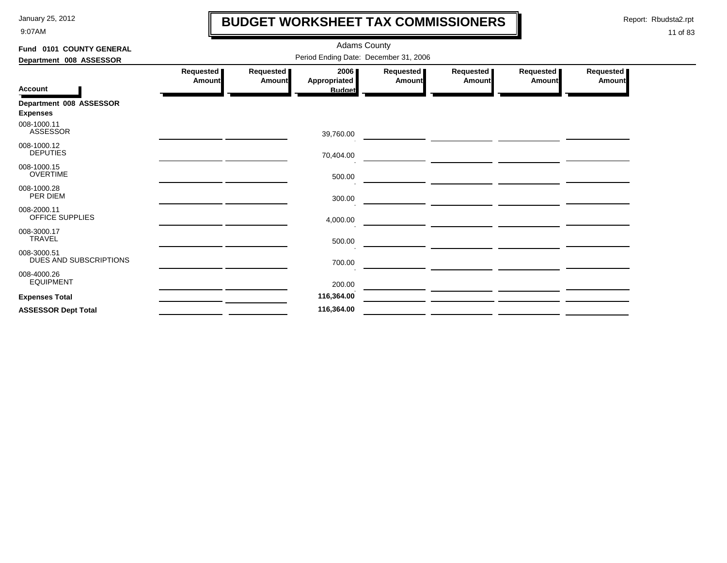9:07AM

### **BUDGET WORKSHEET TAX COMMISSIONERS**

Report: Rbudsta2.rpt

 $\mathbf l$ 

| Fund 0101 COUNTY GENERAL              | <b>Adams County</b>                   |                     |                                       |                       |                       |                     |                            |  |  |  |
|---------------------------------------|---------------------------------------|---------------------|---------------------------------------|-----------------------|-----------------------|---------------------|----------------------------|--|--|--|
| Department 008 ASSESSOR               | Period Ending Date: December 31, 2006 |                     |                                       |                       |                       |                     |                            |  |  |  |
| <b>Account</b>                        | Requested<br>Amount                   | Requested<br>Amount | 2006<br>Appropriated<br><b>Budget</b> | Requested  <br>Amount | Requested  <br>Amount | Requested<br>Amount | Requested<br><b>Amount</b> |  |  |  |
| Department 008 ASSESSOR               |                                       |                     |                                       |                       |                       |                     |                            |  |  |  |
| <b>Expenses</b>                       |                                       |                     |                                       |                       |                       |                     |                            |  |  |  |
| 008-1000.11<br><b>ASSESSOR</b>        |                                       |                     | 39,760.00                             |                       |                       |                     |                            |  |  |  |
| 008-1000.12<br><b>DEPUTIES</b>        |                                       |                     | 70,404.00                             |                       |                       |                     |                            |  |  |  |
| 008-1000.15<br><b>OVERTIME</b>        |                                       |                     | 500.00                                |                       |                       |                     |                            |  |  |  |
| 008-1000.28<br>PER DIEM               |                                       |                     | 300.00                                |                       |                       |                     |                            |  |  |  |
| 008-2000.11<br><b>OFFICE SUPPLIES</b> |                                       |                     | 4,000.00                              |                       |                       |                     |                            |  |  |  |
| 008-3000.17<br><b>TRAVEL</b>          |                                       |                     | 500.00                                |                       |                       |                     |                            |  |  |  |
| 008-3000.51<br>DUES AND SUBSCRIPTIONS |                                       |                     | 700.00                                |                       |                       |                     |                            |  |  |  |
| 008-4000.26<br><b>EQUIPMENT</b>       |                                       |                     | 200.00                                |                       |                       |                     |                            |  |  |  |
| <b>Expenses Total</b>                 |                                       |                     | 116,364.00                            |                       |                       |                     |                            |  |  |  |
| <b>ASSESSOR Dept Total</b>            |                                       |                     | 116,364.00                            |                       |                       |                     |                            |  |  |  |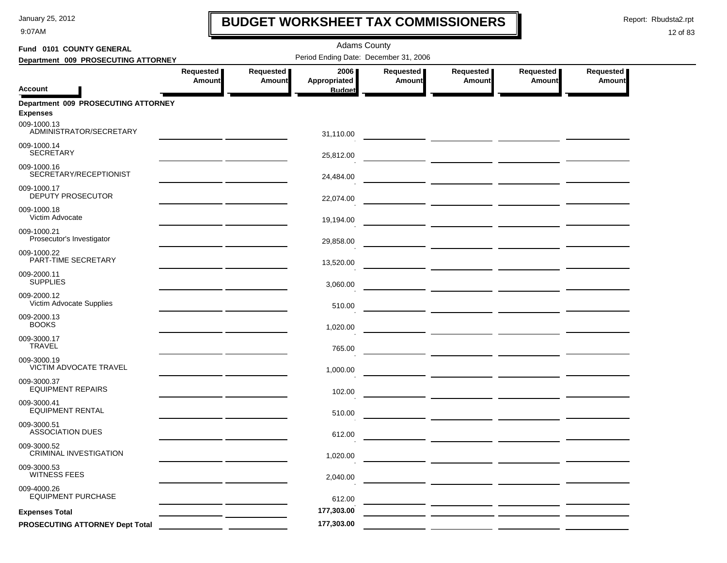9:07AM

### **BUDGET WORKSHEET TAX COMMISSIONERS**

Report: Rbudsta2.rpt

 $\mathbf I$ 

| Fund 0101 COUNTY GENERAL                               |                                                                                                                                                                                                                                      | <b>Adams County</b>        |                                       |                     |                                                 |                     |                            |  |  |  |
|--------------------------------------------------------|--------------------------------------------------------------------------------------------------------------------------------------------------------------------------------------------------------------------------------------|----------------------------|---------------------------------------|---------------------|-------------------------------------------------|---------------------|----------------------------|--|--|--|
| Department 009 PROSECUTING ATTORNEY                    |                                                                                                                                                                                                                                      |                            | Period Ending Date: December 31, 2006 |                     |                                                 |                     |                            |  |  |  |
|                                                        | Requested<br><b>Amount</b>                                                                                                                                                                                                           | Requested<br><b>Amount</b> | 2006<br>Appropriated                  | Requested<br>Amount | Requested<br>Amount                             | Requested<br>Amount | Requested<br><b>Amount</b> |  |  |  |
| Account                                                |                                                                                                                                                                                                                                      |                            | <b>Budget</b>                         |                     |                                                 |                     |                            |  |  |  |
| Department 009 PROSECUTING ATTORNEY<br><b>Expenses</b> |                                                                                                                                                                                                                                      |                            |                                       |                     |                                                 |                     |                            |  |  |  |
| 009-1000.13<br>ADMINISTRATOR/SECRETARY                 |                                                                                                                                                                                                                                      |                            | 31,110.00                             |                     |                                                 |                     |                            |  |  |  |
| 009-1000.14<br><b>SECRETARY</b>                        |                                                                                                                                                                                                                                      |                            | 25,812.00                             |                     |                                                 |                     |                            |  |  |  |
| 009-1000.16<br>SECRETARY/RECEPTIONIST                  |                                                                                                                                                                                                                                      |                            | 24,484.00                             |                     |                                                 |                     |                            |  |  |  |
| 009-1000.17<br>DEPUTY PROSECUTOR                       |                                                                                                                                                                                                                                      |                            | 22,074.00                             |                     | <u> 1989 - Johann John Stone, mars et al. (</u> |                     |                            |  |  |  |
| 009-1000.18<br>Victim Advocate                         |                                                                                                                                                                                                                                      |                            | 19,194.00                             |                     |                                                 |                     |                            |  |  |  |
| 009-1000.21<br>Prosecutor's Investigator               |                                                                                                                                                                                                                                      |                            | 29,858.00                             |                     |                                                 |                     |                            |  |  |  |
| 009-1000.22<br>PART-TIME SECRETARY                     | <u>and the company of the company of the company of the company of the company of the company of the company of the company of the company of the company of the company of the company of the company of the company of the com</u> |                            | 13,520.00                             |                     |                                                 |                     |                            |  |  |  |
| 009-2000.11<br><b>SUPPLIES</b>                         | the contract of the contract of the                                                                                                                                                                                                  |                            | 3,060.00                              |                     |                                                 |                     |                            |  |  |  |
| 009-2000.12<br>Victim Advocate Supplies                |                                                                                                                                                                                                                                      |                            | 510.00                                |                     |                                                 |                     |                            |  |  |  |
| 009-2000.13<br><b>BOOKS</b>                            |                                                                                                                                                                                                                                      |                            | 1,020.00                              |                     |                                                 |                     |                            |  |  |  |
| 009-3000.17<br><b>TRAVEL</b>                           |                                                                                                                                                                                                                                      |                            | 765.00                                |                     |                                                 |                     |                            |  |  |  |
| 009-3000.19<br><b>VICTIM ADVOCATE TRAVEL</b>           |                                                                                                                                                                                                                                      |                            | 1,000.00                              |                     |                                                 |                     |                            |  |  |  |
| 009-3000.37<br><b>EQUIPMENT REPAIRS</b>                |                                                                                                                                                                                                                                      |                            | 102.00                                |                     |                                                 |                     |                            |  |  |  |
| 009-3000.41<br><b>EQUIPMENT RENTAL</b>                 |                                                                                                                                                                                                                                      |                            | 510.00                                |                     |                                                 |                     |                            |  |  |  |
| 009-3000.51<br><b>ASSOCIATION DUES</b>                 |                                                                                                                                                                                                                                      |                            | 612.00                                |                     |                                                 |                     |                            |  |  |  |
| 009-3000.52<br><b>CRIMINAL INVESTIGATION</b>           |                                                                                                                                                                                                                                      |                            | 1,020.00                              |                     |                                                 |                     |                            |  |  |  |
| 009-3000.53<br><b>WITNESS FEES</b>                     |                                                                                                                                                                                                                                      |                            | 2,040.00                              |                     |                                                 |                     |                            |  |  |  |
| 009-4000.26<br><b>EQUIPMENT PURCHASE</b>               |                                                                                                                                                                                                                                      |                            | 612.00                                |                     |                                                 |                     |                            |  |  |  |
| <b>Expenses Total</b>                                  |                                                                                                                                                                                                                                      |                            | 177,303.00                            |                     |                                                 |                     |                            |  |  |  |
| PROSECUTING ATTORNEY Dept Total                        |                                                                                                                                                                                                                                      |                            | 177,303.00                            |                     |                                                 |                     |                            |  |  |  |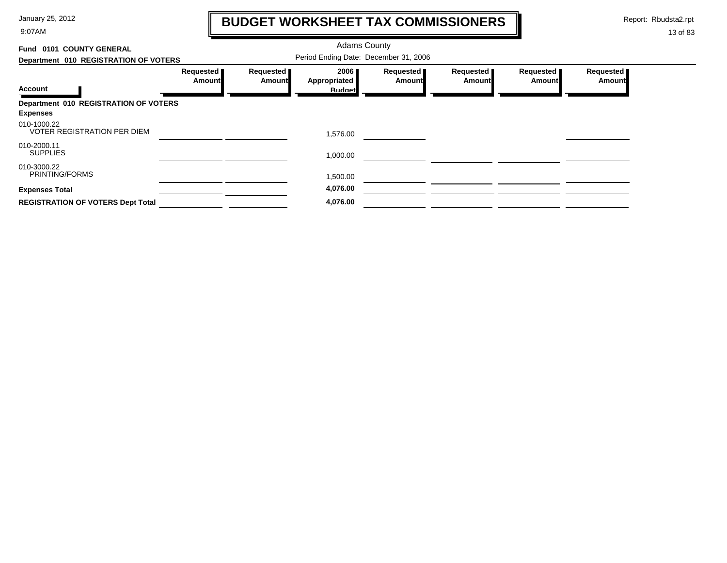9:07AM

# **BUDGET WORKSHEET TAX COMMISSIONERS**

Report: Rbudsta2.rpt

 $\mathbf \mathbf I$ 

| Fund 0101 COUNTY GENERAL                          |                                       |                              |                      |                            |                            |                            |                            |
|---------------------------------------------------|---------------------------------------|------------------------------|----------------------|----------------------------|----------------------------|----------------------------|----------------------------|
| Department 010 REGISTRATION OF VOTERS             | Period Ending Date: December 31, 2006 |                              |                      |                            |                            |                            |                            |
|                                                   | Requested<br>Amountl                  | Requested  <br><b>Amount</b> | 2006<br>Appropriated | Requested<br><b>Amount</b> | Requested<br><b>Amount</b> | Requested<br><b>Amount</b> | Requested<br><b>Amount</b> |
| <b>Account</b>                                    |                                       |                              | <b>Budget</b>        |                            |                            |                            |                            |
| Department 010 REGISTRATION OF VOTERS             |                                       |                              |                      |                            |                            |                            |                            |
| <b>Expenses</b>                                   |                                       |                              |                      |                            |                            |                            |                            |
| 010-1000.22<br><b>VOTER REGISTRATION PER DIEM</b> |                                       |                              | 1,576.00             |                            |                            |                            |                            |
| 010-2000.11<br><b>SUPPLIES</b>                    |                                       |                              | 1,000.00             |                            |                            |                            |                            |
| 010-3000.22<br>PRINTING/FORMS                     |                                       |                              | 1,500.00             |                            |                            |                            |                            |
| <b>Expenses Total</b>                             |                                       |                              | 4,076.00             |                            |                            |                            |                            |
| <b>REGISTRATION OF VOTERS Dept Total</b>          |                                       |                              | 4,076.00             |                            |                            |                            |                            |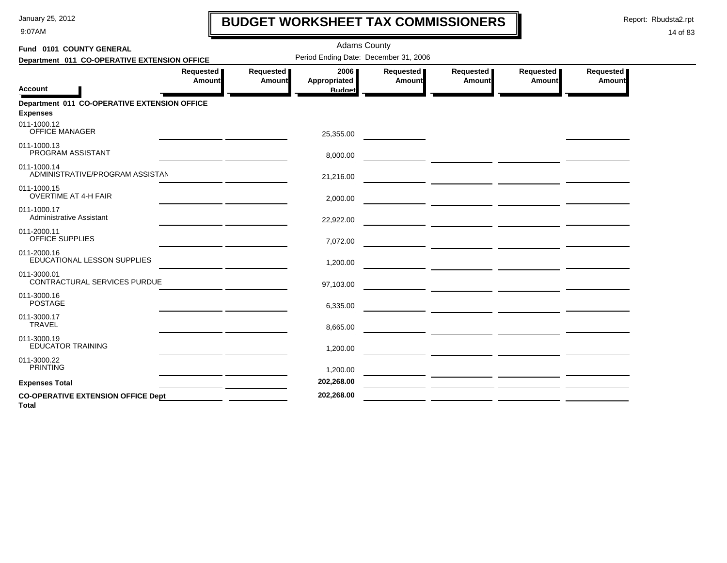9:07AM

### **BUDGET WORKSHEET TAX COMMISSIONERS**

Report: Rbudsta2.rpt

 $\mathbf l$ 

| Fund 0101 COUNTY GENERAL                                        |                            |                     | <b>Adams County</b>                   |                     |                     |                     |                     |
|-----------------------------------------------------------------|----------------------------|---------------------|---------------------------------------|---------------------|---------------------|---------------------|---------------------|
| Department 011 CO-OPERATIVE EXTENSION OFFICE                    |                            |                     | Period Ending Date: December 31, 2006 |                     |                     |                     |                     |
| <b>Account</b>                                                  | Requested<br><b>Amount</b> | Requested<br>Amount | 2006<br>Appropriated<br><b>Budget</b> | Requested<br>Amount | Requested<br>Amount | Requested<br>Amount | Requested<br>Amount |
| Department 011 CO-OPERATIVE EXTENSION OFFICE<br><b>Expenses</b> |                            |                     |                                       |                     |                     |                     |                     |
| 011-1000.12<br><b>OFFICE MANAGER</b>                            |                            |                     | 25,355.00                             |                     |                     |                     |                     |
| 011-1000.13<br>PROGRAM ASSISTANT                                |                            |                     | 8,000.00                              |                     |                     |                     |                     |
| 011-1000.14<br>ADMINISTRATIVE/PROGRAM ASSISTAN                  |                            |                     | 21,216.00                             |                     |                     |                     |                     |
| 011-1000.15<br><b>OVERTIME AT 4-H FAIR</b>                      |                            |                     | 2,000.00                              |                     |                     |                     |                     |
| 011-1000.17<br><b>Administrative Assistant</b>                  |                            |                     | 22,922.00                             |                     |                     |                     |                     |
| 011-2000.11<br>OFFICE SUPPLIES                                  |                            |                     | 7,072.00                              |                     |                     |                     |                     |
| 011-2000.16<br>EDUCATIONAL LESSON SUPPLIES                      |                            |                     | 1,200.00                              |                     |                     |                     |                     |
| 011-3000.01<br>CONTRACTURAL SERVICES PURDUE                     |                            |                     | 97,103.00                             |                     |                     |                     |                     |
| 011-3000.16<br><b>POSTAGE</b>                                   |                            |                     | 6,335.00                              |                     |                     |                     |                     |
| 011-3000.17<br><b>TRAVEL</b>                                    |                            |                     | 8,665.00                              |                     |                     |                     |                     |
| 011-3000.19<br><b>EDUCATOR TRAINING</b>                         |                            |                     | 1,200.00                              |                     |                     |                     |                     |
| 011-3000.22<br><b>PRINTING</b>                                  |                            |                     | 1,200.00                              |                     |                     |                     |                     |
| <b>Expenses Total</b>                                           |                            |                     | 202,268.00                            |                     |                     |                     |                     |
| <b>CO-OPERATIVE EXTENSION OFFICE Dept</b><br><b>Total</b>       |                            |                     | 202,268.00                            |                     |                     |                     |                     |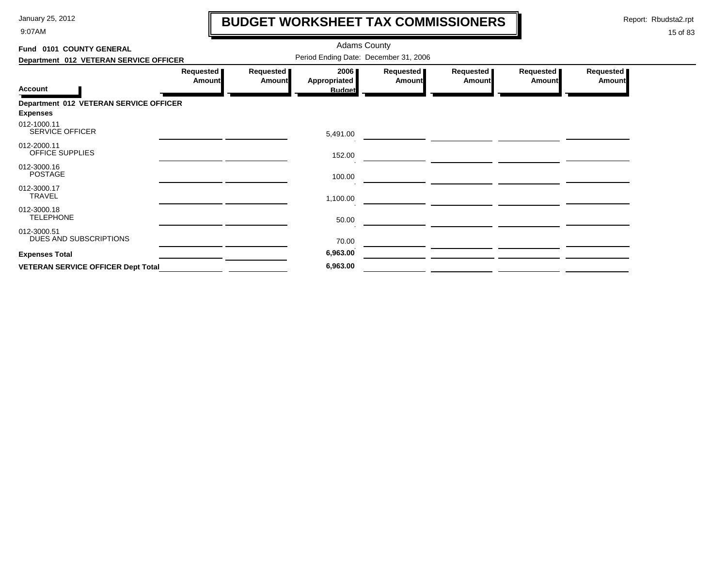9:07AM

# **BUDGET WORKSHEET TAX COMMISSIONERS**

Report: Rbudsta2.rpt

 $\mathbf l$ 

| Fund 0101 COUNTY GENERAL                  |                     |                            | <b>Adams County</b>                   |                            |                            |                     |                            |
|-------------------------------------------|---------------------|----------------------------|---------------------------------------|----------------------------|----------------------------|---------------------|----------------------------|
| Department 012 VETERAN SERVICE OFFICER    |                     |                            | Period Ending Date: December 31, 2006 |                            |                            |                     |                            |
| <b>Account</b>                            | Requested<br>Amount | Requested<br><b>Amount</b> | 2006<br>Appropriated<br><b>Budget</b> | Requested<br><b>Amount</b> | Requested<br><b>Amount</b> | Requested<br>Amount | Requested<br><b>Amount</b> |
| Department 012 VETERAN SERVICE OFFICER    |                     |                            |                                       |                            |                            |                     |                            |
| <b>Expenses</b>                           |                     |                            |                                       |                            |                            |                     |                            |
| 012-1000.11<br>SERVICE OFFICER            |                     |                            | 5,491.00                              |                            |                            |                     |                            |
| 012-2000.11<br><b>OFFICE SUPPLIES</b>     |                     |                            | 152.00                                |                            |                            |                     |                            |
| 012-3000.16<br><b>POSTAGE</b>             |                     |                            | 100.00                                |                            |                            |                     |                            |
| 012-3000.17<br><b>TRAVEL</b>              |                     |                            | 1,100.00                              |                            |                            |                     |                            |
| 012-3000.18<br><b>TELEPHONE</b>           |                     |                            | 50.00                                 |                            |                            |                     |                            |
| 012-3000.51<br>DUES AND SUBSCRIPTIONS     |                     |                            | 70.00                                 |                            |                            |                     |                            |
| <b>Expenses Total</b>                     |                     |                            | 6,963.00                              |                            |                            |                     |                            |
| <b>VETERAN SERVICE OFFICER Dept Total</b> |                     |                            | 6,963.00                              |                            |                            |                     |                            |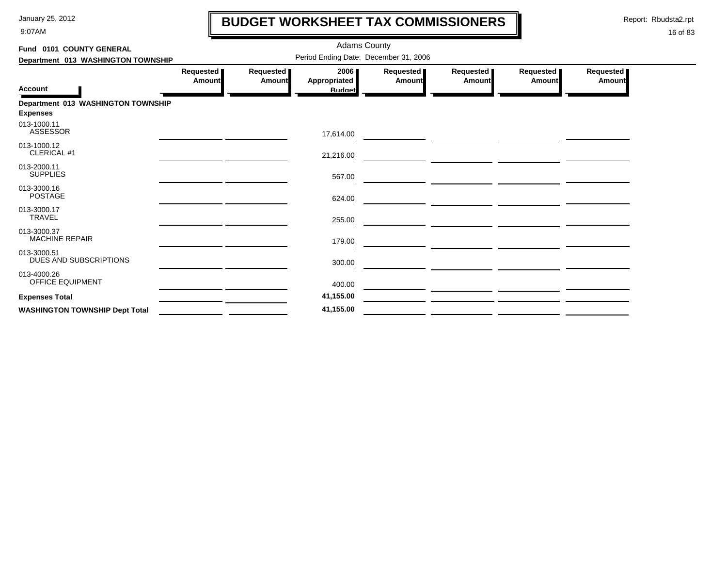9:07AM

### **BUDGET WORKSHEET TAX COMMISSIONERS**

Report: Rbudsta2.rpt

 $\mathbf \mathbf I$ 

| Fund 0101 COUNTY GENERAL               |                              |                              | <b>Adams County</b>                   |                             |                                                   |                     |                              |
|----------------------------------------|------------------------------|------------------------------|---------------------------------------|-----------------------------|---------------------------------------------------|---------------------|------------------------------|
| Department 013 WASHINGTON TOWNSHIP     |                              |                              | Period Ending Date: December 31, 2006 |                             |                                                   |                     |                              |
| <b>Account</b>                         | Requested  <br><b>Amount</b> | Requested  <br><b>Amount</b> | 2006<br>Appropriated<br><b>Budget</b> | Requested<br><b>Amountl</b> | Requested<br><b>Amount</b>                        | Requested<br>Amount | Requested  <br><b>Amount</b> |
| Department 013 WASHINGTON TOWNSHIP     |                              |                              |                                       |                             |                                                   |                     |                              |
| <b>Expenses</b>                        |                              |                              |                                       |                             |                                                   |                     |                              |
| 013-1000.11<br>ASSESSOR                |                              |                              | 17,614.00                             |                             |                                                   |                     |                              |
| 013-1000.12<br>CLERICAL #1             |                              |                              | 21,216.00                             |                             |                                                   |                     |                              |
| 013-2000.11<br><b>SUPPLIES</b>         |                              |                              | 567.00                                |                             |                                                   |                     |                              |
| 013-3000.16<br><b>POSTAGE</b>          |                              |                              | 624.00                                |                             | <u> 1989 - John Stein, amerikansk politiker (</u> |                     |                              |
| 013-3000.17<br><b>TRAVEL</b>           |                              |                              | 255.00                                |                             |                                                   |                     |                              |
| 013-3000.37<br><b>MACHINE REPAIR</b>   |                              |                              | 179.00                                |                             |                                                   |                     |                              |
| 013-3000.51<br>DUES AND SUBSCRIPTIONS  |                              |                              | 300.00                                |                             |                                                   |                     |                              |
| 013-4000.26<br><b>OFFICE EQUIPMENT</b> |                              |                              | 400.00                                |                             |                                                   |                     |                              |
| <b>Expenses Total</b>                  |                              |                              | 41,155.00                             |                             |                                                   |                     |                              |
| <b>WASHINGTON TOWNSHIP Dept Total</b>  |                              |                              | 41,155.00                             |                             |                                                   |                     |                              |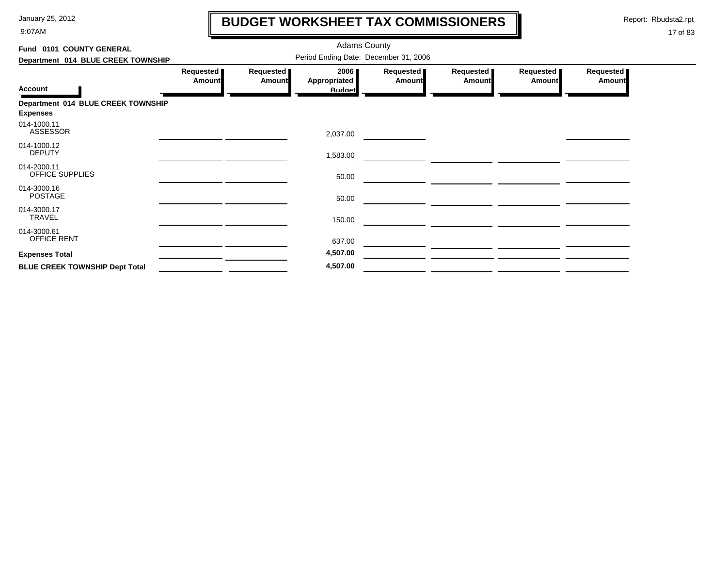9:07AM

# **BUDGET WORKSHEET TAX COMMISSIONERS**

Report: Rbudsta2.rpt

 $\mathbf l$ 

| Fund 0101 COUNTY GENERAL              |                                       |                            | <b>Adams County</b>                   |                            |                            |                            |                            |  |  |  |
|---------------------------------------|---------------------------------------|----------------------------|---------------------------------------|----------------------------|----------------------------|----------------------------|----------------------------|--|--|--|
| Department 014 BLUE CREEK TOWNSHIP    | Period Ending Date: December 31, 2006 |                            |                                       |                            |                            |                            |                            |  |  |  |
| <b>Account</b>                        | Requested<br><b>Amount</b>            | Requested<br><b>Amount</b> | 2006<br>Appropriated<br><b>Budget</b> | Requested<br><b>Amount</b> | Requested<br><b>Amount</b> | Requested<br><b>Amount</b> | Requested<br><b>Amount</b> |  |  |  |
| Department 014 BLUE CREEK TOWNSHIP    |                                       |                            |                                       |                            |                            |                            |                            |  |  |  |
| <b>Expenses</b>                       |                                       |                            |                                       |                            |                            |                            |                            |  |  |  |
| 014-1000.11<br>ASSESSOR               |                                       |                            | 2,037.00                              |                            |                            |                            |                            |  |  |  |
| 014-1000.12<br><b>DEPUTY</b>          |                                       |                            | 1,583.00                              |                            |                            |                            |                            |  |  |  |
| 014-2000.11<br>OFFICE SUPPLIES        |                                       |                            | 50.00                                 |                            |                            |                            |                            |  |  |  |
| 014-3000.16<br><b>POSTAGE</b>         |                                       |                            | 50.00                                 |                            |                            |                            |                            |  |  |  |
| 014-3000.17<br>TRAVEL                 |                                       |                            | 150.00                                |                            |                            |                            |                            |  |  |  |
| 014-3000.61<br>OFFICE RENT            |                                       |                            | 637.00                                |                            |                            |                            |                            |  |  |  |
| <b>Expenses Total</b>                 |                                       |                            | 4,507.00                              |                            |                            |                            |                            |  |  |  |
| <b>BLUE CREEK TOWNSHIP Dept Total</b> |                                       |                            | 4,507.00                              |                            |                            |                            |                            |  |  |  |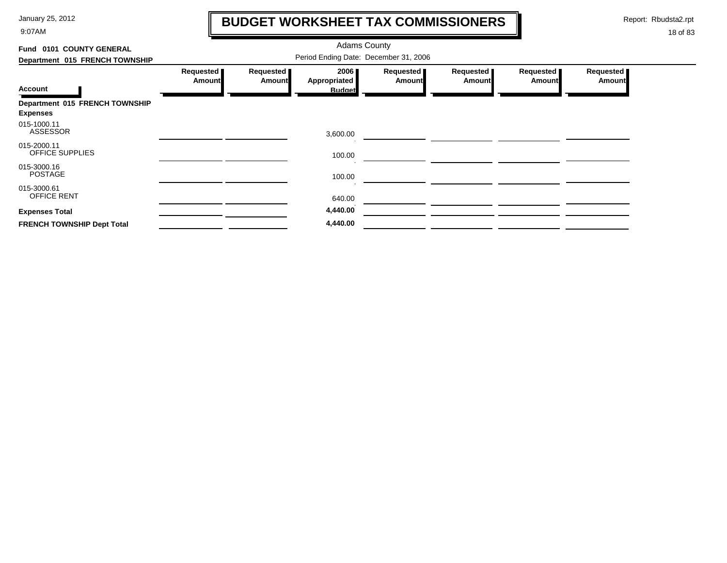9:07AM

# **BUDGET WORKSHEET TAX COMMISSIONERS**

Report: Rbudsta2.rpt

 $\mathbf l$ 

| Fund 0101 COUNTY GENERAL          | <b>Adams County</b><br>Period Ending Date: December 31, 2006 |                            |                      |                            |                            |                            |                            |  |  |  |
|-----------------------------------|--------------------------------------------------------------|----------------------------|----------------------|----------------------------|----------------------------|----------------------------|----------------------------|--|--|--|
| Department 015 FRENCH TOWNSHIP    | Requested<br>Amount                                          | Requested<br><b>Amount</b> | 2006<br>Appropriated | Requested<br><b>Amount</b> | Requested<br><b>Amount</b> | Requested<br><b>Amount</b> | Requested<br><b>Amount</b> |  |  |  |
| <b>Account</b>                    |                                                              |                            | <b>Budget</b>        |                            |                            |                            |                            |  |  |  |
| Department 015 FRENCH TOWNSHIP    |                                                              |                            |                      |                            |                            |                            |                            |  |  |  |
| <b>Expenses</b>                   |                                                              |                            |                      |                            |                            |                            |                            |  |  |  |
| 015-1000.11<br>ASSESSOR           |                                                              |                            | 3,600.00             |                            |                            |                            |                            |  |  |  |
| 015-2000.11<br>OFFICE SUPPLIES    |                                                              |                            | 100.00               |                            |                            |                            |                            |  |  |  |
| 015-3000.16<br><b>POSTAGE</b>     |                                                              |                            | 100.00               |                            |                            |                            |                            |  |  |  |
| 015-3000.61<br><b>OFFICE RENT</b> |                                                              |                            | 640.00               |                            |                            |                            |                            |  |  |  |
| <b>Expenses Total</b>             |                                                              |                            | 4,440.00             |                            |                            |                            |                            |  |  |  |
| <b>FRENCH TOWNSHIP Dept Total</b> |                                                              |                            | 4,440.00             |                            |                            |                            |                            |  |  |  |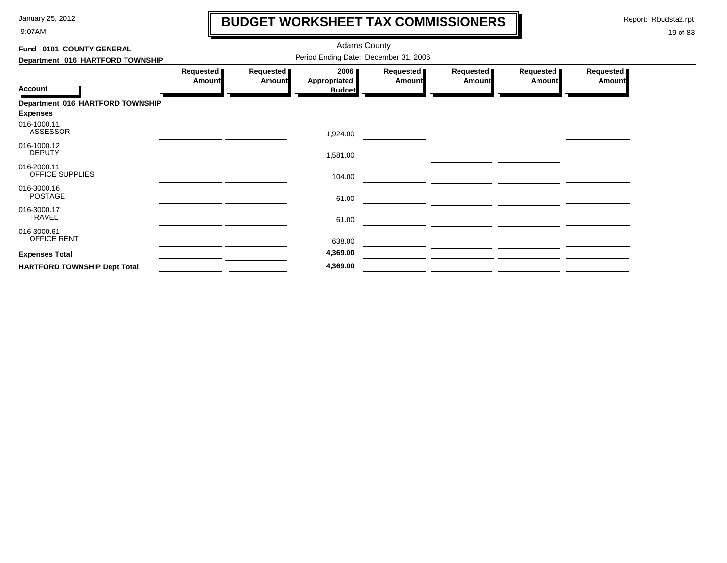9:07AM

# **BUDGET WORKSHEET TAX COMMISSIONERS**

Report: Rbudsta2.rpt

 $\mathbf l$ 

| Fund 0101 COUNTY GENERAL                            |                                       |                            | <b>Adams County</b>                   |                            |                            |                            |                            |  |  |  |  |
|-----------------------------------------------------|---------------------------------------|----------------------------|---------------------------------------|----------------------------|----------------------------|----------------------------|----------------------------|--|--|--|--|
| Department 016 HARTFORD TOWNSHIP                    | Period Ending Date: December 31, 2006 |                            |                                       |                            |                            |                            |                            |  |  |  |  |
| <b>Account</b>                                      | Requested  <br><b>Amount</b>          | Requested<br><b>Amount</b> | 2006<br>Appropriated<br><b>Budget</b> | Requested<br><b>Amount</b> | Requested<br><b>Amount</b> | Requested<br><b>Amount</b> | Requested<br><b>Amount</b> |  |  |  |  |
| Department 016 HARTFORD TOWNSHIP<br><b>Expenses</b> |                                       |                            |                                       |                            |                            |                            |                            |  |  |  |  |
| 016-1000.11<br><b>ASSESSOR</b>                      |                                       |                            | 1,924.00                              |                            |                            |                            |                            |  |  |  |  |
| 016-1000.12<br><b>DEPUTY</b>                        |                                       |                            | 1,581.00                              |                            |                            |                            |                            |  |  |  |  |
| 016-2000.11<br>OFFICE SUPPLIES                      |                                       |                            | 104.00                                |                            |                            |                            |                            |  |  |  |  |
| 016-3000.16<br><b>POSTAGE</b>                       |                                       |                            | 61.00                                 |                            |                            |                            |                            |  |  |  |  |
| 016-3000.17<br><b>TRAVEL</b>                        |                                       |                            | 61.00                                 |                            |                            |                            |                            |  |  |  |  |
| 016-3000.61<br>OFFICE RENT                          |                                       |                            | 638.00                                |                            |                            |                            |                            |  |  |  |  |
| <b>Expenses Total</b>                               |                                       |                            | 4,369.00                              |                            |                            |                            |                            |  |  |  |  |
| <b>HARTFORD TOWNSHIP Dept Total</b>                 |                                       |                            | 4,369.00                              |                            |                            |                            |                            |  |  |  |  |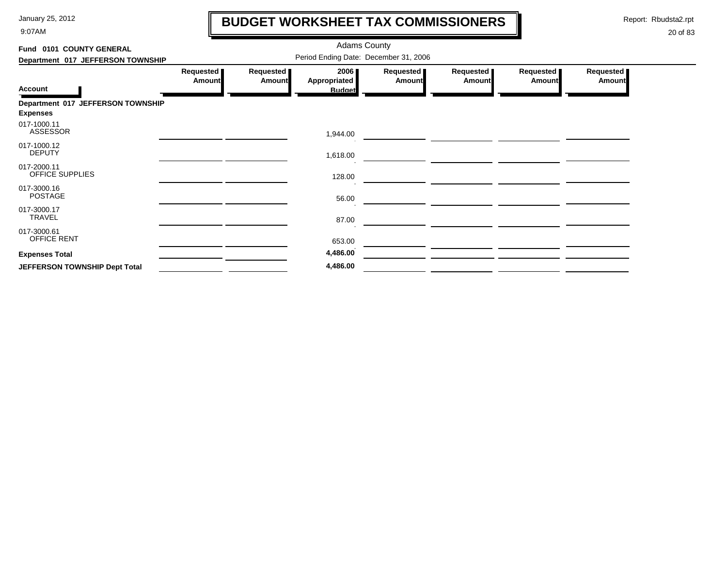9:07AM

### **BUDGET WORKSHEET TAX COMMISSIONERS**

Report: Rbudsta2.rpt

 $\mathbf l$ 

| Fund 0101 COUNTY GENERAL                             |                                       |                            | <b>Adams County</b>                   |                     |                     |                     |                     |  |  |  |
|------------------------------------------------------|---------------------------------------|----------------------------|---------------------------------------|---------------------|---------------------|---------------------|---------------------|--|--|--|
| Department 017 JEFFERSON TOWNSHIP                    | Period Ending Date: December 31, 2006 |                            |                                       |                     |                     |                     |                     |  |  |  |
| <b>Account</b>                                       | Requested<br><b>Amount</b>            | Requested<br><b>Amount</b> | 2006<br>Appropriated<br><b>Budget</b> | Requested<br>Amount | Requested<br>Amount | Requested<br>Amount | Requested<br>Amount |  |  |  |
| Department 017 JEFFERSON TOWNSHIP<br><b>Expenses</b> |                                       |                            |                                       |                     |                     |                     |                     |  |  |  |
| 017-1000.11<br><b>ASSESSOR</b>                       |                                       |                            | 1,944.00                              |                     |                     |                     |                     |  |  |  |
| 017-1000.12<br><b>DEPUTY</b>                         |                                       |                            | 1,618.00                              |                     |                     |                     |                     |  |  |  |
| 017-2000.11<br>OFFICE SUPPLIES                       |                                       |                            | 128.00                                |                     |                     |                     |                     |  |  |  |
| 017-3000.16<br><b>POSTAGE</b>                        |                                       |                            | 56.00                                 |                     |                     |                     |                     |  |  |  |
| 017-3000.17<br><b>TRAVEL</b>                         |                                       |                            | 87.00                                 |                     |                     |                     |                     |  |  |  |
| 017-3000.61<br><b>OFFICE RENT</b>                    |                                       |                            | 653.00                                |                     |                     |                     |                     |  |  |  |
| <b>Expenses Total</b>                                |                                       |                            | 4,486.00                              |                     |                     |                     |                     |  |  |  |
| JEFFERSON TOWNSHIP Dept Total                        |                                       |                            | 4,486.00                              |                     |                     |                     |                     |  |  |  |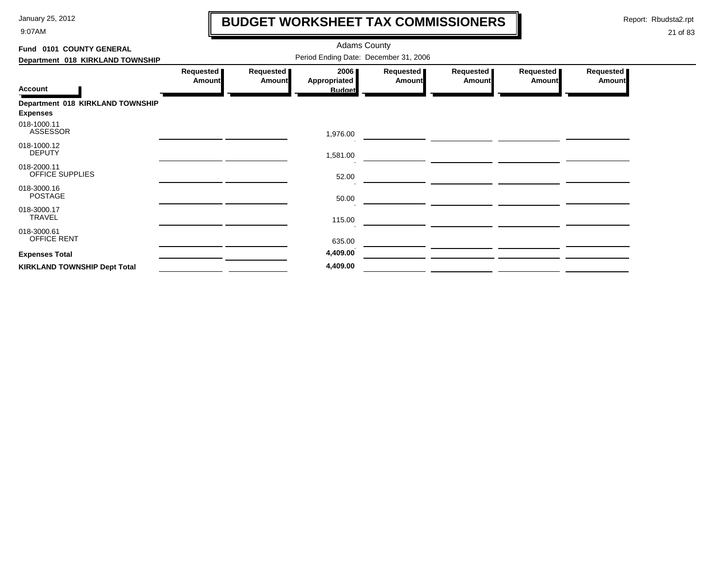9:07AM

# **BUDGET WORKSHEET TAX COMMISSIONERS**

Report: Rbudsta2.rpt

 $\mathbf l$ 

| Fund 0101 COUNTY GENERAL                            |                                       |                            | <b>Adams County</b>                   |                            |                            |                              |                     |  |  |
|-----------------------------------------------------|---------------------------------------|----------------------------|---------------------------------------|----------------------------|----------------------------|------------------------------|---------------------|--|--|
| Department 018 KIRKLAND TOWNSHIP                    | Period Ending Date: December 31, 2006 |                            |                                       |                            |                            |                              |                     |  |  |
| <b>Account</b>                                      | Requested<br><b>Amount</b>            | Requested<br><b>Amount</b> | 2006<br>Appropriated<br><b>Budget</b> | Requested<br><b>Amount</b> | Requested<br><b>Amount</b> | Requested  <br><b>Amount</b> | Requested<br>Amount |  |  |
| Department 018 KIRKLAND TOWNSHIP<br><b>Expenses</b> |                                       |                            |                                       |                            |                            |                              |                     |  |  |
| 018-1000.11<br><b>ASSESSOR</b>                      |                                       |                            | 1,976.00                              |                            |                            |                              |                     |  |  |
| 018-1000.12<br><b>DEPUTY</b>                        |                                       |                            | 1,581.00                              |                            |                            |                              |                     |  |  |
| 018-2000.11<br>OFFICE SUPPLIES                      |                                       |                            | 52.00                                 |                            |                            |                              |                     |  |  |
| 018-3000.16<br><b>POSTAGE</b>                       |                                       |                            | 50.00                                 |                            |                            |                              |                     |  |  |
| 018-3000.17<br><b>TRAVEL</b>                        |                                       |                            | 115.00                                |                            |                            |                              |                     |  |  |
| 018-3000.61<br>OFFICE RENT                          |                                       |                            | 635.00                                |                            |                            |                              |                     |  |  |
| <b>Expenses Total</b>                               |                                       |                            | 4,409.00                              |                            |                            |                              |                     |  |  |
| <b>KIRKLAND TOWNSHIP Dept Total</b>                 |                                       |                            | 4,409.00                              |                            |                            |                              |                     |  |  |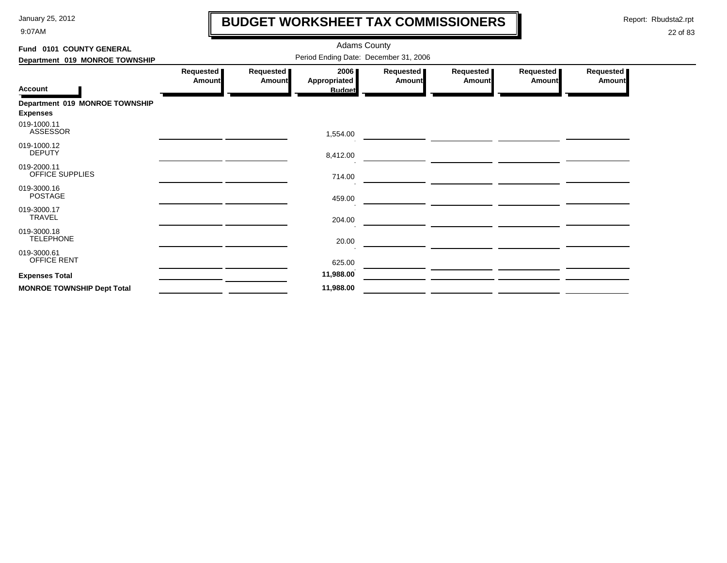9:07AM

# **BUDGET WORKSHEET TAX COMMISSIONERS**

Report: Rbudsta2.rpt

 $\mathbf \mathbf I$ 

| Fund 0101 COUNTY GENERAL                          | <b>Adams County</b>                   |                     |                                       |                            |                            |                            |                            |  |  |  |
|---------------------------------------------------|---------------------------------------|---------------------|---------------------------------------|----------------------------|----------------------------|----------------------------|----------------------------|--|--|--|
| Department 019 MONROE TOWNSHIP                    | Period Ending Date: December 31, 2006 |                     |                                       |                            |                            |                            |                            |  |  |  |
| <b>Account</b>                                    | Requested<br>Amount                   | Requested<br>Amount | 2006<br>Appropriated<br><b>Budget</b> | Requested<br><b>Amount</b> | Requested<br><b>Amount</b> | Requested<br><b>Amount</b> | Requested<br><b>Amount</b> |  |  |  |
| Department 019 MONROE TOWNSHIP<br><b>Expenses</b> |                                       |                     |                                       |                            |                            |                            |                            |  |  |  |
| 019-1000.11<br><b>ASSESSOR</b>                    |                                       |                     | 1,554.00                              |                            |                            |                            |                            |  |  |  |
| 019-1000.12<br><b>DEPUTY</b>                      |                                       |                     | 8,412.00                              |                            |                            |                            |                            |  |  |  |
| 019-2000.11<br>OFFICE SUPPLIES                    |                                       |                     | 714.00                                |                            |                            |                            |                            |  |  |  |
| 019-3000.16<br><b>POSTAGE</b>                     |                                       |                     | 459.00                                |                            |                            |                            |                            |  |  |  |
| 019-3000.17<br>TRAVEL                             |                                       |                     | 204.00                                |                            |                            |                            |                            |  |  |  |
| 019-3000.18<br><b>TELEPHONE</b>                   |                                       |                     | 20.00                                 |                            |                            |                            |                            |  |  |  |
| 019-3000.61<br>OFFICE RENT                        |                                       |                     | 625.00                                |                            |                            |                            |                            |  |  |  |
| <b>Expenses Total</b>                             |                                       |                     | 11,988.00                             |                            |                            |                            |                            |  |  |  |
| <b>MONROE TOWNSHIP Dept Total</b>                 |                                       |                     | 11,988.00                             |                            |                            |                            |                            |  |  |  |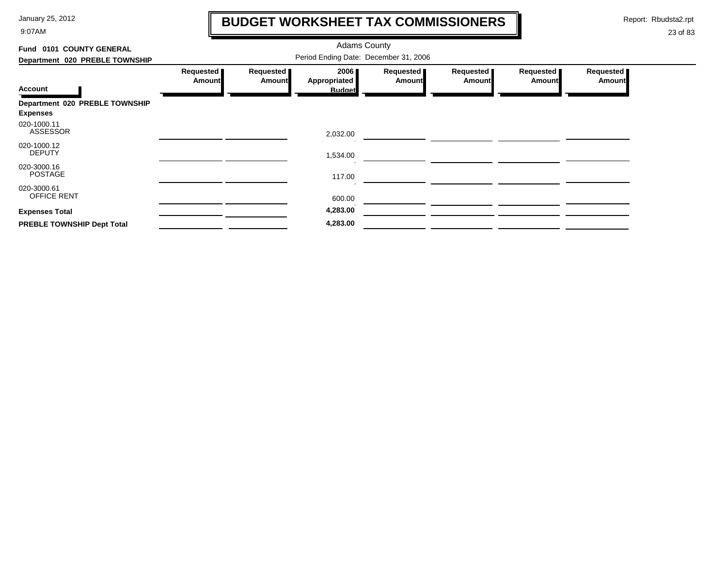9:07AM

# **BUDGET WORKSHEET TAX COMMISSIONERS**

Report: Rbudsta2.rpt

 $\mathbf l$ 

| Fund 0101 COUNTY GENERAL                          |                                       |                            |                      |                            |                            |                            |                            |  |  |  |
|---------------------------------------------------|---------------------------------------|----------------------------|----------------------|----------------------------|----------------------------|----------------------------|----------------------------|--|--|--|
| Department 020 PREBLE TOWNSHIP                    | Period Ending Date: December 31, 2006 |                            |                      |                            |                            |                            |                            |  |  |  |
| <b>Account</b>                                    | Requested<br>Amount                   | Requested<br><b>Amount</b> | 2006<br>Appropriated | Requested<br><b>Amount</b> | Requested<br><b>Amount</b> | Requested<br><b>Amount</b> | Requested<br><b>Amount</b> |  |  |  |
|                                                   |                                       |                            | <b>Budget</b>        |                            |                            |                            |                            |  |  |  |
| Department 020 PREBLE TOWNSHIP<br><b>Expenses</b> |                                       |                            |                      |                            |                            |                            |                            |  |  |  |
| 020-1000.11<br><b>ASSESSOR</b>                    |                                       |                            | 2,032.00             |                            |                            |                            |                            |  |  |  |
| 020-1000.12<br><b>DEPUTY</b>                      |                                       |                            | 1,534.00             |                            |                            |                            |                            |  |  |  |
| 020-3000.16<br><b>POSTAGE</b>                     |                                       |                            | 117.00               |                            |                            |                            |                            |  |  |  |
| 020-3000.61<br>OFFICE RENT                        |                                       |                            | 600.00               |                            |                            |                            |                            |  |  |  |
| <b>Expenses Total</b>                             |                                       |                            | 4,283.00             |                            |                            |                            |                            |  |  |  |
| PREBLE TOWNSHIP Dept Total                        |                                       |                            | 4,283.00             |                            |                            |                            |                            |  |  |  |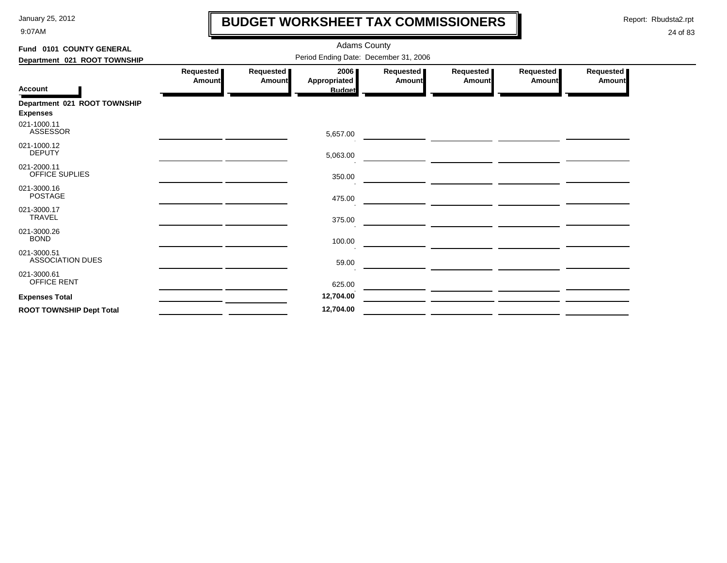9:07AM

### **BUDGET WORKSHEET TAX COMMISSIONERS**

Report: Rbudsta2.rpt

 $\mathbf l$ 

| Fund 0101 COUNTY GENERAL                        |                                       |                     | <b>Adams County</b>                   |                            |                                                                                                                      |                            |                            |  |  |  |
|-------------------------------------------------|---------------------------------------|---------------------|---------------------------------------|----------------------------|----------------------------------------------------------------------------------------------------------------------|----------------------------|----------------------------|--|--|--|
| Department 021 ROOT TOWNSHIP                    | Period Ending Date: December 31, 2006 |                     |                                       |                            |                                                                                                                      |                            |                            |  |  |  |
| <b>Account</b>                                  | Requested<br>Amount                   | Requested<br>Amount | 2006<br>Appropriated<br><b>Budget</b> | Requested<br><b>Amount</b> | Requested<br><b>Amount</b>                                                                                           | Requested<br><b>Amount</b> | Requested<br><b>Amount</b> |  |  |  |
| Department 021 ROOT TOWNSHIP<br><b>Expenses</b> |                                       |                     |                                       |                            |                                                                                                                      |                            |                            |  |  |  |
| 021-1000.11<br><b>ASSESSOR</b>                  |                                       |                     | 5,657.00                              |                            |                                                                                                                      |                            |                            |  |  |  |
| 021-1000.12<br><b>DEPUTY</b>                    |                                       |                     | 5,063.00                              |                            |                                                                                                                      |                            |                            |  |  |  |
| 021-2000.11<br><b>OFFICE SUPLIES</b>            |                                       |                     | 350.00                                |                            |                                                                                                                      |                            |                            |  |  |  |
| 021-3000.16<br><b>POSTAGE</b>                   |                                       |                     | 475.00                                |                            | <u> Andreas Andreas Andreas Andreas Andreas Andreas Andreas Andreas Andreas Andreas Andreas Andreas Andreas Andr</u> |                            |                            |  |  |  |
| 021-3000.17<br><b>TRAVEL</b>                    |                                       |                     | 375.00                                |                            | <u> Andreas Andreas Andreas Andreas Andreas Andreas Andreas Andreas Andreas Andreas Andreas Andreas Andreas Andr</u> |                            |                            |  |  |  |
| 021-3000.26<br><b>BOND</b>                      |                                       |                     | 100.00                                |                            | <u> 1980 - Johann Barbara, markazi bashkar a shekara ta 1980 - An an tsaran a shekara tsara tsara tsara tsara ts</u> |                            |                            |  |  |  |
| 021-3000.51<br><b>ASSOCIATION DUES</b>          |                                       |                     | 59.00                                 |                            | <u> 1980 - Johann Barbara, martin a bhaile an t-</u>                                                                 |                            |                            |  |  |  |
| 021-3000.61<br><b>OFFICE RENT</b>               |                                       |                     | 625.00                                |                            |                                                                                                                      |                            |                            |  |  |  |
| <b>Expenses Total</b>                           |                                       |                     | 12,704.00                             |                            |                                                                                                                      |                            |                            |  |  |  |
| <b>ROOT TOWNSHIP Dept Total</b>                 |                                       |                     | 12,704.00                             |                            |                                                                                                                      |                            |                            |  |  |  |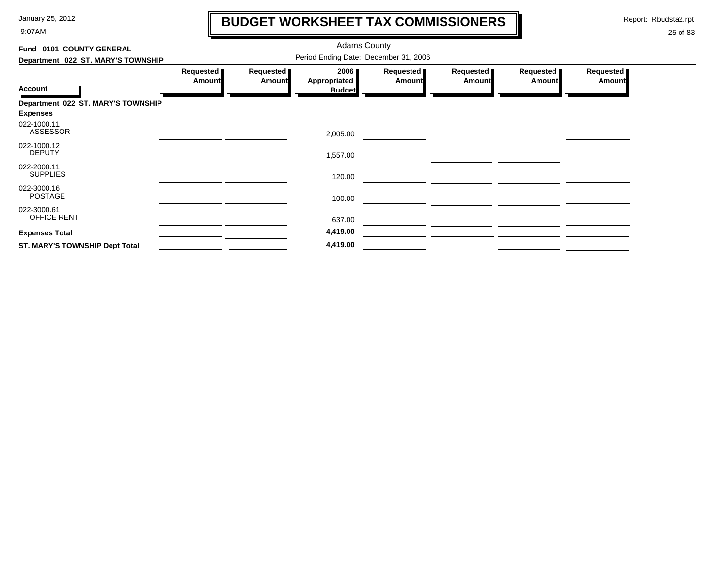9:07AM

# **BUDGET WORKSHEET TAX COMMISSIONERS**

Report: Rbudsta2.rpt

 $\mathbf \mathbf I$ 

| Fund 0101 COUNTY GENERAL                              |                            |                            |                                       |                     |                            |                            |                            |
|-------------------------------------------------------|----------------------------|----------------------------|---------------------------------------|---------------------|----------------------------|----------------------------|----------------------------|
| Department 022 ST. MARY'S TOWNSHIP                    |                            |                            |                                       |                     |                            |                            |                            |
| <b>Account</b>                                        | Requested<br><b>Amount</b> | Requested<br><b>Amount</b> | 2006<br>Appropriated<br><b>Budget</b> | Requested<br>Amount | Requested<br><b>Amount</b> | Requested<br><b>Amount</b> | Requested<br><b>Amount</b> |
| Department 022 ST. MARY'S TOWNSHIP<br><b>Expenses</b> |                            |                            |                                       |                     |                            |                            |                            |
| 022-1000.11<br><b>ASSESSOR</b>                        |                            |                            | 2,005.00                              |                     |                            |                            |                            |
| 022-1000.12<br><b>DEPUTY</b>                          |                            |                            | 1,557.00                              |                     |                            |                            |                            |
| 022-2000.11<br><b>SUPPLIES</b>                        |                            |                            | 120.00                                |                     |                            |                            |                            |
| 022-3000.16<br><b>POSTAGE</b>                         |                            |                            | 100.00                                |                     |                            |                            |                            |
| 022-3000.61<br><b>OFFICE RENT</b>                     |                            |                            | 637.00                                |                     |                            |                            |                            |
| <b>Expenses Total</b>                                 |                            |                            | 4,419.00                              |                     |                            |                            |                            |
| <b>ST. MARY'S TOWNSHIP Dept Total</b>                 |                            |                            | 4,419.00                              |                     |                            |                            |                            |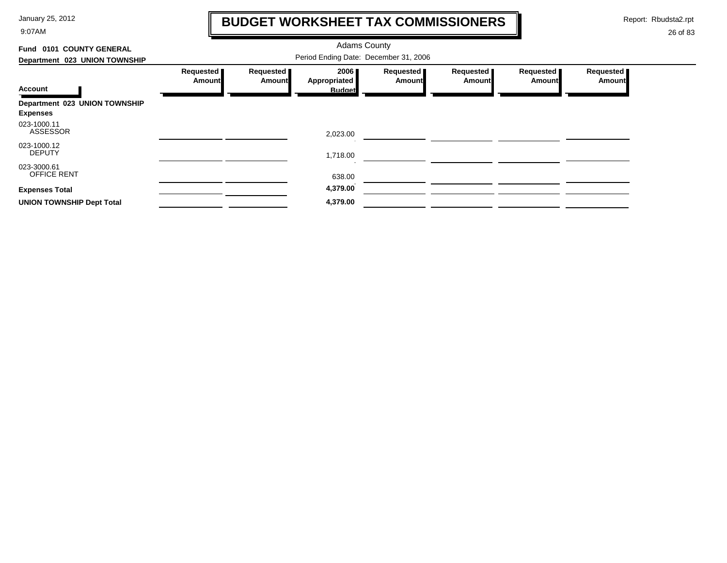9:07AM

### **BUDGET WORKSHEET TAX COMMISSIONERS**

Report: Rbudsta2.rpt

 $\mathbf \mathbf I$ 

| 0101 COUNTY GENERAL<br>Fund       |                                       |                            | <b>Adams County</b>  |                              |                     |                     |                     |  |  |
|-----------------------------------|---------------------------------------|----------------------------|----------------------|------------------------------|---------------------|---------------------|---------------------|--|--|
| Department 023 UNION TOWNSHIP     | Period Ending Date: December 31, 2006 |                            |                      |                              |                     |                     |                     |  |  |
|                                   | Requested<br>Amount                   | Requested<br><b>Amount</b> | 2006<br>Appropriated | Requested  <br><b>Amount</b> | Requested<br>Amount | Requested<br>Amount | Requested<br>Amount |  |  |
| <b>Account</b>                    |                                       |                            | <b>Budget</b>        |                              |                     |                     |                     |  |  |
| Department 023 UNION TOWNSHIP     |                                       |                            |                      |                              |                     |                     |                     |  |  |
| <b>Expenses</b>                   |                                       |                            |                      |                              |                     |                     |                     |  |  |
| 023-1000.11<br><b>ASSESSOR</b>    |                                       |                            | 2,023.00             |                              |                     |                     |                     |  |  |
| 023-1000.12<br><b>DEPUTY</b>      |                                       |                            | 1,718.00             |                              |                     |                     |                     |  |  |
| 023-3000.61<br><b>OFFICE RENT</b> |                                       |                            | 638.00               |                              |                     |                     |                     |  |  |
| <b>Expenses Total</b>             |                                       |                            | 4,379.00             |                              |                     |                     |                     |  |  |
| <b>UNION TOWNSHIP Dept Total</b>  |                                       |                            | 4,379.00             |                              |                     |                     |                     |  |  |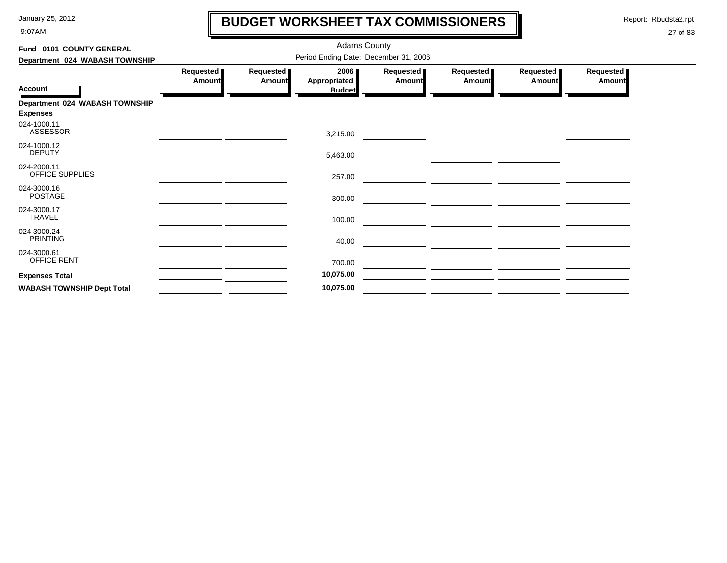9:07AM

## **BUDGET WORKSHEET TAX COMMISSIONERS**

Report: Rbudsta2.rpt

 $\mathbf \mathbf I$ 

| Fund 0101 COUNTY GENERAL<br>Department 024 WABASH TOWNSHIP |                            |                            | <b>Adams County</b><br>Period Ending Date: December 31, 2006 |                     |                            |                            |                            |
|------------------------------------------------------------|----------------------------|----------------------------|--------------------------------------------------------------|---------------------|----------------------------|----------------------------|----------------------------|
| Account                                                    | Requested<br><b>Amount</b> | Requested<br><b>Amount</b> | 2006<br>Appropriated<br><b>Budget</b>                        | Requested<br>Amount | Requested<br><b>Amount</b> | Requested<br><b>Amount</b> | Requested<br><b>Amount</b> |
| Department 024 WABASH TOWNSHIP<br><b>Expenses</b>          |                            |                            |                                                              |                     |                            |                            |                            |
| 024-1000.11<br><b>ASSESSOR</b>                             |                            |                            | 3,215.00                                                     |                     |                            |                            |                            |
| 024-1000.12<br><b>DEPUTY</b>                               |                            |                            | 5,463.00                                                     |                     |                            |                            |                            |
| 024-2000.11<br>OFFICE SUPPLIES                             |                            |                            | 257.00                                                       |                     |                            |                            |                            |
| 024-3000.16<br><b>POSTAGE</b>                              |                            |                            | 300.00                                                       |                     |                            |                            |                            |
| 024-3000.17<br>TRAVEL                                      |                            |                            | 100.00                                                       |                     |                            |                            |                            |
| 024-3000.24<br><b>PRINTING</b>                             |                            |                            | 40.00                                                        |                     |                            |                            |                            |
| 024-3000.61<br>OFFICE RENT                                 |                            |                            | 700.00                                                       |                     |                            |                            |                            |
| <b>Expenses Total</b>                                      |                            |                            | 10,075.00                                                    |                     |                            |                            |                            |
| <b>WABASH TOWNSHIP Dept Total</b>                          |                            |                            | 10,075.00                                                    |                     |                            |                            |                            |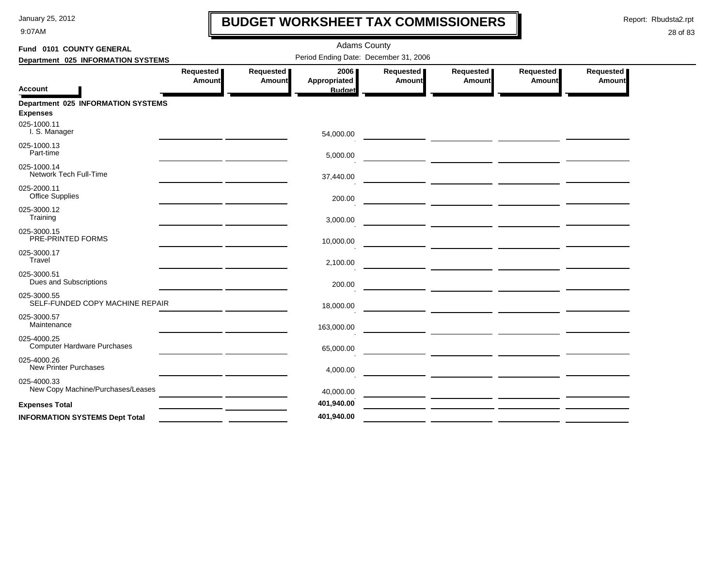9:07AM

# **BUDGET WORKSHEET TAX COMMISSIONERS**

Report: Rbudsta2.rpt

 $\mathbf l$ 

| Fund 0101 COUNTY GENERAL                                     |                     |                     | <b>Adams County</b>                   |                     |                                                                                                                      |                     |                       |
|--------------------------------------------------------------|---------------------|---------------------|---------------------------------------|---------------------|----------------------------------------------------------------------------------------------------------------------|---------------------|-----------------------|
| Department 025 INFORMATION SYSTEMS                           |                     |                     | Period Ending Date: December 31, 2006 |                     |                                                                                                                      |                     |                       |
| <b>Account</b>                                               | Requested<br>Amount | Requested<br>Amount | 2006<br>Appropriated<br><b>Budget</b> | Requested<br>Amount | Requested<br>Amount                                                                                                  | Requested<br>Amount | Requested  <br>Amount |
| <b>Department 025 INFORMATION SYSTEMS</b><br><b>Expenses</b> |                     |                     |                                       |                     |                                                                                                                      |                     |                       |
| 025-1000.11<br>I. S. Manager                                 |                     |                     | 54,000.00                             |                     |                                                                                                                      |                     |                       |
| 025-1000.13<br>Part-time                                     |                     |                     | 5,000.00                              |                     | <u> 1989 - Johann Stein, mars et al. (1989)</u>                                                                      |                     |                       |
| 025-1000.14<br>Network Tech Full-Time                        |                     |                     | 37,440.00                             |                     |                                                                                                                      |                     |                       |
| 025-2000.11<br><b>Office Supplies</b>                        |                     |                     | 200.00                                |                     |                                                                                                                      |                     |                       |
| 025-3000.12<br>Training                                      |                     |                     | 3,000.00                              |                     |                                                                                                                      |                     |                       |
| 025-3000.15<br>PRE-PRINTED FORMS                             |                     |                     | 10,000.00                             |                     | <u> 1989 - Johann Barbara, markazi bashkar a shekara ta 1989 - André a shekara ta 1989 - André a tsare</u>           |                     |                       |
| 025-3000.17<br>Travel                                        |                     |                     | 2,100.00                              |                     |                                                                                                                      |                     |                       |
| 025-3000.51<br>Dues and Subscriptions                        |                     |                     | 200.00                                |                     |                                                                                                                      |                     |                       |
| 025-3000.55<br>SELF-FUNDED COPY MACHINE REPAIR               |                     |                     | 18,000.00                             |                     | — <u>— — — — — — — — — — — — — —</u>                                                                                 |                     |                       |
| 025-3000.57<br>Maintenance                                   |                     |                     | 163,000.00                            |                     |                                                                                                                      |                     |                       |
| 025-4000.25<br><b>Computer Hardware Purchases</b>            |                     |                     | 65,000.00                             |                     | <u> Andreas Andreas Andreas Andreas Andreas Andreas Andreas Andreas Andreas Andreas Andreas Andreas Andreas Andr</u> |                     |                       |
| 025-4000.26<br><b>New Printer Purchases</b>                  |                     |                     | 4,000.00                              |                     |                                                                                                                      |                     |                       |
| 025-4000.33<br>New Copy Machine/Purchases/Leases             |                     |                     | 40,000.00                             |                     |                                                                                                                      |                     |                       |
| <b>Expenses Total</b>                                        |                     |                     | 401,940.00                            |                     | — <u>— — — — — — — — — — — — —</u>                                                                                   |                     |                       |
| <b>INFORMATION SYSTEMS Dept Total</b>                        |                     |                     | 401,940.00                            |                     |                                                                                                                      |                     |                       |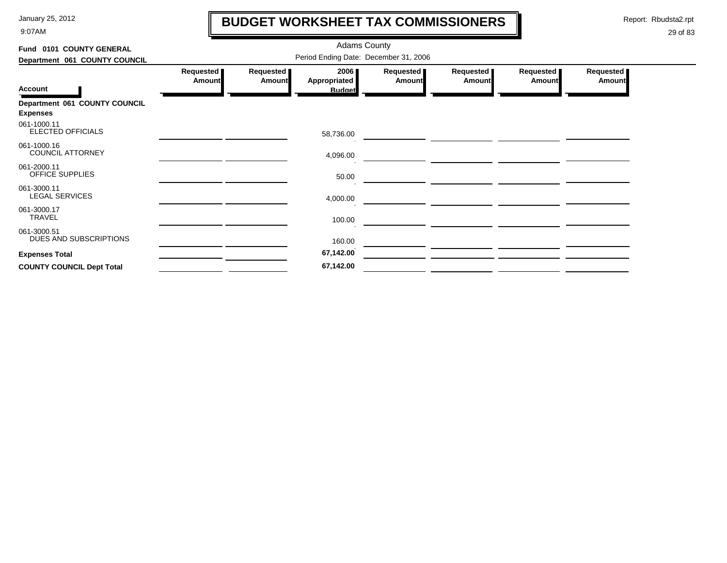9:07AM

# **BUDGET WORKSHEET TAX COMMISSIONERS**

Report: Rbudsta2.rpt

 $\mathbf l$ 

| Fund 0101 COUNTY GENERAL                         |                            |                            | <b>Adams County</b>                   |                     |                            |                     |                     |
|--------------------------------------------------|----------------------------|----------------------------|---------------------------------------|---------------------|----------------------------|---------------------|---------------------|
| Department 061 COUNTY COUNCIL                    |                            |                            | Period Ending Date: December 31, 2006 |                     |                            |                     |                     |
| <b>Account</b>                                   | Requested<br><b>Amount</b> | Requested<br><b>Amount</b> | 2006<br>Appropriated<br><b>Budget</b> | Requested<br>Amount | Requested<br><b>Amount</b> | Requested<br>Amount | Requested<br>Amount |
| Department 061 COUNTY COUNCIL<br><b>Expenses</b> |                            |                            |                                       |                     |                            |                     |                     |
| 061-1000.11<br>ELECTED OFFICIALS                 |                            |                            | 58,736.00                             |                     |                            |                     |                     |
| 061-1000.16<br><b>COUNCIL ATTORNEY</b>           |                            |                            | 4,096.00                              |                     |                            |                     |                     |
| 061-2000.11<br><b>OFFICE SUPPLIES</b>            |                            |                            | 50.00                                 |                     |                            |                     |                     |
| 061-3000.11<br><b>LEGAL SERVICES</b>             |                            |                            | 4,000.00                              |                     |                            |                     |                     |
| 061-3000.17<br><b>TRAVEL</b>                     |                            |                            | 100.00                                |                     |                            |                     |                     |
| 061-3000.51<br>DUES AND SUBSCRIPTIONS            |                            |                            | 160.00                                |                     |                            |                     |                     |
| <b>Expenses Total</b>                            |                            |                            | 67,142.00                             |                     |                            |                     |                     |
| <b>COUNTY COUNCIL Dept Total</b>                 |                            |                            | 67,142.00                             |                     |                            |                     |                     |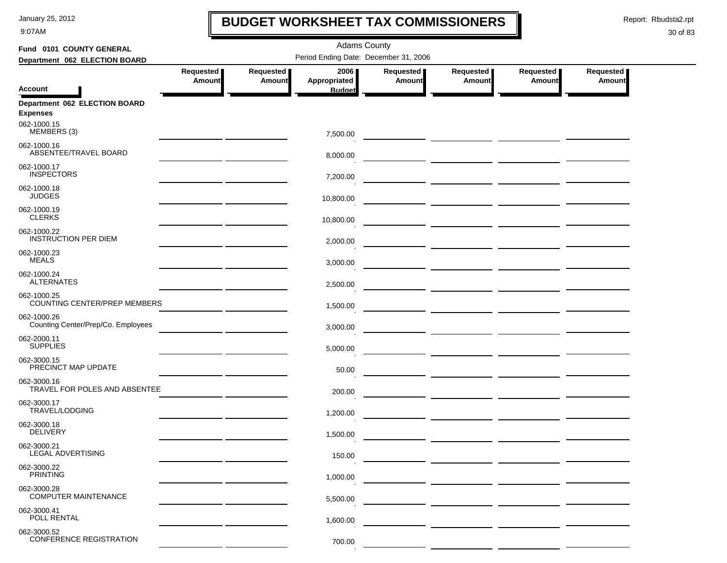9:07AM

### **BUDGET WORKSHEET TAX COMMISSIONERS**

Report: Rbudsta2.rpt

 $\mathbf \mathbf I$ 

| Fund 0101 COUNTY GENERAL                                        | <b>Adams County</b>        |                     |                                       |                            |                                                                                                                         |                                    |                            |  |  |
|-----------------------------------------------------------------|----------------------------|---------------------|---------------------------------------|----------------------------|-------------------------------------------------------------------------------------------------------------------------|------------------------------------|----------------------------|--|--|
| Department 062 ELECTION BOARD                                   |                            |                     | Period Ending Date: December 31, 2006 |                            |                                                                                                                         |                                    |                            |  |  |
|                                                                 | Requested<br><b>Amount</b> | Requested<br>Amount | 2006<br>Appropriated                  | Requested<br><b>Amount</b> | Requested<br>Amount                                                                                                     | Requested<br>Amount                | Requested<br><b>Amount</b> |  |  |
| <b>Account</b>                                                  |                            |                     | <b>Budget</b>                         |                            |                                                                                                                         |                                    |                            |  |  |
| Department 062 ELECTION BOARD<br><b>Expenses</b><br>062-1000.15 |                            |                     |                                       |                            |                                                                                                                         |                                    |                            |  |  |
| MEMBERS (3)                                                     |                            |                     | 7,500.00                              |                            |                                                                                                                         |                                    |                            |  |  |
| 062-1000.16<br>ABSENTEE/TRAVEL BOARD                            |                            |                     | 8,000.00                              |                            | <u> The Common School and Common School and Common School and Common School and Common School and Common School and</u> |                                    |                            |  |  |
| 062-1000.17<br><b>INSPECTORS</b>                                |                            |                     | 7,200.00                              |                            |                                                                                                                         |                                    |                            |  |  |
| 062-1000.18<br><b>JUDGES</b>                                    |                            |                     | 10,800.00                             |                            | <u> 1989 - John Harry Harry Harry Harry Harry Harry Harry Harry Harry Harry Harry Harry Harry Harry Harry Harry H</u>   |                                    |                            |  |  |
| 062-1000.19<br><b>CLERKS</b>                                    |                            |                     | 10,800.00                             |                            | <u> 1990 - Johann Harry Harry Harry Harry Harry Harry Harry Harry Harry Harry Harry Harry Harry Harry Harry Harry</u>   |                                    |                            |  |  |
| 062-1000.22<br><b>INSTRUCTION PER DIEM</b>                      |                            |                     | 2,000.00                              |                            |                                                                                                                         |                                    |                            |  |  |
| 062-1000.23<br><b>MEALS</b>                                     |                            |                     | 3,000.00                              |                            |                                                                                                                         |                                    |                            |  |  |
| 062-1000.24<br><b>ALTERNATES</b>                                |                            |                     | 2,500.00                              |                            |                                                                                                                         |                                    |                            |  |  |
| 062-1000.25<br>COUNTING CENTER/PREP MEMBERS                     |                            |                     | 1,500.00                              |                            |                                                                                                                         | — <u>— — — — — — — — — — — — —</u> |                            |  |  |
| 062-1000.26<br>Counting Center/Prep/Co. Employees               |                            |                     | 3,000.00                              |                            |                                                                                                                         |                                    |                            |  |  |
| 062-2000.11<br><b>SUPPLIES</b>                                  |                            |                     | 5,000.00                              |                            |                                                                                                                         |                                    |                            |  |  |
| 062-3000.15<br>PRECINCT MAP UPDATE                              |                            |                     | 50.00                                 |                            |                                                                                                                         |                                    |                            |  |  |
| 062-3000.16<br>TRAVEL FOR POLES AND ABSENTEE                    |                            |                     | 200.00                                |                            |                                                                                                                         |                                    |                            |  |  |
| 062-3000.17<br>TRAVEL/LODGING                                   |                            |                     | 1,200.00                              |                            |                                                                                                                         |                                    |                            |  |  |
| 062-3000.18<br><b>DELIVERY</b>                                  |                            |                     | 1,500.00                              |                            |                                                                                                                         |                                    |                            |  |  |
| 062-3000.21<br>LEGAL ADVERTISING                                |                            |                     | 150.00                                |                            |                                                                                                                         |                                    |                            |  |  |
| 062-3000.22<br><b>PRINTING</b>                                  |                            |                     | 1,000.00                              |                            |                                                                                                                         |                                    |                            |  |  |
| 062-3000.28<br><b>COMPUTER MAINTENANCE</b>                      |                            |                     | 5,500.00                              |                            |                                                                                                                         |                                    |                            |  |  |
| 062-3000.41<br>POLL RENTAL                                      |                            |                     | 1,600.00                              |                            |                                                                                                                         |                                    |                            |  |  |
| 062-3000.52<br><b>CONFERENCE REGISTRATION</b>                   |                            |                     | 700.00                                |                            |                                                                                                                         |                                    |                            |  |  |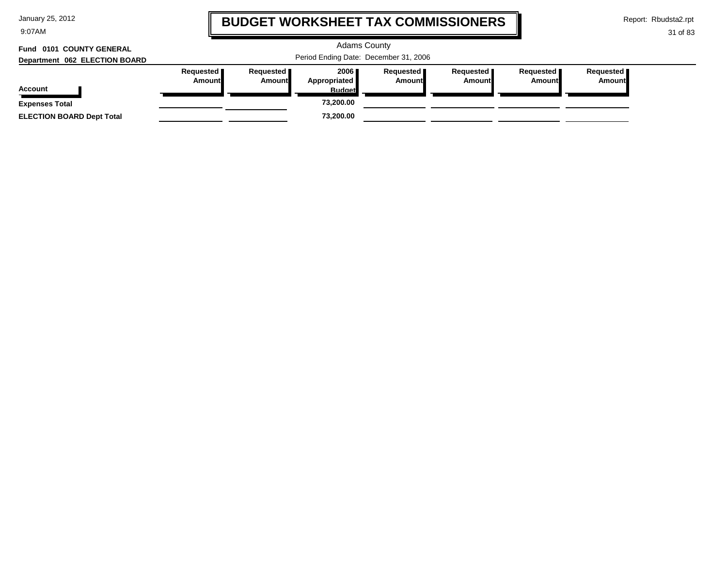9:07AM

### **BUDGET WORKSHEET TAX COMMISSIONERS**

Report: Rbudsta2.rpt

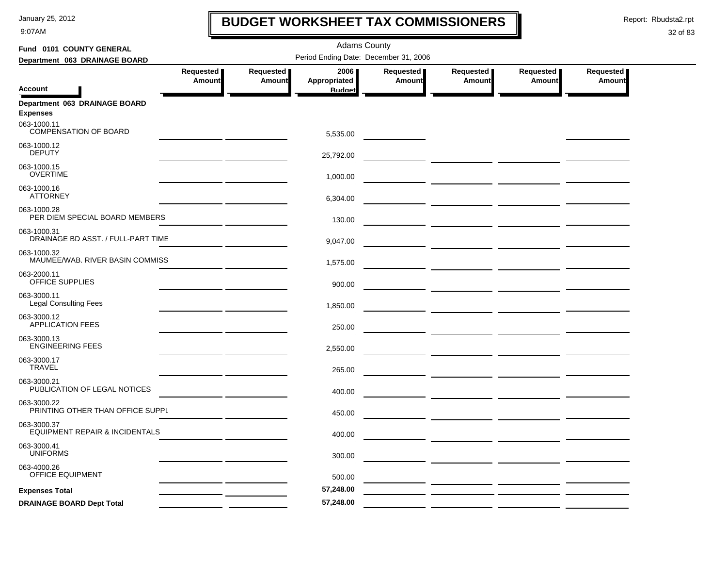9:07AM

## **BUDGET WORKSHEET TAX COMMISSIONERS**

Report: Rbudsta2.rpt

 $\mathbf l$ 

| Fund 0101 COUNTY GENERAL<br>Period Ending Date: December 31, 2006<br>Department 063 DRAINAGE BOARD<br>Requested<br>Requested<br>2006<br>Requested<br>Requested<br>Requested<br>Requested  <br>Amount<br>Appropriated<br>Amount<br><b>Amount</b><br><b>Amount</b><br><b>Amount</b><br>Amount<br><b>Account</b><br><b>Budget</b> |  |
|--------------------------------------------------------------------------------------------------------------------------------------------------------------------------------------------------------------------------------------------------------------------------------------------------------------------------------|--|
|                                                                                                                                                                                                                                                                                                                                |  |
|                                                                                                                                                                                                                                                                                                                                |  |
|                                                                                                                                                                                                                                                                                                                                |  |
| Department 063 DRAINAGE BOARD<br><b>Expenses</b>                                                                                                                                                                                                                                                                               |  |
| 063-1000.11<br>COMPENSATION OF BOARD<br>5,535.00                                                                                                                                                                                                                                                                               |  |
| 063-1000.12<br><b>DEPUTY</b><br>25,792.00                                                                                                                                                                                                                                                                                      |  |
| 063-1000.15<br><b>OVERTIME</b><br>1,000.00                                                                                                                                                                                                                                                                                     |  |
| 063-1000.16<br><b>ATTORNEY</b><br>6,304.00                                                                                                                                                                                                                                                                                     |  |
| 063-1000.28<br>PER DIEM SPECIAL BOARD MEMBERS<br>130.00                                                                                                                                                                                                                                                                        |  |
| 063-1000.31<br>DRAINAGE BD ASST. / FULL-PART TIME<br>9,047.00                                                                                                                                                                                                                                                                  |  |
| 063-1000.32<br>MAUMEE/WAB. RIVER BASIN COMMISS<br>1,575.00                                                                                                                                                                                                                                                                     |  |
| 063-2000.11<br>OFFICE SUPPLIES<br>900.00                                                                                                                                                                                                                                                                                       |  |
| 063-3000.11<br><b>Legal Consulting Fees</b><br>1,850.00                                                                                                                                                                                                                                                                        |  |
| 063-3000.12<br><b>APPLICATION FEES</b><br>250.00                                                                                                                                                                                                                                                                               |  |
| 063-3000.13<br><b>ENGINEERING FEES</b><br>2,550.00                                                                                                                                                                                                                                                                             |  |
| 063-3000.17<br><b>TRAVEL</b><br>265.00                                                                                                                                                                                                                                                                                         |  |
| 063-3000.21<br>PUBLICATION OF LEGAL NOTICES<br>400.00                                                                                                                                                                                                                                                                          |  |
| 063-3000.22<br>PRINTING OTHER THAN OFFICE SUPPL<br>450.00                                                                                                                                                                                                                                                                      |  |
| 063-3000.37<br>EQUIPMENT REPAIR & INCIDENTALS<br>400.00                                                                                                                                                                                                                                                                        |  |
| 063-3000.41<br><b>UNIFORMS</b><br>300.00                                                                                                                                                                                                                                                                                       |  |
| 063-4000.26<br><b>OFFICE EQUIPMENT</b><br>500.00                                                                                                                                                                                                                                                                               |  |
| 57,248.00<br><b>Expenses Total</b>                                                                                                                                                                                                                                                                                             |  |
| 57,248.00<br><b>DRAINAGE BOARD Dept Total</b>                                                                                                                                                                                                                                                                                  |  |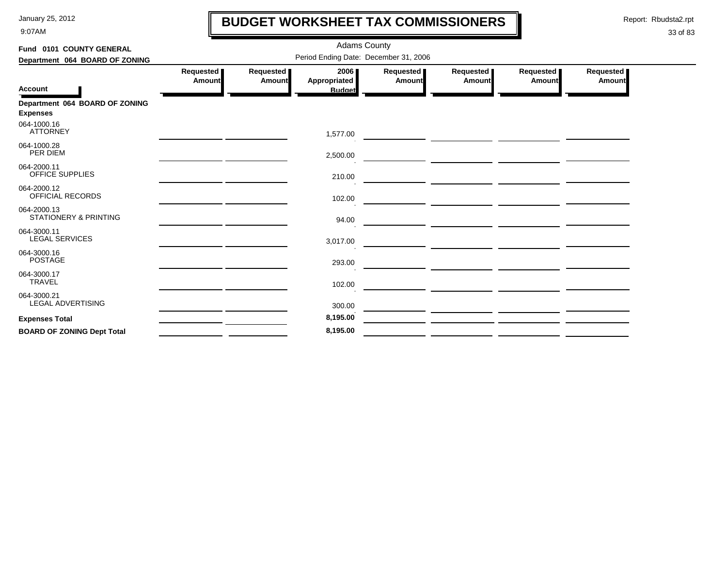9:07AM

# **BUDGET WORKSHEET TAX COMMISSIONERS**

Report: Rbudsta2.rpt

 $\mathbf l$ 

| Fund 0101 COUNTY GENERAL                          |                            |                     | <b>Adams County</b>                   |                     |                                                           |                     |                            |
|---------------------------------------------------|----------------------------|---------------------|---------------------------------------|---------------------|-----------------------------------------------------------|---------------------|----------------------------|
| Department 064 BOARD OF ZONING                    |                            |                     | Period Ending Date: December 31, 2006 |                     |                                                           |                     |                            |
|                                                   | Requested<br><b>Amount</b> | Requested<br>Amount | 2006<br>Appropriated                  | Requested<br>Amount | Requested<br>Amount                                       | Requested<br>Amount | Requested<br><b>Amount</b> |
| <b>Account</b>                                    |                            |                     | <b>Budget</b>                         |                     |                                                           |                     |                            |
| Department 064 BOARD OF ZONING<br><b>Expenses</b> |                            |                     |                                       |                     |                                                           |                     |                            |
| 064-1000.16<br><b>ATTORNEY</b>                    |                            |                     | 1,577.00                              |                     |                                                           |                     |                            |
| 064-1000.28<br>PER DIEM                           |                            |                     | 2,500.00                              |                     | <u> 1980 - Johann Barnett, fransk politiker (d. 1980)</u> |                     |                            |
| 064-2000.11<br><b>OFFICE SUPPLIES</b>             |                            |                     | 210.00                                |                     |                                                           |                     |                            |
| 064-2000.12<br>OFFICIAL RECORDS                   |                            |                     | 102.00                                |                     |                                                           |                     |                            |
| 064-2000.13<br><b>STATIONERY &amp; PRINTING</b>   |                            |                     | 94.00                                 |                     |                                                           |                     |                            |
| 064-3000.11<br><b>LEGAL SERVICES</b>              |                            |                     | 3,017.00                              |                     |                                                           |                     |                            |
| 064-3000.16<br><b>POSTAGE</b>                     |                            |                     | 293.00                                |                     |                                                           |                     |                            |
| 064-3000.17<br><b>TRAVEL</b>                      |                            |                     | 102.00                                |                     |                                                           |                     |                            |
| 064-3000.21<br><b>LEGAL ADVERTISING</b>           |                            |                     | 300.00                                |                     |                                                           |                     |                            |
| <b>Expenses Total</b>                             |                            |                     | 8,195.00                              |                     |                                                           |                     |                            |
| <b>BOARD OF ZONING Dept Total</b>                 |                            |                     | 8,195.00                              |                     |                                                           |                     |                            |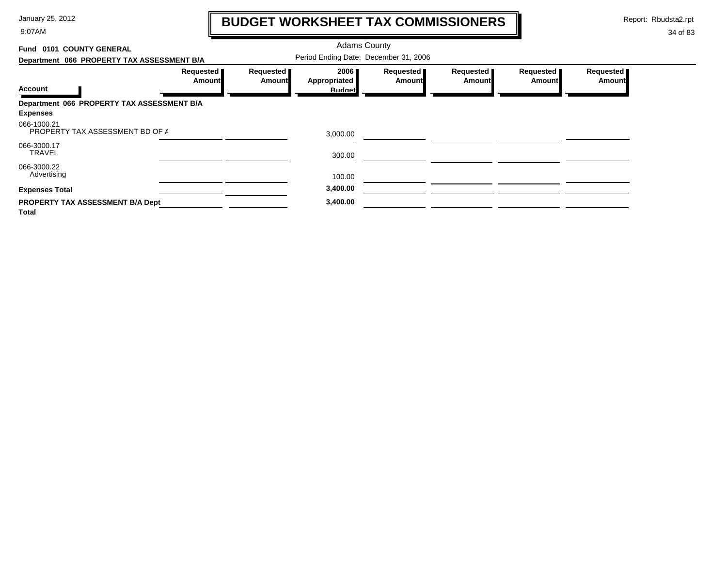9:07AM

# **BUDGET WORKSHEET TAX COMMISSIONERS**

Report: Rbudsta2.rpt

 $\mathbf l$ 

| Fund 0101 COUNTY GENERAL                                |                       |                                       | <b>Adams County</b>  |                                   |                            |                                   |                              |
|---------------------------------------------------------|-----------------------|---------------------------------------|----------------------|-----------------------------------|----------------------------|-----------------------------------|------------------------------|
| Department 066 PROPERTY TAX ASSESSMENT B/A              |                       | Period Ending Date: December 31, 2006 |                      |                                   |                            |                                   |                              |
|                                                         | Requested  <br>Amount | Requested  <br>Amount                 | 2006<br>Appropriated | <b>Requested</b><br><b>Amount</b> | <b>Requested</b><br>Amount | <b>Requested</b><br><b>Amount</b> | Requested  <br><b>Amount</b> |
| <b>Account</b>                                          |                       |                                       | <b>Budget</b>        |                                   |                            |                                   |                              |
| Department 066 PROPERTY TAX ASSESSMENT B/A              |                       |                                       |                      |                                   |                            |                                   |                              |
| <b>Expenses</b>                                         |                       |                                       |                      |                                   |                            |                                   |                              |
| 066-1000.21<br>PROPERTY TAX ASSESSMENT BD OF A          |                       |                                       | 3,000.00             |                                   |                            |                                   |                              |
| 066-3000.17<br><b>TRAVEL</b>                            |                       |                                       | 300.00               |                                   |                            |                                   |                              |
| 066-3000.22<br>Advertising                              |                       |                                       | 100.00               |                                   |                            |                                   |                              |
| <b>Expenses Total</b>                                   |                       |                                       | 3,400.00             |                                   |                            |                                   |                              |
| <b>PROPERTY TAX ASSESSMENT B/A Dept</b><br><b>Total</b> |                       |                                       | 3,400.00             |                                   |                            |                                   |                              |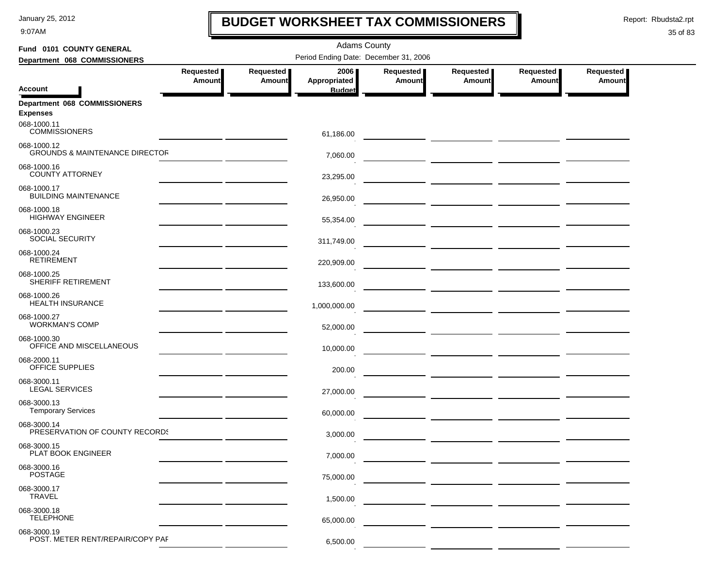9:07AM

### **BUDGET WORKSHEET TAX COMMISSIONERS**

Report: Rbudsta2.rpt

 $\mathbf I$ 

| Fund 0101 COUNTY GENERAL                                 |                                       |                            | <b>Adams County</b>  |                     |                                                 |                     |                            |  |  |  |
|----------------------------------------------------------|---------------------------------------|----------------------------|----------------------|---------------------|-------------------------------------------------|---------------------|----------------------------|--|--|--|
| Department 068 COMMISSIONERS                             | Period Ending Date: December 31, 2006 |                            |                      |                     |                                                 |                     |                            |  |  |  |
|                                                          | Requested<br>Amount                   | Requested<br><b>Amount</b> | 2006<br>Appropriated | Requested<br>Amount | Requested<br>Amount                             | Requested<br>Amount | Requested<br><b>Amount</b> |  |  |  |
| <b>Account</b>                                           |                                       |                            | <b>Budget</b>        |                     |                                                 |                     |                            |  |  |  |
| Department 068 COMMISSIONERS<br><b>Expenses</b>          |                                       |                            |                      |                     |                                                 |                     |                            |  |  |  |
| 068-1000.11<br><b>COMMISSIONERS</b>                      |                                       |                            | 61,186.00            |                     |                                                 |                     |                            |  |  |  |
| 068-1000.12<br><b>GROUNDS &amp; MAINTENANCE DIRECTOR</b> |                                       |                            | 7,060.00             |                     |                                                 |                     |                            |  |  |  |
| 068-1000.16<br><b>COUNTY ATTORNEY</b>                    |                                       |                            | 23,295.00            |                     |                                                 |                     |                            |  |  |  |
| 068-1000.17<br><b>BUILDING MAINTENANCE</b>               |                                       |                            | 26,950.00            |                     |                                                 |                     |                            |  |  |  |
| 068-1000.18<br><b>HIGHWAY ENGINEER</b>                   |                                       |                            | 55,354.00            |                     |                                                 |                     |                            |  |  |  |
| 068-1000.23<br><b>SOCIAL SECURITY</b>                    |                                       |                            | 311,749.00           |                     |                                                 |                     |                            |  |  |  |
| 068-1000.24<br><b>RETIREMENT</b>                         |                                       |                            | 220,909.00           |                     | <u> 1980 - John Harry Harrison, mars et al.</u> |                     |                            |  |  |  |
| 068-1000.25<br><b>SHERIFF RETIREMENT</b>                 |                                       |                            | 133,600.00           |                     | — <u>— — — — — — — — — — — — — —</u>            |                     |                            |  |  |  |
| 068-1000.26<br><b>HEALTH INSURANCE</b>                   |                                       |                            | 1,000,000.00         |                     |                                                 |                     |                            |  |  |  |
| 068-1000.27<br><b>WORKMAN'S COMP</b>                     |                                       |                            | 52,000.00            |                     | — <u>— — — — — — — — — — — — —</u>              |                     |                            |  |  |  |
| 068-1000.30<br>OFFICE AND MISCELLANEOUS                  |                                       |                            | 10,000.00            |                     | — <u>— ——————</u> <u>———————</u>                |                     |                            |  |  |  |
| 068-2000.11<br>OFFICE SUPPLIES                           |                                       |                            | 200.00               |                     |                                                 |                     |                            |  |  |  |
| 068-3000.11<br><b>LEGAL SERVICES</b>                     |                                       |                            | 27,000.00            |                     | ____ ____________ ___________                   |                     |                            |  |  |  |
| 068-3000.13<br><b>Temporary Services</b>                 |                                       |                            | 60,000.00            |                     | — <u>— — — — — — — — — — — — —</u>              |                     |                            |  |  |  |
| 068-3000.14<br>PRESERVATION OF COUNTY RECORDS            |                                       |                            | 3,000.00             |                     | — <u>— — — — — — — — — — — — — — —</u>          |                     |                            |  |  |  |
| 068-3000.15<br>PLAT BOOK ENGINEER                        |                                       |                            | 7,000.00             |                     |                                                 |                     |                            |  |  |  |
| 068-3000.16<br><b>POSTAGE</b>                            |                                       |                            | 75,000.00            |                     |                                                 |                     |                            |  |  |  |
| 068-3000.17<br><b>TRAVEL</b>                             |                                       |                            | 1,500.00             |                     |                                                 |                     |                            |  |  |  |
| 068-3000.18<br><b>TELEPHONE</b>                          |                                       |                            | 65,000.00            |                     |                                                 |                     |                            |  |  |  |
| 068-3000.19<br>POST. METER RENT/REPAIR/COPY PAF          |                                       |                            | 6,500.00             |                     |                                                 |                     |                            |  |  |  |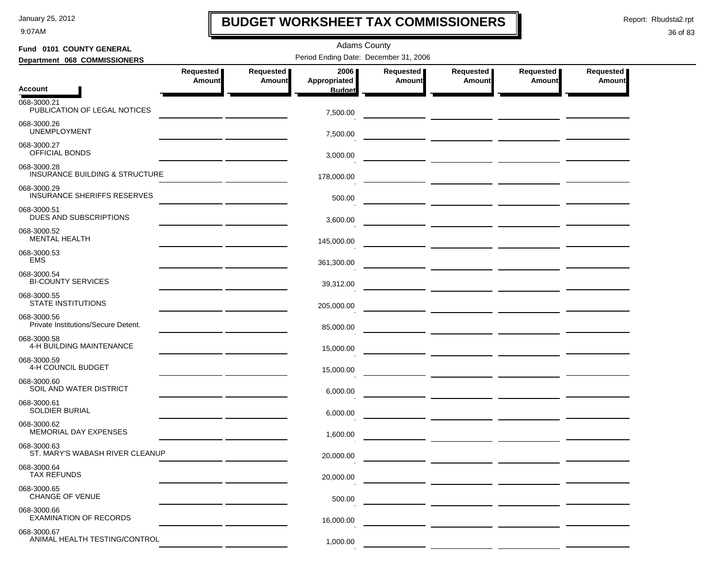9:07AM

### **BUDGET WORKSHEET TAX COMMISSIONERS**

Report: Rbudsta2.rpt

 $\mathbf I$ 

#### 36 of 83

| Fund 0101 COUNTY GENERAL                                 |                                                                                                                        |                     | <b>Adams County</b>  |                            |                              |                            |                            |  |
|----------------------------------------------------------|------------------------------------------------------------------------------------------------------------------------|---------------------|----------------------|----------------------------|------------------------------|----------------------------|----------------------------|--|
| Department 068 COMMISSIONERS                             | Period Ending Date: December 31, 2006                                                                                  |                     |                      |                            |                              |                            |                            |  |
|                                                          | Requested<br>Amount                                                                                                    | Requested<br>Amount | 2006<br>Appropriated | Requested<br><b>Amount</b> | Requested  <br><b>Amount</b> | Requested<br><b>Amount</b> | Requested<br><b>Amount</b> |  |
| <b>Account</b>                                           |                                                                                                                        |                     | <b>Budget</b>        |                            |                              |                            |                            |  |
| 068-3000.21<br>PUBLICATION OF LEGAL NOTICES              |                                                                                                                        |                     | 7,500.00             |                            |                              |                            |                            |  |
| 068-3000.26<br><b>UNEMPLOYMENT</b>                       |                                                                                                                        |                     | 7,500.00             |                            |                              |                            |                            |  |
| 068-3000.27<br><b>OFFICIAL BONDS</b>                     |                                                                                                                        |                     | 3,000.00             |                            |                              |                            |                            |  |
| 068-3000.28<br><b>INSURANCE BUILDING &amp; STRUCTURE</b> |                                                                                                                        |                     | 178,000.00           |                            |                              |                            |                            |  |
| 068-3000.29<br><b>INSURANCE SHERIFFS RESERVES</b>        |                                                                                                                        |                     | 500.00               |                            |                              |                            |                            |  |
| 068-3000.51<br>DUES AND SUBSCRIPTIONS                    |                                                                                                                        |                     | 3,600.00             |                            |                              |                            |                            |  |
| 068-3000.52<br><b>MENTAL HEALTH</b>                      | <u> 1989 - Johann Harry Harry Harry Harry Harry Harry Harry Harry Harry Harry Harry Harry Harry Harry Harry Harry</u>  |                     | 145,000.00           |                            |                              |                            |                            |  |
| 068-3000.53<br><b>EMS</b>                                |                                                                                                                        |                     | 361,300.00           |                            |                              |                            |                            |  |
| 068-3000.54<br><b>BI-COUNTY SERVICES</b>                 |                                                                                                                        |                     | 39,312.00            |                            |                              |                            |                            |  |
| 068-3000.55<br><b>STATE INSTITUTIONS</b>                 |                                                                                                                        |                     | 205,000.00           |                            |                              |                            |                            |  |
| 068-3000.56<br>Private Institutions/Secure Detent.       | <u> 1989 - Johann John Stone, mars et al. 1989 - John Stone, mars et al. 1989 - John Stone, mars et al. 1989 - Joh</u> |                     | 85,000.00            |                            |                              |                            |                            |  |
| 068-3000.58<br>4-H BUILDING MAINTENANCE                  |                                                                                                                        |                     | 15,000.00            |                            |                              |                            |                            |  |
| 068-3000.59<br>4-H COUNCIL BUDGET                        |                                                                                                                        |                     | 15,000.00            |                            |                              |                            |                            |  |
| 068-3000.60<br>SOIL AND WATER DISTRICT                   |                                                                                                                        |                     | 6,000.00             |                            |                              |                            |                            |  |
| 068-3000.61<br><b>SOLDIER BURIAL</b>                     |                                                                                                                        |                     | 6,000.00             |                            |                              |                            |                            |  |
| 068-3000.62<br><b>MEMORIAL DAY EXPENSES</b>              |                                                                                                                        |                     | 1,600.00             |                            |                              |                            |                            |  |
| 068-3000.63<br>ST. MARY'S WABASH RIVER CLEANUP           |                                                                                                                        |                     | 20,000.00            |                            |                              |                            |                            |  |
| 068-3000.64<br><b>TAX REFUNDS</b>                        |                                                                                                                        |                     | 20,000.00            |                            |                              |                            |                            |  |
| 068-3000.65<br>CHANGE OF VENUE                           |                                                                                                                        |                     | 500.00               |                            |                              |                            |                            |  |
| 068-3000.66<br><b>EXAMINATION OF RECORDS</b>             |                                                                                                                        |                     | 16,000.00            |                            |                              |                            |                            |  |
| 068-3000.67<br>ANIMAL HEALTH TESTING/CONTROL             |                                                                                                                        |                     | 1,000.00             |                            |                              |                            |                            |  |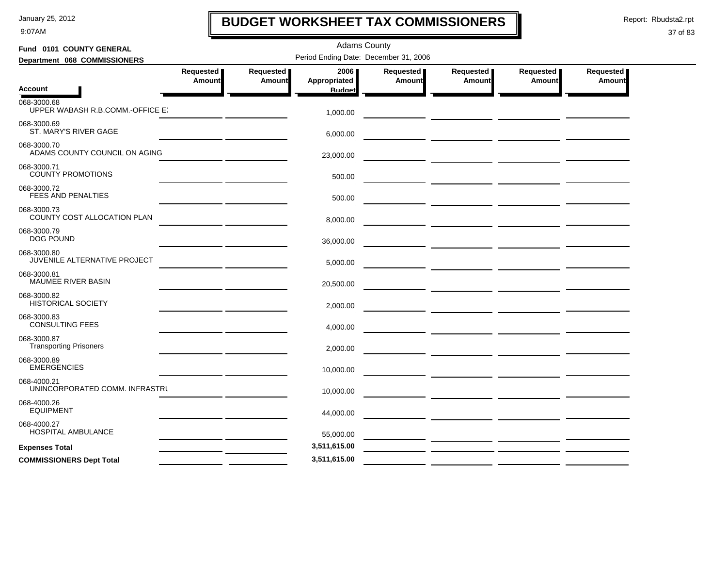9:07AM

# **BUDGET WORKSHEET TAX COMMISSIONERS**

Report: Rbudsta2.rpt

 $\mathbf l$ 

| Fund 0101 COUNTY GENERAL                        |                                                                                                                                                                                                                                                                                                                                                                                                                                                       |                                   | <b>Adams County</b>                   |                            |                                                                                                                       |                     |                     |
|-------------------------------------------------|-------------------------------------------------------------------------------------------------------------------------------------------------------------------------------------------------------------------------------------------------------------------------------------------------------------------------------------------------------------------------------------------------------------------------------------------------------|-----------------------------------|---------------------------------------|----------------------------|-----------------------------------------------------------------------------------------------------------------------|---------------------|---------------------|
| Department 068 COMMISSIONERS                    |                                                                                                                                                                                                                                                                                                                                                                                                                                                       |                                   | Period Ending Date: December 31, 2006 |                            |                                                                                                                       |                     |                     |
|                                                 | <b>Requested</b><br>Amount                                                                                                                                                                                                                                                                                                                                                                                                                            | <b>Requested</b><br><b>Amount</b> | 2006<br>Appropriated                  | Requested<br><b>Amount</b> | Requested<br><b>Amount</b>                                                                                            | Requested<br>Amount | Requested<br>Amount |
| <b>Account</b>                                  |                                                                                                                                                                                                                                                                                                                                                                                                                                                       |                                   | <b>Budget</b>                         |                            |                                                                                                                       |                     |                     |
| 068-3000.68<br>UPPER WABASH R.B.COMM.-OFFICE EX |                                                                                                                                                                                                                                                                                                                                                                                                                                                       |                                   | 1,000.00                              |                            |                                                                                                                       |                     |                     |
| 068-3000.69<br>ST. MARY'S RIVER GAGE            |                                                                                                                                                                                                                                                                                                                                                                                                                                                       |                                   | 6,000.00                              |                            |                                                                                                                       |                     |                     |
| 068-3000.70<br>ADAMS COUNTY COUNCIL ON AGING    |                                                                                                                                                                                                                                                                                                                                                                                                                                                       |                                   | 23,000.00                             |                            |                                                                                                                       |                     |                     |
| 068-3000.71<br><b>COUNTY PROMOTIONS</b>         |                                                                                                                                                                                                                                                                                                                                                                                                                                                       |                                   | 500.00                                |                            |                                                                                                                       |                     |                     |
| 068-3000.72<br>FEES AND PENALTIES               |                                                                                                                                                                                                                                                                                                                                                                                                                                                       |                                   | 500.00                                |                            |                                                                                                                       |                     |                     |
| 068-3000.73<br>COUNTY COST ALLOCATION PLAN      |                                                                                                                                                                                                                                                                                                                                                                                                                                                       |                                   | 8,000.00                              |                            |                                                                                                                       |                     |                     |
| 068-3000.79<br>DOG POUND                        |                                                                                                                                                                                                                                                                                                                                                                                                                                                       |                                   | 36,000.00                             |                            |                                                                                                                       |                     |                     |
| 068-3000.80<br>JUVENILE ALTERNATIVE PROJECT     |                                                                                                                                                                                                                                                                                                                                                                                                                                                       |                                   | 5,000.00                              |                            |                                                                                                                       |                     |                     |
| 068-3000.81<br>MAUMEE RIVER BASIN               |                                                                                                                                                                                                                                                                                                                                                                                                                                                       |                                   | 20,500.00                             |                            | <u> 1980 - John Harry Harry Harry Harry Harry Harry Harry Harry Harry Harry Harry Harry Harry Harry Harry Harry H</u> |                     |                     |
| 068-3000.82<br><b>HISTORICAL SOCIETY</b>        |                                                                                                                                                                                                                                                                                                                                                                                                                                                       |                                   | 2,000.00                              |                            |                                                                                                                       |                     |                     |
| 068-3000.83<br><b>CONSULTING FEES</b>           |                                                                                                                                                                                                                                                                                                                                                                                                                                                       |                                   | 4,000.00                              |                            |                                                                                                                       |                     |                     |
| 068-3000.87<br><b>Transporting Prisoners</b>    |                                                                                                                                                                                                                                                                                                                                                                                                                                                       |                                   | 2,000.00                              |                            |                                                                                                                       |                     |                     |
| 068-3000.89<br><b>EMERGENCIES</b>               |                                                                                                                                                                                                                                                                                                                                                                                                                                                       |                                   | 10,000.00                             |                            | <u> 1990 - Jan Alexandro II, politik eta politik eta politik eta politik eta politik eta politik eta politik eta</u>  |                     |                     |
| 068-4000.21<br>UNINCORPORATED COMM. INFRASTRU   |                                                                                                                                                                                                                                                                                                                                                                                                                                                       |                                   | 10,000.00                             |                            |                                                                                                                       |                     |                     |
| 068-4000.26<br><b>EQUIPMENT</b>                 |                                                                                                                                                                                                                                                                                                                                                                                                                                                       |                                   | 44,000.00                             |                            |                                                                                                                       |                     |                     |
| 068-4000.27<br>HOSPITAL AMBULANCE               |                                                                                                                                                                                                                                                                                                                                                                                                                                                       |                                   | 55,000.00                             |                            |                                                                                                                       |                     |                     |
| <b>Expenses Total</b>                           | $\begin{tabular}{ccccc} \multicolumn{2}{c }{\textbf{1} & \multicolumn{2}{c }{\textbf{2} & \multicolumn{2}{c }{\textbf{3} & \multicolumn{2}{c }{\textbf{4} & \multicolumn{2}{c }{\textbf{5} & \multicolumn{2}{c }{\textbf{6} & \multicolumn{2}{c }{\textbf{6} & \multicolumn{2}{c }{\textbf{6} & \multicolumn{2}{c }{\textbf{6} & \multicolumn{2}{c }{\textbf{6} & \multicolumn{2}{c }{\textbf{6} & \multicolumn{2}{c }{\textbf{6} & \multicolumn{2}{$ |                                   | 3,511,615.00                          |                            | <u> 1980 - Jan Samuel Barbara, poeta estado en la contrador de la contrador de la contrador de la contrador de l</u>  |                     |                     |
| <b>COMMISSIONERS Dept Total</b>                 |                                                                                                                                                                                                                                                                                                                                                                                                                                                       |                                   | 3,511,615.00                          |                            |                                                                                                                       |                     |                     |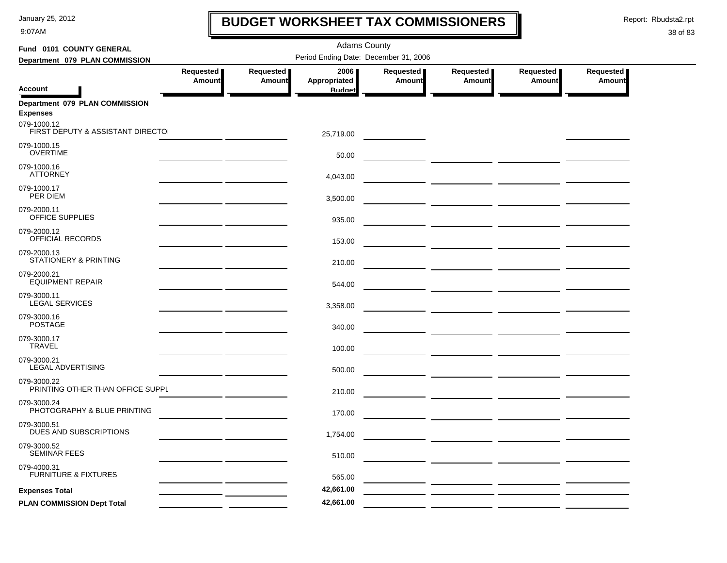9:07AM

# **BUDGET WORKSHEET TAX COMMISSIONERS**

Report: Rbudsta2.rpt

 $\mathbf l$ 

| Fund 0101 COUNTY GENERAL                          |                            |                     | <b>Adams County</b>                   |                            |                     |                            |                            |
|---------------------------------------------------|----------------------------|---------------------|---------------------------------------|----------------------------|---------------------|----------------------------|----------------------------|
| Department 079 PLAN COMMISSION                    |                            |                     | Period Ending Date: December 31, 2006 |                            |                     |                            |                            |
| <b>Account</b>                                    | Requested<br><b>Amount</b> | Requested<br>Amount | 2006<br>Appropriated<br><b>Budget</b> | Requested<br><b>Amount</b> | Requested<br>Amount | Requested<br><b>Amount</b> | Requested<br><b>Amount</b> |
| Department 079 PLAN COMMISSION<br><b>Expenses</b> |                            |                     |                                       |                            |                     |                            |                            |
| 079-1000.12<br>FIRST DEPUTY & ASSISTANT DIRECTOI  |                            |                     | 25,719.00                             |                            |                     |                            |                            |
| 079-1000.15<br><b>OVERTIME</b>                    |                            |                     | 50.00                                 |                            |                     |                            |                            |
| 079-1000.16<br><b>ATTORNEY</b>                    |                            |                     | 4,043.00                              |                            |                     |                            |                            |
| 079-1000.17<br>PER DIEM                           |                            |                     | 3,500.00                              |                            |                     |                            |                            |
| 079-2000.11<br>OFFICE SUPPLIES                    |                            |                     | 935.00                                |                            |                     |                            |                            |
| 079-2000.12<br>OFFICIAL RECORDS                   |                            |                     | 153.00                                |                            |                     |                            |                            |
| 079-2000.13<br>STATIONERY & PRINTING              |                            |                     | 210.00                                |                            |                     |                            |                            |
| 079-2000.21<br><b>EQUIPMENT REPAIR</b>            |                            |                     | 544.00                                |                            |                     |                            |                            |
| 079-3000.11<br><b>LEGAL SERVICES</b>              |                            |                     | 3,358.00                              |                            |                     |                            |                            |
| 079-3000.16<br><b>POSTAGE</b>                     |                            |                     | 340.00                                |                            |                     |                            |                            |
| 079-3000.17<br><b>TRAVEL</b>                      |                            |                     | 100.00                                |                            |                     |                            |                            |
| 079-3000.21<br><b>LEGAL ADVERTISING</b>           |                            |                     | 500.00                                |                            |                     |                            |                            |
| 079-3000.22<br>PRINTING OTHER THAN OFFICE SUPPL   |                            |                     | 210.00                                |                            |                     |                            |                            |
| 079-3000.24<br>PHOTOGRAPHY & BLUE PRINTING        |                            |                     | 170.00                                |                            |                     |                            |                            |
| 079-3000.51<br>DUES AND SUBSCRIPTIONS             |                            |                     | 1,754.00                              |                            |                     |                            |                            |
| 079-3000.52<br><b>SEMINAR FEES</b>                |                            |                     | 510.00                                |                            |                     |                            |                            |
| 079-4000.31<br><b>FURNITURE &amp; FIXTURES</b>    |                            |                     | 565.00                                |                            |                     |                            |                            |
| <b>Expenses Total</b>                             |                            |                     | 42,661.00                             |                            |                     |                            |                            |
| PLAN COMMISSION Dept Total                        |                            |                     | 42,661.00                             |                            |                     |                            |                            |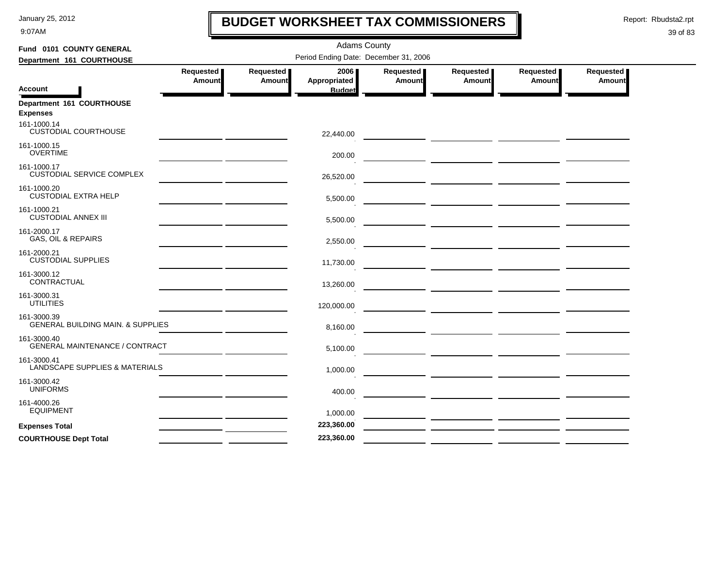9:07AM

# **BUDGET WORKSHEET TAX COMMISSIONERS**

Report: Rbudsta2.rpt

 $\mathbf l$ 

| Period Ending Date: December 31, 2006<br>Department 161 COURTHOUSE<br>Requested<br>Requested<br>2006<br>Requested<br>Requested  <br>Requested  <br>Requested<br>Appropriated<br>Amount<br>Amount<br>Amount<br>Amount<br>Amount<br>Amount<br><b>Account</b><br><b>Budget</b><br>Department 161 COURTHOUSE<br><b>Expenses</b><br>161-1000.14<br><b>CUSTODIAL COURTHOUSE</b><br>22,440.00<br>161-1000.15<br><b>OVERTIME</b><br>200.00<br>161-1000.17<br><b>CUSTODIAL SERVICE COMPLEX</b><br>26,520.00<br>161-1000.20<br><b>CUSTODIAL EXTRA HELP</b><br>5,500.00<br>161-1000.21<br><b>CUSTODIAL ANNEX III</b><br>5,500.00<br>the contract of the contract of the contract of the contract of the contract of<br>161-2000.17<br><b>GAS, OIL &amp; REPAIRS</b><br>2,550.00<br>the contract of the contract of the contract of the<br>161-2000.21<br><b>CUSTODIAL SUPPLIES</b><br>11,730.00<br>the contract of the contract of the contract of<br>161-3000.12<br>CONTRACTUAL<br>13,260.00<br>the control of the control of the control of<br>161-3000.31<br><b>UTILITIES</b><br>120,000.00<br>161-3000.39<br>GENERAL BUILDING MAIN. & SUPPLIES<br>8,160.00<br>161-3000.40<br>GENERAL MAINTENANCE / CONTRACT<br>5,100.00<br>161-3000.41<br>LANDSCAPE SUPPLIES & MATERIALS<br>1,000.00<br>161-3000.42<br><b>UNIFORMS</b><br>400.00<br>161-4000.26<br><b>EQUIPMENT</b><br>1,000.00<br>— <u>— —————</u> <u>——————</u> —————<br>223,360.00<br><b>Expenses Total</b> | Fund 0101 COUNTY GENERAL     |  | <b>Adams County</b> |  |  |
|---------------------------------------------------------------------------------------------------------------------------------------------------------------------------------------------------------------------------------------------------------------------------------------------------------------------------------------------------------------------------------------------------------------------------------------------------------------------------------------------------------------------------------------------------------------------------------------------------------------------------------------------------------------------------------------------------------------------------------------------------------------------------------------------------------------------------------------------------------------------------------------------------------------------------------------------------------------------------------------------------------------------------------------------------------------------------------------------------------------------------------------------------------------------------------------------------------------------------------------------------------------------------------------------------------------------------------------------------------------------------------------------------------------------------------------------------------|------------------------------|--|---------------------|--|--|
|                                                                                                                                                                                                                                                                                                                                                                                                                                                                                                                                                                                                                                                                                                                                                                                                                                                                                                                                                                                                                                                                                                                                                                                                                                                                                                                                                                                                                                                         |                              |  |                     |  |  |
|                                                                                                                                                                                                                                                                                                                                                                                                                                                                                                                                                                                                                                                                                                                                                                                                                                                                                                                                                                                                                                                                                                                                                                                                                                                                                                                                                                                                                                                         |                              |  |                     |  |  |
|                                                                                                                                                                                                                                                                                                                                                                                                                                                                                                                                                                                                                                                                                                                                                                                                                                                                                                                                                                                                                                                                                                                                                                                                                                                                                                                                                                                                                                                         |                              |  |                     |  |  |
|                                                                                                                                                                                                                                                                                                                                                                                                                                                                                                                                                                                                                                                                                                                                                                                                                                                                                                                                                                                                                                                                                                                                                                                                                                                                                                                                                                                                                                                         |                              |  |                     |  |  |
|                                                                                                                                                                                                                                                                                                                                                                                                                                                                                                                                                                                                                                                                                                                                                                                                                                                                                                                                                                                                                                                                                                                                                                                                                                                                                                                                                                                                                                                         |                              |  |                     |  |  |
|                                                                                                                                                                                                                                                                                                                                                                                                                                                                                                                                                                                                                                                                                                                                                                                                                                                                                                                                                                                                                                                                                                                                                                                                                                                                                                                                                                                                                                                         |                              |  |                     |  |  |
|                                                                                                                                                                                                                                                                                                                                                                                                                                                                                                                                                                                                                                                                                                                                                                                                                                                                                                                                                                                                                                                                                                                                                                                                                                                                                                                                                                                                                                                         |                              |  |                     |  |  |
|                                                                                                                                                                                                                                                                                                                                                                                                                                                                                                                                                                                                                                                                                                                                                                                                                                                                                                                                                                                                                                                                                                                                                                                                                                                                                                                                                                                                                                                         |                              |  |                     |  |  |
|                                                                                                                                                                                                                                                                                                                                                                                                                                                                                                                                                                                                                                                                                                                                                                                                                                                                                                                                                                                                                                                                                                                                                                                                                                                                                                                                                                                                                                                         |                              |  |                     |  |  |
|                                                                                                                                                                                                                                                                                                                                                                                                                                                                                                                                                                                                                                                                                                                                                                                                                                                                                                                                                                                                                                                                                                                                                                                                                                                                                                                                                                                                                                                         |                              |  |                     |  |  |
|                                                                                                                                                                                                                                                                                                                                                                                                                                                                                                                                                                                                                                                                                                                                                                                                                                                                                                                                                                                                                                                                                                                                                                                                                                                                                                                                                                                                                                                         |                              |  |                     |  |  |
|                                                                                                                                                                                                                                                                                                                                                                                                                                                                                                                                                                                                                                                                                                                                                                                                                                                                                                                                                                                                                                                                                                                                                                                                                                                                                                                                                                                                                                                         |                              |  |                     |  |  |
|                                                                                                                                                                                                                                                                                                                                                                                                                                                                                                                                                                                                                                                                                                                                                                                                                                                                                                                                                                                                                                                                                                                                                                                                                                                                                                                                                                                                                                                         |                              |  |                     |  |  |
|                                                                                                                                                                                                                                                                                                                                                                                                                                                                                                                                                                                                                                                                                                                                                                                                                                                                                                                                                                                                                                                                                                                                                                                                                                                                                                                                                                                                                                                         |                              |  |                     |  |  |
|                                                                                                                                                                                                                                                                                                                                                                                                                                                                                                                                                                                                                                                                                                                                                                                                                                                                                                                                                                                                                                                                                                                                                                                                                                                                                                                                                                                                                                                         |                              |  |                     |  |  |
|                                                                                                                                                                                                                                                                                                                                                                                                                                                                                                                                                                                                                                                                                                                                                                                                                                                                                                                                                                                                                                                                                                                                                                                                                                                                                                                                                                                                                                                         |                              |  |                     |  |  |
|                                                                                                                                                                                                                                                                                                                                                                                                                                                                                                                                                                                                                                                                                                                                                                                                                                                                                                                                                                                                                                                                                                                                                                                                                                                                                                                                                                                                                                                         |                              |  |                     |  |  |
|                                                                                                                                                                                                                                                                                                                                                                                                                                                                                                                                                                                                                                                                                                                                                                                                                                                                                                                                                                                                                                                                                                                                                                                                                                                                                                                                                                                                                                                         |                              |  |                     |  |  |
|                                                                                                                                                                                                                                                                                                                                                                                                                                                                                                                                                                                                                                                                                                                                                                                                                                                                                                                                                                                                                                                                                                                                                                                                                                                                                                                                                                                                                                                         |                              |  |                     |  |  |
| — <i>—</i>                                                                                                                                                                                                                                                                                                                                                                                                                                                                                                                                                                                                                                                                                                                                                                                                                                                                                                                                                                                                                                                                                                                                                                                                                                                                                                                                                                                                                                              | <b>COURTHOUSE Dept Total</b> |  | 223,360.00          |  |  |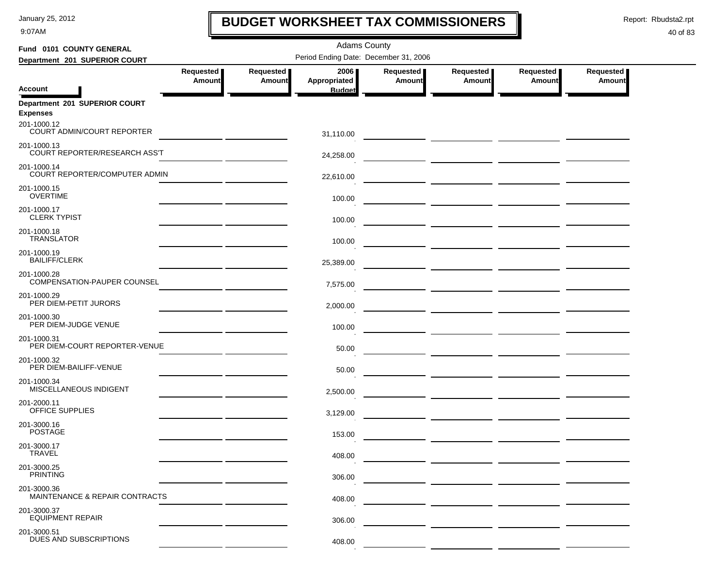9:07AM

# **BUDGET WORKSHEET TAX COMMISSIONERS**

Report: Rbudsta2.rpt

 $\mathbf I$ 

| Fund 0101 COUNTY GENERAL                          |                                                                                                                      |                                                                                                                                                                                                                                      | <b>Adams County</b> |           |           |                                 |                                                                                                                       |  |  |
|---------------------------------------------------|----------------------------------------------------------------------------------------------------------------------|--------------------------------------------------------------------------------------------------------------------------------------------------------------------------------------------------------------------------------------|---------------------|-----------|-----------|---------------------------------|-----------------------------------------------------------------------------------------------------------------------|--|--|
| Department 201 SUPERIOR COURT                     | Period Ending Date: December 31, 2006                                                                                |                                                                                                                                                                                                                                      |                     |           |           |                                 |                                                                                                                       |  |  |
|                                                   | Requested                                                                                                            | Requested                                                                                                                                                                                                                            | 2006                | Requested | Requested | Requested                       | Requested                                                                                                             |  |  |
| <b>Account</b>                                    | <b>Amount</b>                                                                                                        | <b>Amount</b>                                                                                                                                                                                                                        | Appropriated        | Amount    | Amount    | Amount                          | <b>Amount</b>                                                                                                         |  |  |
|                                                   |                                                                                                                      |                                                                                                                                                                                                                                      | <b>Budget</b>       |           |           |                                 |                                                                                                                       |  |  |
| Department 201 SUPERIOR COURT<br><b>Expenses</b>  |                                                                                                                      |                                                                                                                                                                                                                                      |                     |           |           |                                 |                                                                                                                       |  |  |
| 201-1000.12<br>COURT ADMIN/COURT REPORTER         |                                                                                                                      | <u>and the community of the community of the community of the community of the community of the community of the community of the community of the community of the community of the community of the community of the community</u> | 31,110.00           |           |           |                                 | <u>and</u> a strong of the strong strong strong strong strong strong strong strong strong strong strong strong strong |  |  |
| 201-1000.13<br>COURT REPORTER/RESEARCH ASS'T      |                                                                                                                      |                                                                                                                                                                                                                                      | 24,258.00           |           |           |                                 |                                                                                                                       |  |  |
| 201-1000.14<br>COURT REPORTER/COMPUTER ADMIN      |                                                                                                                      |                                                                                                                                                                                                                                      | 22,610.00           |           |           |                                 |                                                                                                                       |  |  |
| 201-1000.15<br><b>OVERTIME</b>                    |                                                                                                                      |                                                                                                                                                                                                                                      | 100.00              |           |           |                                 |                                                                                                                       |  |  |
| 201-1000.17<br><b>CLERK TYPIST</b>                |                                                                                                                      |                                                                                                                                                                                                                                      | 100.00              |           |           |                                 |                                                                                                                       |  |  |
| 201-1000.18<br><b>TRANSLATOR</b>                  |                                                                                                                      |                                                                                                                                                                                                                                      | 100.00              |           |           |                                 |                                                                                                                       |  |  |
| 201-1000.19<br><b>BAILIFF/CLERK</b>               |                                                                                                                      |                                                                                                                                                                                                                                      | 25,389.00           |           |           |                                 |                                                                                                                       |  |  |
| 201-1000.28<br><b>COMPENSATION-PAUPER COUNSEL</b> |                                                                                                                      |                                                                                                                                                                                                                                      | 7,575.00            |           |           |                                 |                                                                                                                       |  |  |
| 201-1000.29<br>PER DIEM-PETIT JURORS              | <u> 1989 - Johann John Harry Harry Harry Harry Harry Harry Harry Harry Harry Harry Harry Harry Harry Harry Harry</u> |                                                                                                                                                                                                                                      | 2,000.00            |           |           |                                 |                                                                                                                       |  |  |
| 201-1000.30<br>PER DIEM-JUDGE VENUE               |                                                                                                                      |                                                                                                                                                                                                                                      | 100.00              |           |           |                                 |                                                                                                                       |  |  |
| 201-1000.31<br>PER DIEM-COURT REPORTER-VENUE      |                                                                                                                      |                                                                                                                                                                                                                                      | 50.00               |           |           | — <u>— —————</u> —————————————— |                                                                                                                       |  |  |
| 201-1000.32<br>PER DIEM-BAILIFF-VENUE             |                                                                                                                      |                                                                                                                                                                                                                                      | 50.00               |           |           |                                 |                                                                                                                       |  |  |
| 201-1000.34<br>MISCELLANEOUS INDIGENT             |                                                                                                                      |                                                                                                                                                                                                                                      | 2,500.00            |           |           |                                 |                                                                                                                       |  |  |
| 201-2000.11<br>OFFICE SUPPLIES                    |                                                                                                                      |                                                                                                                                                                                                                                      | 3,129.00            |           |           |                                 |                                                                                                                       |  |  |
| 201-3000.16<br><b>POSTAGE</b>                     |                                                                                                                      |                                                                                                                                                                                                                                      | 153.00              |           |           |                                 |                                                                                                                       |  |  |
| 201-3000.17<br><b>IRAVEL</b>                      |                                                                                                                      |                                                                                                                                                                                                                                      | 408.00              |           |           |                                 |                                                                                                                       |  |  |
| 201-3000.25<br><b>PRINTING</b>                    |                                                                                                                      |                                                                                                                                                                                                                                      | 306.00              |           |           |                                 |                                                                                                                       |  |  |
| 201-3000.36<br>MAINTENANCE & REPAIR CONTRACTS     |                                                                                                                      |                                                                                                                                                                                                                                      | 408.00              |           |           |                                 |                                                                                                                       |  |  |
| 201-3000.37<br><b>EQUIPMENT REPAIR</b>            |                                                                                                                      |                                                                                                                                                                                                                                      | 306.00              |           |           |                                 |                                                                                                                       |  |  |
| 201-3000.51<br>DUES AND SUBSCRIPTIONS             |                                                                                                                      |                                                                                                                                                                                                                                      | 408.00              |           |           |                                 |                                                                                                                       |  |  |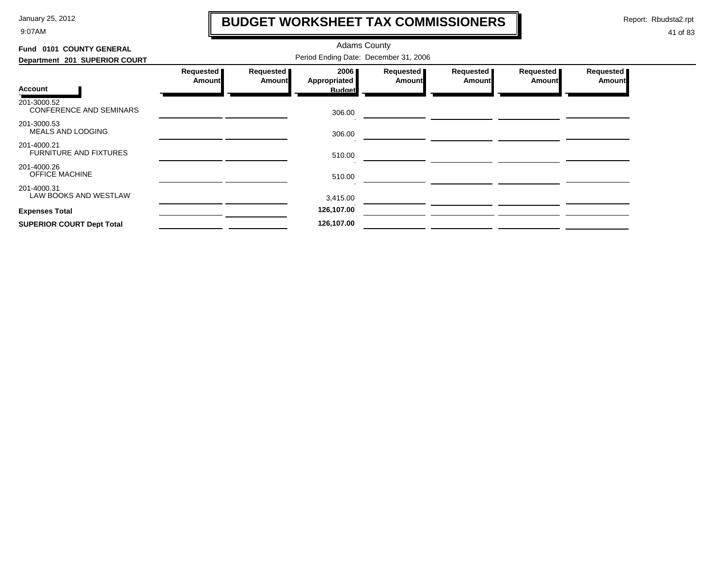9:07AM

# **BUDGET WORKSHEET TAX COMMISSIONERS**

Report: Rbudsta2.rpt

 $\mathbf l$ 

| Fund 0101 COUNTY GENERAL                      |                            |                                   | <b>Adams County</b>  |                            |                            |                       |                              |
|-----------------------------------------------|----------------------------|-----------------------------------|----------------------|----------------------------|----------------------------|-----------------------|------------------------------|
| Department 201 SUPERIOR COURT                 |                            |                                   |                      |                            |                            |                       |                              |
|                                               | Requested<br><b>Amount</b> | <b>Requested</b><br><b>Amount</b> | 2006<br>Appropriated | Requested<br><b>Amount</b> | Requested<br><b>Amount</b> | Requested  <br>Amount | Requested  <br><b>Amount</b> |
| Account                                       |                            |                                   | <b>Budget</b>        |                            |                            |                       |                              |
| 201-3000.52<br><b>CONFERENCE AND SEMINARS</b> |                            |                                   | 306.00               |                            |                            |                       |                              |
| 201-3000.53<br>MEALS AND LODGING              |                            |                                   | 306.00               |                            |                            |                       |                              |
| 201-4000.21<br><b>FURNITURE AND FIXTURES</b>  |                            |                                   | 510.00               |                            |                            |                       |                              |
| 201-4000.26<br><b>OFFICE MACHINE</b>          |                            |                                   | 510.00               |                            |                            |                       |                              |
| 201-4000.31<br>LAW BOOKS AND WESTLAW          |                            |                                   | 3,415.00             |                            |                            |                       |                              |
| <b>Expenses Total</b>                         |                            |                                   | 126,107.00           |                            |                            |                       |                              |
| <b>SUPERIOR COURT Dept Total</b>              |                            |                                   | 126,107.00           |                            |                            |                       |                              |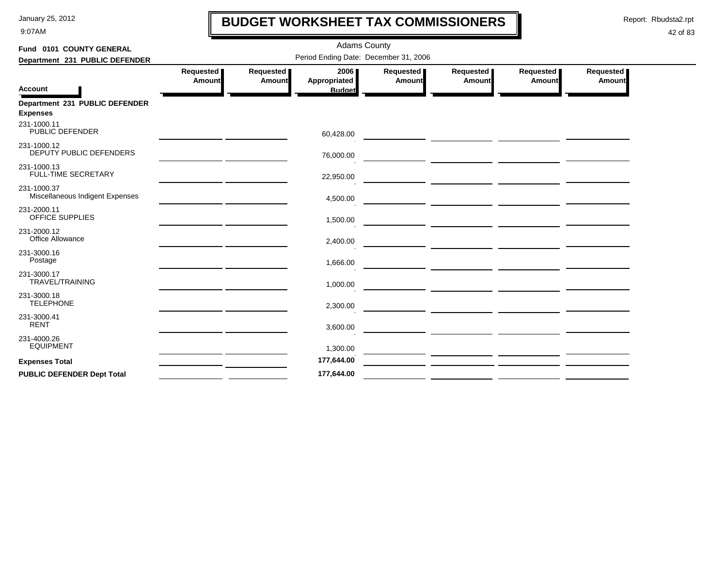9:07AM

# **BUDGET WORKSHEET TAX COMMISSIONERS**

Report: Rbudsta2.rpt

 $\mathbf l$ 

| Fund 0101 COUNTY GENERAL                          |                                       |                            | <b>Adams County</b>                   |                     |                                                                                                                      |                     |                     |  |  |  |  |
|---------------------------------------------------|---------------------------------------|----------------------------|---------------------------------------|---------------------|----------------------------------------------------------------------------------------------------------------------|---------------------|---------------------|--|--|--|--|
| Department 231 PUBLIC DEFENDER                    | Period Ending Date: December 31, 2006 |                            |                                       |                     |                                                                                                                      |                     |                     |  |  |  |  |
| <b>Account</b>                                    | Requested<br>Amount                   | Requested<br><b>Amount</b> | 2006<br>Appropriated<br><b>Budget</b> | Requested<br>Amount | Requested<br>Amount                                                                                                  | Requested<br>Amount | Requested<br>Amount |  |  |  |  |
| Department 231 PUBLIC DEFENDER<br><b>Expenses</b> |                                       |                            |                                       |                     |                                                                                                                      |                     |                     |  |  |  |  |
| 231-1000.11<br>PUBLIC DEFENDER                    |                                       |                            | 60,428.00                             |                     |                                                                                                                      |                     |                     |  |  |  |  |
| 231-1000.12<br>DEPUTY PUBLIC DEFENDERS            |                                       |                            | 76,000.00                             |                     |                                                                                                                      |                     |                     |  |  |  |  |
| 231-1000.13<br><b>FULL-TIME SECRETARY</b>         |                                       |                            | 22,950.00                             |                     |                                                                                                                      |                     |                     |  |  |  |  |
| 231-1000.37<br>Miscellaneous Indigent Expenses    |                                       |                            | 4,500.00                              |                     | <u> 1989 - Johann Barbara, markazi bashkar mashrida a shekara ta 1989 - An tsara tsara tsara tsara tsara tsara t</u> |                     |                     |  |  |  |  |
| 231-2000.11<br>OFFICE SUPPLIES                    |                                       |                            | 1,500.00                              |                     |                                                                                                                      |                     |                     |  |  |  |  |
| 231-2000.12<br>Office Allowance                   |                                       |                            | 2,400.00                              |                     |                                                                                                                      |                     |                     |  |  |  |  |
| 231-3000.16<br>Postage                            |                                       |                            | 1,666.00                              |                     |                                                                                                                      |                     |                     |  |  |  |  |
| 231-3000.17<br><b>TRAVEL/TRAINING</b>             |                                       |                            | 1,000.00                              |                     |                                                                                                                      |                     |                     |  |  |  |  |
| 231-3000.18<br><b>TELEPHONE</b>                   |                                       |                            | 2,300.00                              |                     | <u> 1989 - Jan Barnett, fransk politik (d. 1989)</u>                                                                 |                     |                     |  |  |  |  |
| 231-3000.41<br><b>RENT</b>                        |                                       |                            | 3,600.00                              |                     |                                                                                                                      |                     |                     |  |  |  |  |
| 231-4000.26<br><b>EQUIPMENT</b>                   |                                       |                            | 1,300.00                              |                     |                                                                                                                      |                     |                     |  |  |  |  |
| <b>Expenses Total</b>                             |                                       |                            | 177,644.00                            |                     |                                                                                                                      |                     |                     |  |  |  |  |
| <b>PUBLIC DEFENDER Dept Total</b>                 |                                       |                            | 177,644.00                            |                     |                                                                                                                      |                     |                     |  |  |  |  |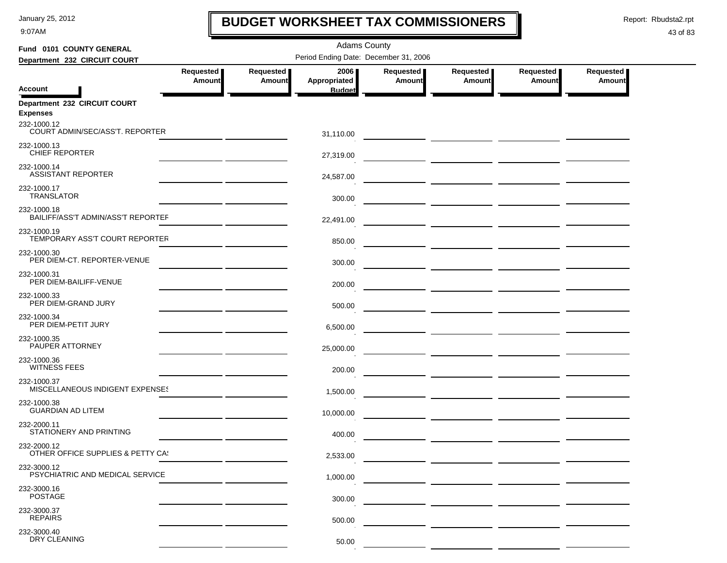9:07AM

# **BUDGET WORKSHEET TAX COMMISSIONERS**

Report: Rbudsta2.rpt

 $\mathbf I$ 

| Fund 0101 COUNTY GENERAL                                 |               |               | <b>Adams County</b>                   |           |                                   |           |               |
|----------------------------------------------------------|---------------|---------------|---------------------------------------|-----------|-----------------------------------|-----------|---------------|
| Department 232 CIRCUIT COURT                             |               |               | Period Ending Date: December 31, 2006 |           |                                   |           |               |
|                                                          | Requested     | Requested     | 2006                                  | Requested | Requested                         | Requested | Requested     |
| <b>Account</b>                                           | <b>Amount</b> | <b>Amount</b> | Appropriated<br><b>Budget</b>         | Amount    | <b>Amount</b>                     | Amount    | <b>Amount</b> |
| Department 232 CIRCUIT COURT<br><b>Expenses</b>          |               |               |                                       |           |                                   |           |               |
| 232-1000.12<br>COURT ADMIN/SEC/ASS'T. REPORTER           |               |               | 31,110.00                             |           |                                   |           |               |
| 232-1000.13<br><b>CHIEF REPORTER</b>                     |               |               | 27,319.00                             |           |                                   |           |               |
| 232-1000.14<br><b>ASSISTANT REPORTER</b>                 |               |               | 24,587.00                             |           |                                   |           |               |
| 232-1000.17<br><b>TRANSLATOR</b>                         |               |               | 300.00                                |           |                                   |           |               |
| 232-1000.18<br><b>BAILIFF/ASS'T ADMIN/ASS'T REPORTEF</b> |               |               | 22,491.00                             |           |                                   |           |               |
| 232-1000.19<br>TEMPORARY ASS'T COURT REPORTER            |               |               | 850.00                                |           |                                   |           |               |
| 232-1000.30<br>PER DIEM-CT. REPORTER-VENUE               |               |               | 300.00                                |           |                                   |           |               |
| 232-1000.31<br>PER DIEM-BAILIFF-VENUE                    |               |               | 200.00                                |           | ____ ______________ _____________ |           |               |
| 232-1000.33<br>PER DIEM-GRAND JURY                       |               |               | 500.00                                |           |                                   |           |               |
| 232-1000.34<br>PER DIEM-PETIT JURY                       |               |               | 6,500.00                              |           |                                   |           |               |
| 232-1000.35<br>PAUPER ATTORNEY                           |               |               | 25,000.00                             |           |                                   |           |               |
| 232-1000.36<br><b>WITNESS FEES</b>                       |               |               | 200.00                                |           |                                   |           |               |
| 232-1000.37<br>MISCELLANEOUS INDIGENT EXPENSES           |               |               | 1,500.00                              |           |                                   |           |               |
| 232-1000.38<br><b>GUARDIAN AD LITEM</b>                  |               |               | 10,000.00                             |           |                                   |           |               |
| 232-2000.11<br>STATIONERY AND PRINTING                   |               |               | 400.00                                |           |                                   |           |               |
| 232-2000.12<br>OTHER OFFICE SUPPLIES & PETTY CA!         |               |               | 2,533.00                              |           |                                   |           |               |
| 232-3000.12<br>PSYCHIATRIC AND MEDICAL SERVICE           |               |               | 1,000.00                              |           |                                   |           |               |
| 232-3000.16<br><b>POSTAGE</b>                            |               |               | 300.00                                |           |                                   |           |               |
| 232-3000.37<br><b>REPAIRS</b>                            |               |               | 500.00                                |           |                                   |           |               |
| 232-3000.40<br>DRY CLEANING                              |               |               | 50.00                                 |           |                                   |           |               |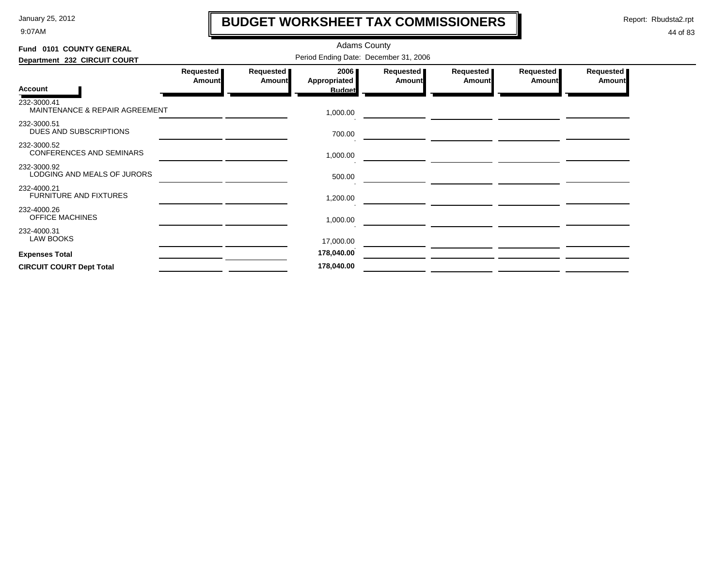9:07AM

# **BUDGET WORKSHEET TAX COMMISSIONERS**

Report: Rbudsta2.rpt

 $\mathbf l$ 

| Fund 0101 COUNTY GENERAL                       |                                       |                            | <b>Adams County</b>         |                     |                     |                              |                              |  |  |  |
|------------------------------------------------|---------------------------------------|----------------------------|-----------------------------|---------------------|---------------------|------------------------------|------------------------------|--|--|--|
| Department 232 CIRCUIT COURT                   | Period Ending Date: December 31, 2006 |                            |                             |                     |                     |                              |                              |  |  |  |
|                                                | Requested<br><b>Amount</b>            | Requested<br><b>Amount</b> | 2006<br><b>Appropriated</b> | Requested<br>Amount | Requested<br>Amount | Requested  <br><b>Amount</b> | Requested  <br><b>Amount</b> |  |  |  |
| <b>Account</b>                                 |                                       |                            | <b>Budget</b>               |                     |                     |                              |                              |  |  |  |
| 232-3000.41<br>MAINTENANCE & REPAIR AGREEMENT  |                                       |                            | 1,000.00                    |                     |                     |                              |                              |  |  |  |
| 232-3000.51<br>DUES AND SUBSCRIPTIONS          |                                       |                            | 700.00                      |                     |                     |                              |                              |  |  |  |
| 232-3000.52<br><b>CONFERENCES AND SEMINARS</b> |                                       |                            | 1,000.00                    |                     |                     |                              |                              |  |  |  |
| 232-3000.92<br>LODGING AND MEALS OF JURORS     |                                       |                            | 500.00                      |                     |                     |                              |                              |  |  |  |
| 232-4000.21<br><b>FURNITURE AND FIXTURES</b>   |                                       |                            | 1,200.00                    |                     |                     |                              |                              |  |  |  |
| 232-4000.26<br><b>OFFICE MACHINES</b>          |                                       |                            | 1,000.00                    |                     |                     |                              |                              |  |  |  |
| 232-4000.31<br><b>LAW BOOKS</b>                |                                       |                            | 17,000.00                   |                     |                     |                              |                              |  |  |  |
| <b>Expenses Total</b>                          |                                       |                            | 178,040.00                  |                     |                     |                              |                              |  |  |  |
| <b>CIRCUIT COURT Dept Total</b>                |                                       |                            | 178,040.00                  |                     |                     |                              |                              |  |  |  |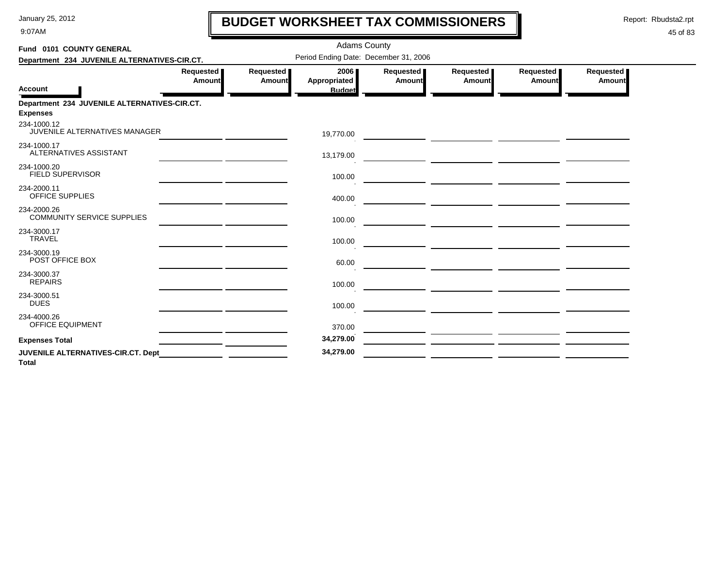9:07AM

# **BUDGET WORKSHEET TAX COMMISSIONERS**

Report: Rbudsta2.rpt

 $\mathbf l$ 

| Fund 0101 COUNTY GENERAL                                        |                            |                     | <b>Adams County</b>                   |                     |                                                 |                     |                     |
|-----------------------------------------------------------------|----------------------------|---------------------|---------------------------------------|---------------------|-------------------------------------------------|---------------------|---------------------|
| Department 234 JUVENILE ALTERNATIVES-CIR.CT.                    |                            |                     | Period Ending Date: December 31, 2006 |                     |                                                 |                     |                     |
| <b>Account</b>                                                  | Requested<br><b>Amount</b> | Requested<br>Amount | 2006<br>Appropriated<br><b>Budget</b> | Requested<br>Amount | Requested<br>Amount                             | Requested<br>Amount | Requested<br>Amount |
| Department 234 JUVENILE ALTERNATIVES-CIR.CT.<br><b>Expenses</b> |                            |                     |                                       |                     |                                                 |                     |                     |
| 234-1000.12<br>JUVENILE ALTERNATIVES MANAGER                    |                            |                     | 19,770.00                             |                     |                                                 |                     |                     |
| 234-1000.17<br>ALTERNATIVES ASSISTANT                           |                            |                     | 13,179.00                             |                     |                                                 |                     |                     |
| 234-1000.20<br><b>FIELD SUPERVISOR</b>                          |                            |                     | 100.00                                |                     | <u> 1989 - Johann John Stone, mars et al. (</u> |                     |                     |
| 234-2000.11<br><b>OFFICE SUPPLIES</b>                           |                            |                     | 400.00                                |                     |                                                 |                     |                     |
| 234-2000.26<br><b>COMMUNITY SERVICE SUPPLIES</b>                |                            |                     | 100.00                                |                     |                                                 |                     |                     |
| 234-3000.17<br><b>TRAVEL</b>                                    |                            |                     | 100.00                                |                     |                                                 |                     |                     |
| 234-3000.19<br>POST OFFICE BOX                                  |                            |                     | 60.00                                 |                     |                                                 |                     |                     |
| 234-3000.37<br><b>REPAIRS</b>                                   |                            |                     | 100.00                                |                     |                                                 |                     |                     |
| 234-3000.51<br><b>DUES</b>                                      |                            |                     | 100.00                                |                     |                                                 |                     |                     |
| 234-4000.26<br>OFFICE EQUIPMENT                                 |                            |                     | 370.00                                |                     |                                                 |                     |                     |
| <b>Expenses Total</b>                                           |                            |                     | 34,279.00                             |                     |                                                 |                     |                     |
| JUVENILE ALTERNATIVES-CIR.CT. Dept<br><b>Total</b>              |                            |                     | 34,279.00                             |                     |                                                 |                     |                     |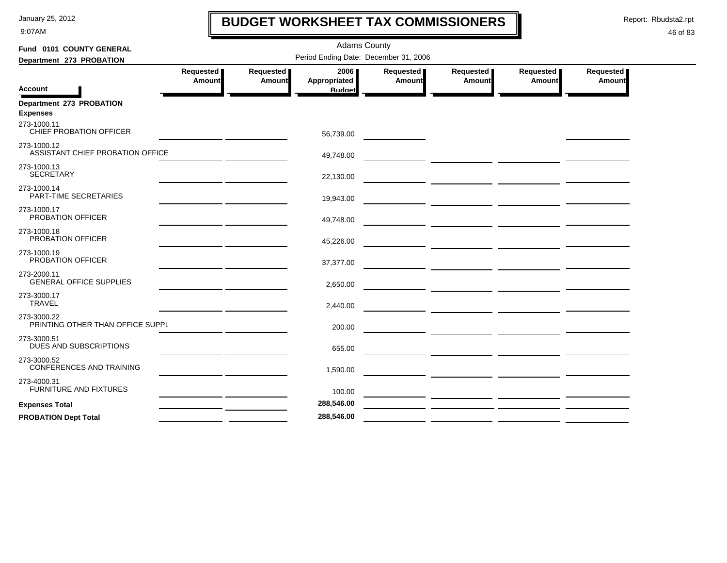9:07AM

# **BUDGET WORKSHEET TAX COMMISSIONERS**

Report: Rbudsta2.rpt

 $\mathbf l$ 

| Fund 0101 COUNTY GENERAL                        | <b>Adams County</b> |                            |                                       |                     |                                                                                                                                                                                                                                      |                                                                                                                                                                                                                                      |                            |  |  |  |
|-------------------------------------------------|---------------------|----------------------------|---------------------------------------|---------------------|--------------------------------------------------------------------------------------------------------------------------------------------------------------------------------------------------------------------------------------|--------------------------------------------------------------------------------------------------------------------------------------------------------------------------------------------------------------------------------------|----------------------------|--|--|--|
| Department 273 PROBATION                        |                     |                            | Period Ending Date: December 31, 2006 |                     |                                                                                                                                                                                                                                      |                                                                                                                                                                                                                                      |                            |  |  |  |
| <b>Account</b>                                  | Requested<br>Amount | Requested<br><b>Amount</b> | 2006<br>Appropriated                  | Requested<br>Amount | Requested<br>Amount                                                                                                                                                                                                                  | Requested<br>Amount                                                                                                                                                                                                                  | Requested<br><b>Amount</b> |  |  |  |
|                                                 |                     |                            | <b>Budget</b>                         |                     |                                                                                                                                                                                                                                      |                                                                                                                                                                                                                                      |                            |  |  |  |
| Department 273 PROBATION<br><b>Expenses</b>     |                     |                            |                                       |                     |                                                                                                                                                                                                                                      |                                                                                                                                                                                                                                      |                            |  |  |  |
| 273-1000.11<br>CHIEF PROBATION OFFICER          |                     |                            | 56,739.00                             |                     |                                                                                                                                                                                                                                      |                                                                                                                                                                                                                                      |                            |  |  |  |
| 273-1000.12<br>ASSISTANT CHIEF PROBATION OFFICE |                     |                            | 49,748.00                             |                     |                                                                                                                                                                                                                                      |                                                                                                                                                                                                                                      |                            |  |  |  |
| 273-1000.13<br><b>SECRETARY</b>                 |                     |                            | 22,130.00                             |                     |                                                                                                                                                                                                                                      |                                                                                                                                                                                                                                      |                            |  |  |  |
| 273-1000.14<br>PART-TIME SECRETARIES            |                     |                            |                                       |                     |                                                                                                                                                                                                                                      |                                                                                                                                                                                                                                      |                            |  |  |  |
|                                                 |                     |                            | 19,943.00                             |                     |                                                                                                                                                                                                                                      |                                                                                                                                                                                                                                      |                            |  |  |  |
| 273-1000.17<br>PROBATION OFFICER                |                     |                            | 49,748.00                             |                     | <u>and the community of the community of the community of the community of the community of the community of the community of the community of the community of the community of the community of the community of the community</u> |                                                                                                                                                                                                                                      |                            |  |  |  |
| 273-1000.18<br>PROBATION OFFICER                |                     |                            | 45,226.00                             |                     |                                                                                                                                                                                                                                      |                                                                                                                                                                                                                                      |                            |  |  |  |
| 273-1000.19<br>PROBATION OFFICER                |                     |                            | 37,377.00                             |                     |                                                                                                                                                                                                                                      |                                                                                                                                                                                                                                      |                            |  |  |  |
| 273-2000.11<br><b>GENERAL OFFICE SUPPLIES</b>   |                     |                            | 2,650.00                              |                     |                                                                                                                                                                                                                                      |                                                                                                                                                                                                                                      |                            |  |  |  |
| 273-3000.17<br><b>TRAVEL</b>                    |                     |                            | 2,440.00                              |                     |                                                                                                                                                                                                                                      |                                                                                                                                                                                                                                      |                            |  |  |  |
| 273-3000.22                                     |                     |                            |                                       |                     |                                                                                                                                                                                                                                      |                                                                                                                                                                                                                                      |                            |  |  |  |
| PRINTING OTHER THAN OFFICE SUPPL                |                     |                            | 200.00                                |                     |                                                                                                                                                                                                                                      |                                                                                                                                                                                                                                      |                            |  |  |  |
| 273-3000.51<br>DUES AND SUBSCRIPTIONS           |                     |                            | 655.00                                |                     |                                                                                                                                                                                                                                      |                                                                                                                                                                                                                                      |                            |  |  |  |
| 273-3000.52<br>CONFERENCES AND TRAINING         |                     |                            | 1,590.00                              |                     |                                                                                                                                                                                                                                      |                                                                                                                                                                                                                                      |                            |  |  |  |
| 273-4000.31<br><b>FURNITURE AND FIXTURES</b>    |                     |                            | 100.00                                |                     |                                                                                                                                                                                                                                      |                                                                                                                                                                                                                                      |                            |  |  |  |
| <b>Expenses Total</b>                           |                     |                            | 288,546.00                            |                     |                                                                                                                                                                                                                                      | <u>and the community of the community of the community of the community of the community of the community of the community of the community of the community of the community of the community of the community of the community</u> |                            |  |  |  |
| <b>PROBATION Dept Total</b>                     |                     |                            | 288,546.00                            |                     |                                                                                                                                                                                                                                      |                                                                                                                                                                                                                                      |                            |  |  |  |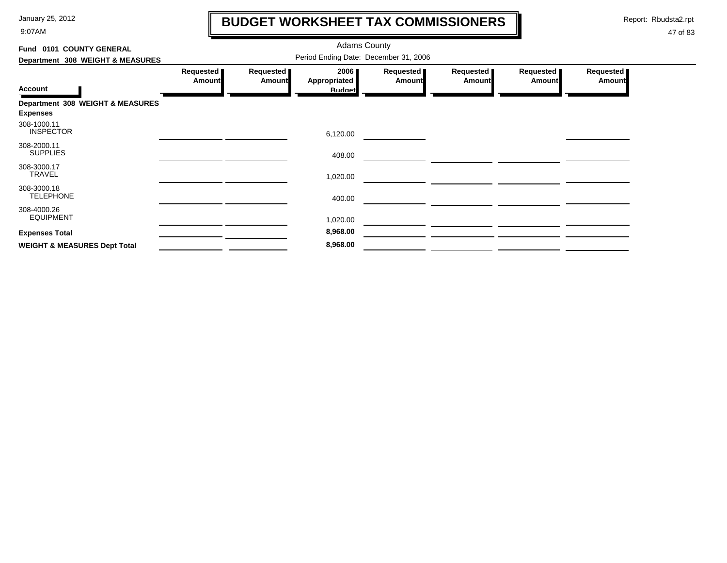9:07AM

# **BUDGET WORKSHEET TAX COMMISSIONERS**

Report: Rbudsta2.rpt

 $\mathbf \mathbf I$ 

| Fund 0101 COUNTY GENERAL                            | <b>Adams County</b>        |                            |                                       |                            |                     |                     |                            |
|-----------------------------------------------------|----------------------------|----------------------------|---------------------------------------|----------------------------|---------------------|---------------------|----------------------------|
| Department 308 WEIGHT & MEASURES                    |                            |                            |                                       |                            |                     |                     |                            |
| <b>Account</b>                                      | Requested<br><b>Amount</b> | Requested<br><b>Amount</b> | 2006<br>Appropriated<br><b>Budget</b> | Requested<br><b>Amount</b> | Requested<br>Amount | Requested<br>Amount | Requested<br><b>Amount</b> |
| Department 308 WEIGHT & MEASURES<br><b>Expenses</b> |                            |                            |                                       |                            |                     |                     |                            |
| 308-1000.11<br><b>INSPECTOR</b>                     |                            |                            | 6,120.00                              |                            |                     |                     |                            |
| 308-2000.11<br><b>SUPPLIES</b>                      |                            |                            | 408.00                                |                            |                     |                     |                            |
| 308-3000.17<br><b>TRAVEL</b>                        |                            |                            | 1,020.00                              |                            |                     |                     |                            |
| 308-3000.18<br><b>TELEPHONE</b>                     |                            |                            | 400.00                                |                            |                     |                     |                            |
| 308-4000.26<br><b>EQUIPMENT</b>                     |                            |                            | 1,020.00                              |                            |                     |                     |                            |
| <b>Expenses Total</b>                               |                            |                            | 8,968.00                              |                            |                     |                     |                            |
| <b>WEIGHT &amp; MEASURES Dept Total</b>             |                            |                            | 8,968.00                              |                            |                     |                     |                            |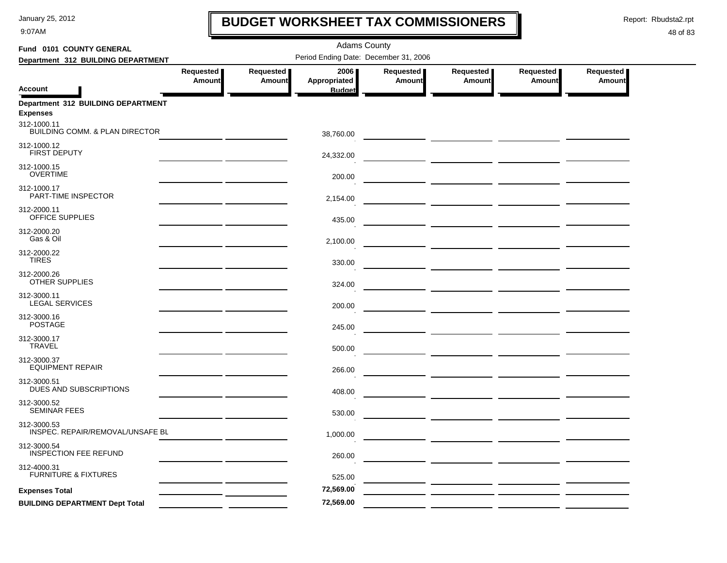9:07AM

# **BUDGET WORKSHEET TAX COMMISSIONERS**

Report: Rbudsta2.rpt

 $\mathbf l$ 

| Fund 0101 COUNTY GENERAL                              |                     |                     | <b>Adams County</b>                   |                     |                     |                     |                     |  |
|-------------------------------------------------------|---------------------|---------------------|---------------------------------------|---------------------|---------------------|---------------------|---------------------|--|
| Department 312 BUILDING DEPARTMENT                    |                     |                     | Period Ending Date: December 31, 2006 |                     |                     |                     |                     |  |
| <b>Account</b>                                        | Requested<br>Amount | Requested<br>Amount | 2006<br>Appropriated<br><b>Budget</b> | Requested<br>Amount | Requested<br>Amount | Requested<br>Amount | Requested<br>Amount |  |
| Department 312 BUILDING DEPARTMENT<br><b>Expenses</b> |                     |                     |                                       |                     |                     |                     |                     |  |
| 312-1000.11<br>BUILDING COMM. & PLAN DIRECTOR         |                     |                     | 38,760.00                             |                     |                     |                     |                     |  |
| 312-1000.12<br><b>FIRST DEPUTY</b>                    |                     |                     | 24,332.00                             |                     |                     |                     |                     |  |
| 312-1000.15<br><b>OVERTIME</b>                        |                     |                     | 200.00                                |                     |                     |                     |                     |  |
| 312-1000.17<br>PART-TIME INSPECTOR                    |                     |                     | 2,154.00                              |                     |                     |                     |                     |  |
| 312-2000.11<br>OFFICE SUPPLIES                        |                     |                     | 435.00                                |                     |                     |                     |                     |  |
| 312-2000.20<br>Gas & Oil                              |                     |                     | 2,100.00                              |                     |                     |                     |                     |  |
| 312-2000.22<br><b>TIRES</b>                           |                     |                     | 330.00                                |                     |                     |                     |                     |  |
| 312-2000.26<br>OTHER SUPPLIES                         |                     |                     | 324.00                                |                     |                     |                     |                     |  |
| 312-3000.11<br><b>LEGAL SERVICES</b>                  |                     |                     | 200.00                                |                     |                     |                     |                     |  |
| 312-3000.16<br><b>POSTAGE</b>                         |                     |                     | 245.00                                |                     |                     |                     |                     |  |
| 312-3000.17<br><b>TRAVEL</b>                          |                     |                     | 500.00                                |                     |                     |                     |                     |  |
| 312-3000.37<br><b>EQUIPMENT REPAIR</b>                |                     |                     | 266.00                                |                     |                     |                     |                     |  |
| 312-3000.51<br>DUES AND SUBSCRIPTIONS                 |                     |                     | 408.00                                |                     |                     |                     |                     |  |
| 312-3000.52<br><b>SEMINAR FEES</b>                    |                     |                     | 530.00                                |                     |                     |                     |                     |  |
| 312-3000.53<br>INSPEC. REPAIR/REMOVAL/UNSAFE BL       |                     |                     | 1,000.00                              |                     |                     |                     |                     |  |
| 312-3000.54<br><b>INSPECTION FEE REFUND</b>           |                     |                     | 260.00                                |                     |                     |                     |                     |  |
| 312-4000.31<br><b>FURNITURE &amp; FIXTURES</b>        |                     |                     | 525.00                                |                     |                     |                     |                     |  |
| <b>Expenses Total</b>                                 |                     |                     | 72,569.00                             |                     |                     |                     |                     |  |
| <b>BUILDING DEPARTMENT Dept Total</b>                 |                     |                     | 72,569.00                             |                     |                     |                     |                     |  |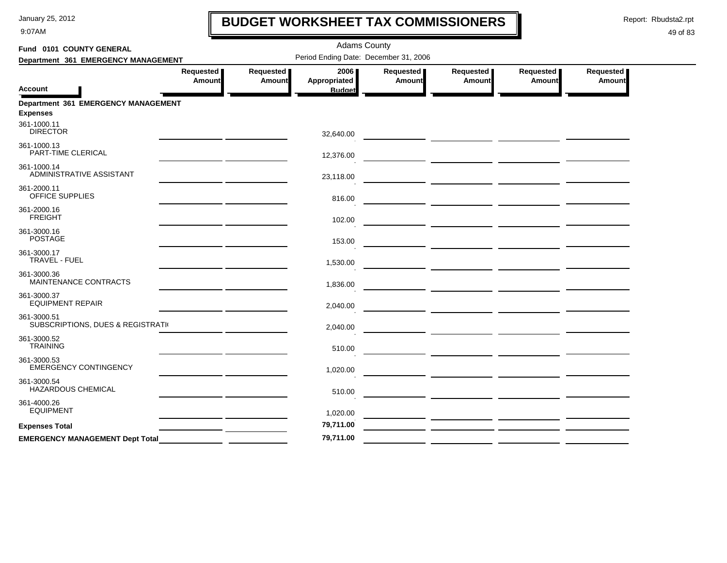9:07AM

# **BUDGET WORKSHEET TAX COMMISSIONERS**

Report: Rbudsta2.rpt

 $\mathbf l$ 

| Fund 0101 COUNTY GENERAL                         |                     |                     | <b>Adams County</b>                   |                            |                                                                                                                      |                       |                     |
|--------------------------------------------------|---------------------|---------------------|---------------------------------------|----------------------------|----------------------------------------------------------------------------------------------------------------------|-----------------------|---------------------|
| Department 361 EMERGENCY MANAGEMENT              |                     |                     | Period Ending Date: December 31, 2006 |                            |                                                                                                                      |                       |                     |
| Account                                          | Requested<br>Amount | Requested<br>Amount | 2006<br>Appropriated<br><b>Budget</b> | Requested<br><b>Amount</b> | Requested<br>Amount                                                                                                  | Requested  <br>Amount | Requested<br>Amount |
| Department 361 EMERGENCY MANAGEMENT              |                     |                     |                                       |                            |                                                                                                                      |                       |                     |
| <b>Expenses</b>                                  |                     |                     |                                       |                            |                                                                                                                      |                       |                     |
| 361-1000.11<br><b>DIRECTOR</b>                   |                     |                     | 32,640.00                             |                            |                                                                                                                      |                       |                     |
| 361-1000.13<br>PART-TIME CLERICAL                |                     |                     | 12,376.00                             |                            |                                                                                                                      |                       |                     |
| 361-1000.14<br>ADMINISTRATIVE ASSISTANT          |                     |                     | 23,118.00                             |                            |                                                                                                                      |                       |                     |
| 361-2000.11<br>OFFICE SUPPLIES                   |                     |                     | 816.00                                |                            | <u> Andreas Andreas Andreas Andreas Andreas Andreas Andreas Andreas Andreas Andreas Andreas Andreas Andreas Andr</u> |                       |                     |
| 361-2000.16<br><b>FREIGHT</b>                    |                     |                     | 102.00                                |                            |                                                                                                                      |                       |                     |
| 361-3000.16<br><b>POSTAGE</b>                    |                     |                     | 153.00                                |                            |                                                                                                                      |                       |                     |
| 361-3000.17<br><b>TRAVEL - FUEL</b>              |                     |                     | 1,530.00                              |                            |                                                                                                                      |                       |                     |
| 361-3000.36<br>MAINTENANCE CONTRACTS             |                     |                     | 1,836.00                              |                            |                                                                                                                      |                       |                     |
| 361-3000.37<br><b>EQUIPMENT REPAIR</b>           |                     |                     | 2,040.00                              |                            |                                                                                                                      |                       |                     |
| 361-3000.51<br>SUBSCRIPTIONS, DUES & REGISTRATIV |                     |                     | 2,040.00                              |                            |                                                                                                                      |                       |                     |
| 361-3000.52<br><b>TRAINING</b>                   |                     |                     | 510.00                                |                            |                                                                                                                      |                       |                     |
| 361-3000.53<br><b>EMERGENCY CONTINGENCY</b>      |                     |                     | 1,020.00                              |                            |                                                                                                                      |                       |                     |
| 361-3000.54<br>HAZARDOUS CHEMICAL                |                     |                     | 510.00                                |                            |                                                                                                                      |                       |                     |
| 361-4000.26<br><b>EQUIPMENT</b>                  |                     |                     | 1,020.00                              |                            |                                                                                                                      |                       |                     |
| <b>Expenses Total</b>                            |                     |                     | 79,711.00                             |                            |                                                                                                                      |                       |                     |
| <b>EMERGENCY MANAGEMENT Dept Total</b>           |                     |                     | 79,711.00                             |                            |                                                                                                                      |                       |                     |
|                                                  |                     |                     |                                       |                            |                                                                                                                      |                       |                     |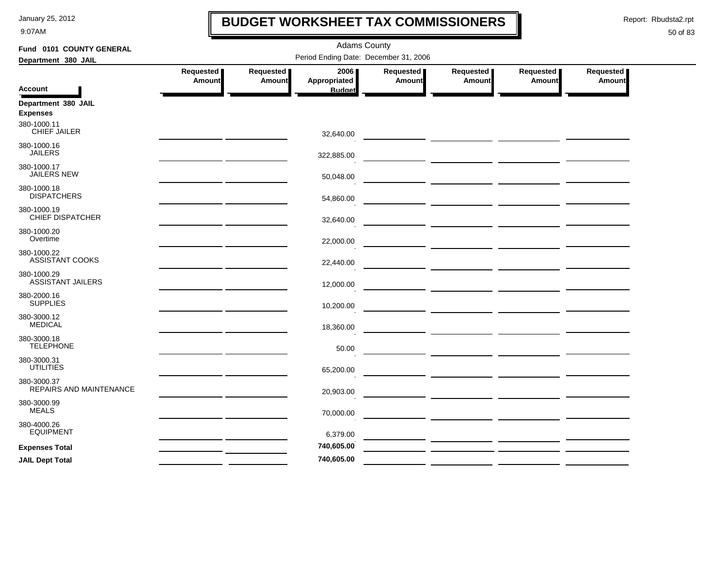9:07AM

## **BUDGET WORKSHEET TAX COMMISSIONERS**

Report: Rbudsta2.rpt

 $\mathbf l$ 

| Fund 0101 COUNTY GENERAL               |                                                   | <b>Adams County</b> |                                       |                  |                                                                                                                                                                                                                                      |           |               |  |  |  |
|----------------------------------------|---------------------------------------------------|---------------------|---------------------------------------|------------------|--------------------------------------------------------------------------------------------------------------------------------------------------------------------------------------------------------------------------------------|-----------|---------------|--|--|--|
| Department 380 JAIL                    |                                                   |                     | Period Ending Date: December 31, 2006 |                  |                                                                                                                                                                                                                                      |           |               |  |  |  |
|                                        | Requested                                         | Requested           | 2006                                  | <b>Requested</b> | Requested                                                                                                                                                                                                                            | Requested | Requested     |  |  |  |
| <b>Account</b>                         | Amount                                            | Amount              | Appropriated<br><b>Budget</b>         | <b>Amount</b>    | <b>Amount</b>                                                                                                                                                                                                                        | Amount    | <b>Amount</b> |  |  |  |
| Department 380 JAIL<br><b>Expenses</b> |                                                   |                     |                                       |                  |                                                                                                                                                                                                                                      |           |               |  |  |  |
| 380-1000.11<br>CHIEF JAILER            |                                                   |                     | 32,640.00                             |                  |                                                                                                                                                                                                                                      |           |               |  |  |  |
| 380-1000.16<br><b>JAILERS</b>          | <u> 1986 - John Stein, amerikansk politiker (</u> |                     | 322,885.00                            |                  | ___ ________ ________ _______                                                                                                                                                                                                        |           |               |  |  |  |
| 380-1000.17<br><b>JAILERS NEW</b>      |                                                   |                     | 50,048.00                             |                  |                                                                                                                                                                                                                                      |           |               |  |  |  |
| 380-1000.18<br><b>DISPATCHERS</b>      |                                                   |                     | 54,860.00                             |                  | <u> 1989 - Johann Barnett, fransk kongresu</u>                                                                                                                                                                                       |           |               |  |  |  |
| 380-1000.19<br><b>CHIEF DISPATCHER</b> |                                                   |                     | 32,640.00                             |                  |                                                                                                                                                                                                                                      |           |               |  |  |  |
| 380-1000.20<br>Overtime                |                                                   |                     | 22,000.00                             |                  | <u> The Communication of the Communication of the Communication of the Communication of the Communication of the Communication of the Communication of the Communication of the Communication of the Communication of the Commun</u> |           |               |  |  |  |
| 380-1000.22<br>ASSISTANT COOKS         |                                                   |                     | 22,440.00                             |                  |                                                                                                                                                                                                                                      |           |               |  |  |  |
| 380-1000.29<br>ASSISTANT JAILERS       |                                                   |                     | 12,000.00                             |                  |                                                                                                                                                                                                                                      |           |               |  |  |  |
| 380-2000.16<br><b>SUPPLIES</b>         |                                                   |                     | 10,200.00                             |                  |                                                                                                                                                                                                                                      |           |               |  |  |  |
| 380-3000.12<br><b>MEDICAL</b>          |                                                   |                     | 18,360.00                             |                  | <u> 1989 - John Harry John Harry Harry Harry Harry Harry Harry Harry Harry Harry Harry Harry Harry Harry Harry H</u>                                                                                                                 |           |               |  |  |  |
| 380-3000.18<br><b>TELEPHONE</b>        |                                                   |                     | 50.00                                 |                  |                                                                                                                                                                                                                                      |           |               |  |  |  |
| 380-3000.31<br><b>UTILITIES</b>        |                                                   |                     | 65,200.00                             |                  | <u> 1989 - John Harry Barn, mars and de la partie de la partie de la partie de la partie de la partie de la partie</u>                                                                                                               |           |               |  |  |  |
| 380-3000.37<br>REPAIRS AND MAINTENANCE |                                                   |                     | 20,903.00                             |                  |                                                                                                                                                                                                                                      |           |               |  |  |  |
| 380-3000.99<br><b>MEALS</b>            |                                                   |                     | 70,000.00                             |                  |                                                                                                                                                                                                                                      |           |               |  |  |  |
| 380-4000.26<br><b>EQUIPMENT</b>        |                                                   |                     | 6,379.00                              |                  |                                                                                                                                                                                                                                      |           |               |  |  |  |
| <b>Expenses Total</b>                  |                                                   |                     | 740,605.00                            |                  |                                                                                                                                                                                                                                      |           |               |  |  |  |
| <b>JAIL Dept Total</b>                 |                                                   |                     | 740,605.00                            |                  |                                                                                                                                                                                                                                      |           |               |  |  |  |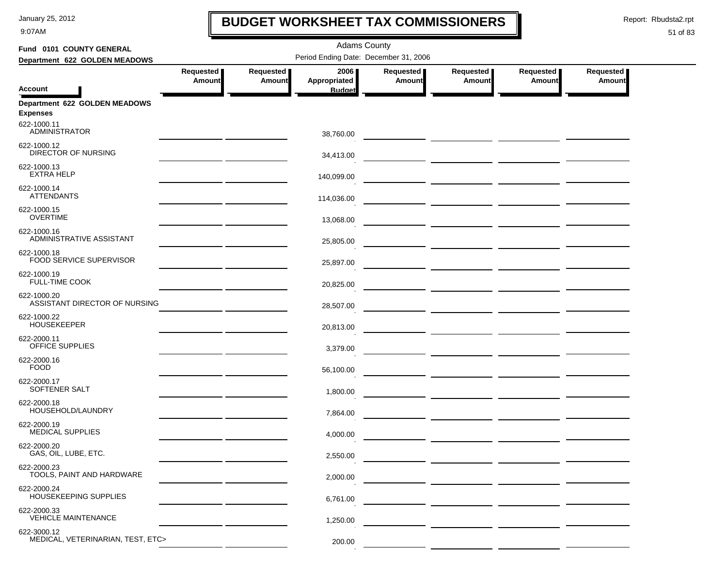9:07AM

# **BUDGET WORKSHEET TAX COMMISSIONERS**

Report: Rbudsta2.rpt

 $\mathbf I$ 

| Fund 0101 COUNTY GENERAL                         |                                       | <b>Adams County</b>        |                      |                            |                                                                                                                                                                                                                                      |                            |                            |  |  |  |  |
|--------------------------------------------------|---------------------------------------|----------------------------|----------------------|----------------------------|--------------------------------------------------------------------------------------------------------------------------------------------------------------------------------------------------------------------------------------|----------------------------|----------------------------|--|--|--|--|
| Department 622 GOLDEN MEADOWS                    | Period Ending Date: December 31, 2006 |                            |                      |                            |                                                                                                                                                                                                                                      |                            |                            |  |  |  |  |
|                                                  | Requested<br><b>Amount</b>            | Requested<br><b>Amount</b> | 2006<br>Appropriated | Requested<br><b>Amount</b> | Requested<br><b>Amount</b>                                                                                                                                                                                                           | Requested<br><b>Amount</b> | Requested<br><b>Amount</b> |  |  |  |  |
| <b>Account</b>                                   |                                       |                            | <b>Budget</b>        |                            |                                                                                                                                                                                                                                      |                            |                            |  |  |  |  |
| Department 622 GOLDEN MEADOWS<br><b>Expenses</b> |                                       |                            |                      |                            |                                                                                                                                                                                                                                      |                            |                            |  |  |  |  |
| 622-1000.11<br><b>ADMINISTRATOR</b>              |                                       |                            | 38,760.00            |                            | <u> 1989 - John Stein, mars and de Branch and de Branch and de Branch and de Branch and de Branch and de Branch a</u>                                                                                                                |                            |                            |  |  |  |  |
| 622-1000.12<br><b>DIRECTOR OF NURSING</b>        |                                       |                            | 34,413.00            |                            |                                                                                                                                                                                                                                      |                            |                            |  |  |  |  |
| 622-1000.13<br><b>EXTRA HELP</b>                 |                                       |                            | 140,099.00           |                            |                                                                                                                                                                                                                                      |                            |                            |  |  |  |  |
| 622-1000.14<br><b>ATTENDANTS</b>                 |                                       |                            | 114,036.00           |                            |                                                                                                                                                                                                                                      |                            |                            |  |  |  |  |
| 622-1000.15<br><b>OVERTIME</b>                   |                                       |                            | 13,068.00            |                            | <u> The Common Service Common Service Common Service Common Service Common Service Common Service Common Service Common Service Common Service Common Service Common Service Common Service Common Service Common Service Common</u> |                            |                            |  |  |  |  |
| 622-1000.16<br>ADMINISTRATIVE ASSISTANT          |                                       |                            | 25,805.00            |                            | — <u>— —————————————————</u>                                                                                                                                                                                                         |                            |                            |  |  |  |  |
| 622-1000.18<br>FOOD SERVICE SUPERVISOR           |                                       |                            | 25,897.00            |                            |                                                                                                                                                                                                                                      |                            |                            |  |  |  |  |
| 622-1000.19<br><b>FULL-TIME COOK</b>             |                                       |                            | 20,825.00            |                            |                                                                                                                                                                                                                                      |                            |                            |  |  |  |  |
| 622-1000.20<br>ASSISTANT DIRECTOR OF NURSING     |                                       |                            | 28,507.00            |                            |                                                                                                                                                                                                                                      |                            |                            |  |  |  |  |
| 622-1000.22<br><b>HOUSEKEEPER</b>                |                                       |                            | 20,813.00            |                            |                                                                                                                                                                                                                                      |                            |                            |  |  |  |  |
| 622-2000.11<br>OFFICE SUPPLIES                   |                                       |                            | 3,379.00             |                            |                                                                                                                                                                                                                                      |                            |                            |  |  |  |  |
| 622-2000.16<br><b>FOOD</b>                       |                                       |                            | 56,100.00            |                            | <u> The Common State Common State Common</u>                                                                                                                                                                                         |                            |                            |  |  |  |  |
| 622-2000.17<br>SOFTENER SALT                     |                                       |                            | 1,800.00             |                            | <u> 1999 - Johann Barbara, martin a</u>                                                                                                                                                                                              |                            |                            |  |  |  |  |
| 622-2000.18<br>HOUSEHOLD/LAUNDRY                 |                                       |                            | 7,864.00             |                            | <u> The Common Section of the Common Section of the Common Section of the Common Section of the Common Section of</u>                                                                                                                |                            |                            |  |  |  |  |
| 622-2000.19<br>MEDICAL SUPPLIES                  |                                       |                            | 4,000.00             |                            |                                                                                                                                                                                                                                      |                            |                            |  |  |  |  |
| 622-2000.20<br>GAS, OIL, LUBE, ETC.              |                                       |                            | 2,550.00             |                            |                                                                                                                                                                                                                                      |                            |                            |  |  |  |  |
| 622-2000.23<br>TOOLS, PAINT AND HARDWARE         |                                       |                            | 2,000.00             |                            |                                                                                                                                                                                                                                      |                            |                            |  |  |  |  |
| 622-2000.24<br>HOUSEKEEPING SUPPLIES             |                                       |                            | 6,761.00             |                            |                                                                                                                                                                                                                                      |                            |                            |  |  |  |  |
| 622-2000.33<br><b>VEHICLE MAINTENANCE</b>        |                                       |                            | 1,250.00             |                            |                                                                                                                                                                                                                                      |                            |                            |  |  |  |  |
| 622-3000.12<br>MEDICAL, VETERINARIAN, TEST, ETC> |                                       |                            | 200.00               |                            |                                                                                                                                                                                                                                      |                            |                            |  |  |  |  |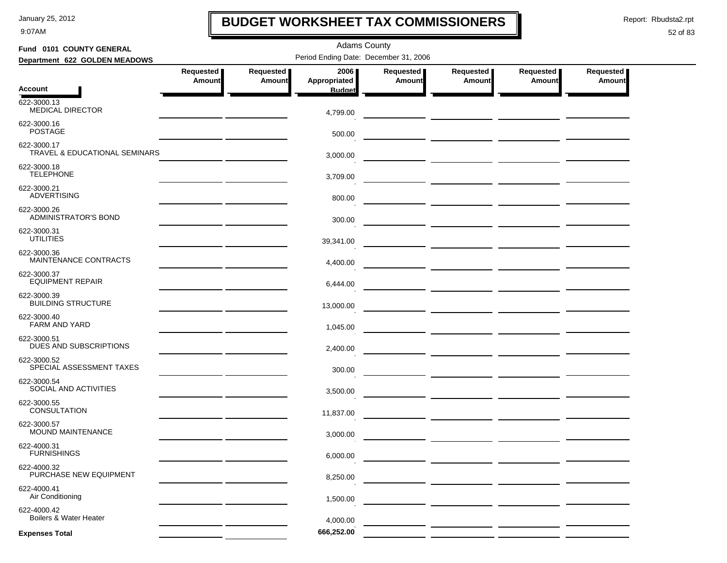9:07AM

# **BUDGET WORKSHEET TAX COMMISSIONERS**

Report: Rbudsta2.rpt

 $\mathbf I$ 

| Fund 0101 COUNTY GENERAL                         |                                                                                                                     |                            | <b>Adams County</b>  |                            |                     |                              |                            |  |  |
|--------------------------------------------------|---------------------------------------------------------------------------------------------------------------------|----------------------------|----------------------|----------------------------|---------------------|------------------------------|----------------------------|--|--|
| Department 622 GOLDEN MEADOWS                    | Period Ending Date: December 31, 2006                                                                               |                            |                      |                            |                     |                              |                            |  |  |
|                                                  | Requested<br>Amount                                                                                                 | Requested<br><b>Amount</b> | 2006<br>Appropriated | Requested<br><b>Amount</b> | Requested<br>Amount | Requested  <br><b>Amount</b> | Requested<br><b>Amount</b> |  |  |
| <b>Account</b>                                   |                                                                                                                     |                            | <b>Budget</b>        |                            |                     |                              |                            |  |  |
| 622-3000.13<br><b>MEDICAL DIRECTOR</b>           |                                                                                                                     |                            | 4,799.00             |                            |                     |                              |                            |  |  |
| 622-3000.16<br><b>POSTAGE</b>                    |                                                                                                                     |                            | 500.00               |                            |                     |                              |                            |  |  |
| 622-3000.17<br>TRAVEL & EDUCATIONAL SEMINARS     |                                                                                                                     |                            | 3,000.00             |                            |                     |                              |                            |  |  |
| 622-3000.18<br><b>TELEPHONE</b>                  |                                                                                                                     |                            | 3,709.00             |                            |                     |                              |                            |  |  |
| 622-3000.21<br><b>ADVERTISING</b>                |                                                                                                                     |                            | 800.00               |                            |                     |                              |                            |  |  |
| 622-3000.26<br>ADMINISTRATOR'S BOND              |                                                                                                                     |                            | 300.00               |                            |                     |                              |                            |  |  |
| 622-3000.31<br><b>UTILITIES</b>                  | the contract of the contract of the contract of                                                                     |                            | 39,341.00            |                            |                     |                              |                            |  |  |
| 622-3000.36<br><b>MAINTENANCE CONTRACTS</b>      | <u> 1989 - John Harry Harry Harry Harry Harry Harry Harry Harry Harry Harry Harry Harry Harry Harry Harry Harry</u> |                            | 4,400.00             |                            |                     |                              |                            |  |  |
| 622-3000.37<br><b>EQUIPMENT REPAIR</b>           | the contract of the contract of the contract of                                                                     |                            | 6,444.00             |                            |                     |                              |                            |  |  |
| 622-3000.39<br><b>BUILDING STRUCTURE</b>         |                                                                                                                     |                            | 13,000.00            |                            |                     |                              |                            |  |  |
| 622-3000.40<br><b>FARM AND YARD</b>              |                                                                                                                     |                            | 1,045.00             |                            |                     |                              |                            |  |  |
| 622-3000.51<br>DUES AND SUBSCRIPTIONS            |                                                                                                                     |                            | 2,400.00             |                            |                     |                              |                            |  |  |
| 622-3000.52<br>SPECIAL ASSESSMENT TAXES          |                                                                                                                     |                            | 300.00               |                            |                     |                              |                            |  |  |
| 622-3000.54<br>SOCIAL AND ACTIVITIES             |                                                                                                                     |                            | 3,500.00             |                            |                     |                              |                            |  |  |
| 622-3000.55<br><b>CONSULTATION</b>               |                                                                                                                     |                            | 11,837.00            |                            |                     |                              |                            |  |  |
| 622-3000.57<br><b>MOUND MAINTENANCE</b>          |                                                                                                                     |                            | 3,000.00             |                            |                     |                              |                            |  |  |
| 622-4000.31<br><b>FURNISHINGS</b>                |                                                                                                                     |                            | 6,000.00             |                            |                     |                              |                            |  |  |
| 622-4000.32<br>PURCHASE NEW EQUIPMENT            |                                                                                                                     |                            | 8,250.00             |                            |                     |                              |                            |  |  |
| 622-4000.41<br>Air Conditioning                  |                                                                                                                     |                            | 1,500.00             |                            |                     |                              |                            |  |  |
| 622-4000.42<br><b>Boilers &amp; Water Heater</b> |                                                                                                                     |                            | 4,000.00             |                            |                     |                              |                            |  |  |
| <b>Expenses Total</b>                            |                                                                                                                     |                            | 666,252.00           |                            |                     |                              |                            |  |  |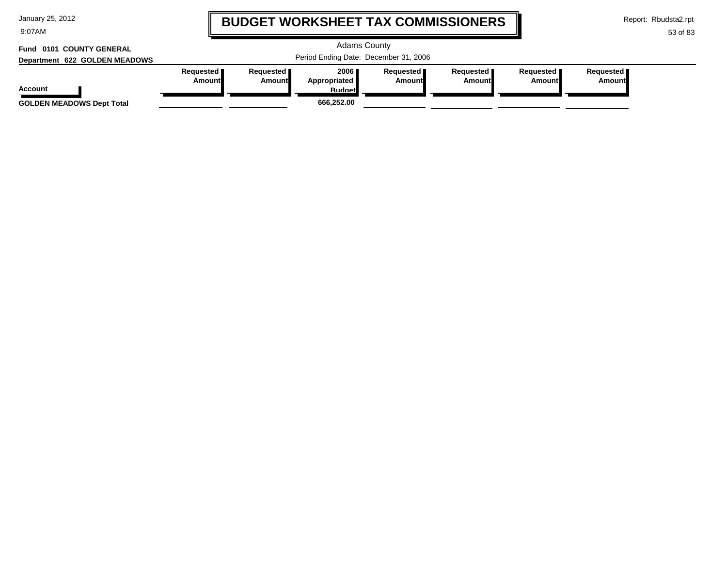9:07AM

# **BUDGET WORKSHEET TAX COMMISSIONERS**

Report: Rbudsta2.rpt

### 53 of 83

#### Adams County Period Ending Date: December 31, 2006 **Account Department 622 GOLDEN MEADOWS Fund 0101 COUNTY GENERAL Requested Amount Requested Amount 2006 Appropriated Budget Requested Amount Requested Amount Requested Amount Requested Amount GOLDEN MEADOWS Dept Total 666,252.00**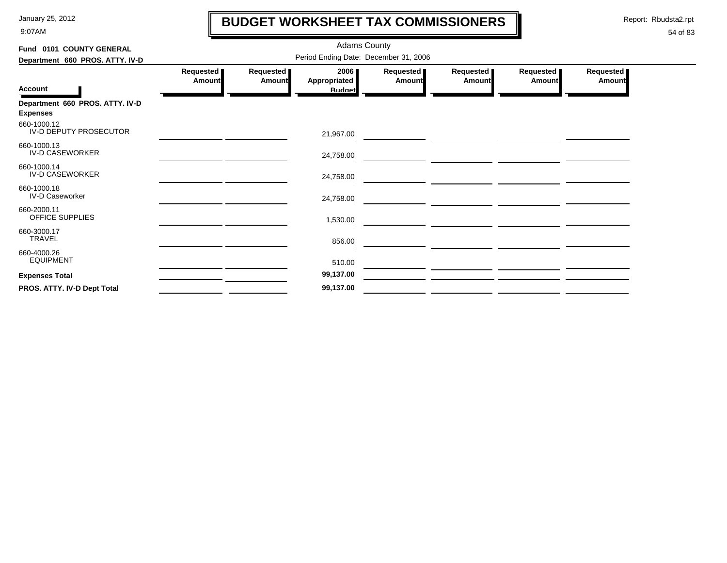9:07AM

# **BUDGET WORKSHEET TAX COMMISSIONERS**

Report: Rbudsta2.rpt

 $\mathbf \mathbf I$ 

| Fund 0101 COUNTY GENERAL                           |                                       | <b>Adams County</b> |                                       |                            |                            |                            |                            |  |  |  |
|----------------------------------------------------|---------------------------------------|---------------------|---------------------------------------|----------------------------|----------------------------|----------------------------|----------------------------|--|--|--|
| Department 660 PROS. ATTY. IV-D                    | Period Ending Date: December 31, 2006 |                     |                                       |                            |                            |                            |                            |  |  |  |
| <b>Account</b>                                     | Requested<br>Amount                   | Requested<br>Amount | 2006<br>Appropriated<br><b>Budget</b> | Requested<br><b>Amount</b> | Requested<br><b>Amount</b> | Requested<br><b>Amount</b> | Requested<br><b>Amount</b> |  |  |  |
| Department 660 PROS. ATTY. IV-D<br><b>Expenses</b> |                                       |                     |                                       |                            |                            |                            |                            |  |  |  |
| 660-1000.12<br>IV-D DEPUTY PROSECUTOR              |                                       |                     | 21,967.00                             |                            |                            |                            |                            |  |  |  |
| 660-1000.13<br><b>IV-D CASEWORKER</b>              |                                       |                     | 24,758.00                             |                            |                            |                            |                            |  |  |  |
| 660-1000.14<br><b>IV-D CASEWORKER</b>              |                                       |                     | 24,758.00                             |                            |                            |                            |                            |  |  |  |
| 660-1000.18<br><b>IV-D Caseworker</b>              |                                       |                     | 24,758.00                             |                            |                            |                            |                            |  |  |  |
| 660-2000.11<br>OFFICE SUPPLIES                     |                                       |                     | 1,530.00                              |                            |                            |                            |                            |  |  |  |
| 660-3000.17<br>TRAVEL                              |                                       |                     | 856.00                                |                            |                            |                            |                            |  |  |  |
| 660-4000.26<br><b>EQUIPMENT</b>                    |                                       |                     | 510.00                                |                            |                            |                            |                            |  |  |  |
| <b>Expenses Total</b>                              |                                       |                     | 99,137.00                             |                            |                            |                            |                            |  |  |  |
| PROS. ATTY. IV-D Dept Total                        |                                       |                     | 99,137.00                             |                            |                            |                            |                            |  |  |  |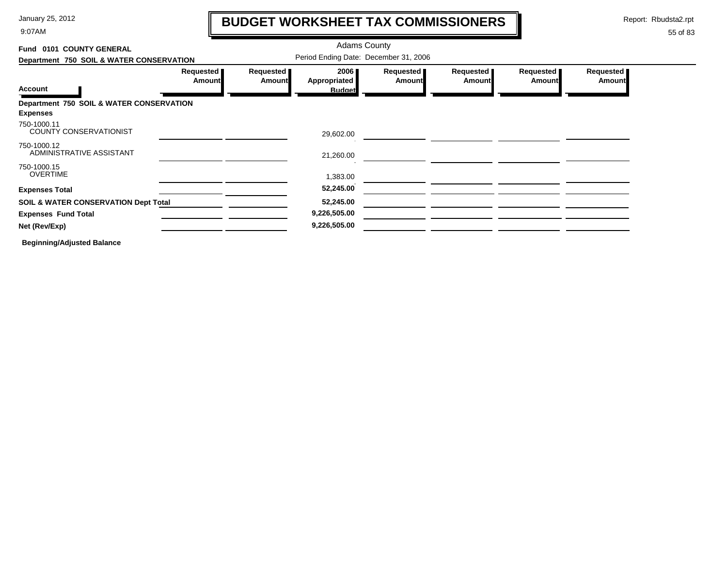9:07AM

# **BUDGET WORKSHEET TAX COMMISSIONERS**

Report: Rbudsta2.rpt

 $\mathbf l$ 

### 55 of 83

| Fund 0101 COUNTY GENERAL                                    |                                       |                            | <b>Adams County</b>  |                     |                            |                       |                            |  |
|-------------------------------------------------------------|---------------------------------------|----------------------------|----------------------|---------------------|----------------------------|-----------------------|----------------------------|--|
| Department 750 SOIL & WATER CONSERVATION                    | Period Ending Date: December 31, 2006 |                            |                      |                     |                            |                       |                            |  |
|                                                             | Requested<br><b>Amount</b>            | Requested<br><b>Amount</b> | 2006<br>Appropriated | Requested<br>Amount | Requested<br><b>Amount</b> | Requested  <br>Amount | Requested<br><b>Amount</b> |  |
| <b>Account</b>                                              |                                       |                            | <b>Budget</b>        |                     |                            |                       |                            |  |
| Department 750 SOIL & WATER CONSERVATION<br><b>Expenses</b> |                                       |                            |                      |                     |                            |                       |                            |  |
| 750-1000.11<br><b>COUNTY CONSERVATIONIST</b>                |                                       |                            | 29,602.00            |                     |                            |                       |                            |  |
| 750-1000.12<br>ADMINISTRATIVE ASSISTANT                     |                                       |                            | 21,260.00            |                     |                            |                       |                            |  |
| 750-1000.15<br><b>OVERTIME</b>                              |                                       |                            | 1,383.00             |                     |                            |                       |                            |  |
| <b>Expenses Total</b>                                       |                                       |                            | 52,245.00            |                     |                            |                       |                            |  |
| <b>SOIL &amp; WATER CONSERVATION Dept Total</b>             |                                       |                            | 52,245.00            |                     |                            |                       |                            |  |
| <b>Expenses Fund Total</b>                                  |                                       |                            | 9,226,505.00         |                     |                            |                       |                            |  |
| Net (Rev/Exp)                                               |                                       |                            | 9,226,505.00         |                     |                            |                       |                            |  |
|                                                             |                                       |                            |                      |                     |                            |                       |                            |  |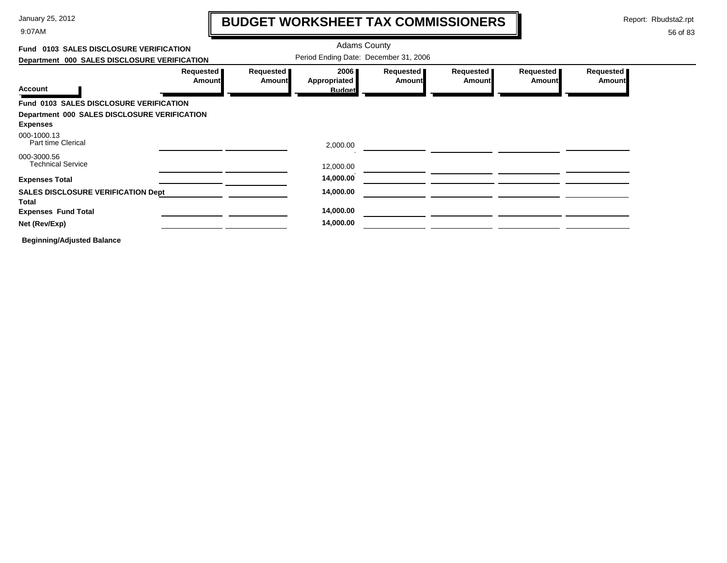9:07AM

# **BUDGET WORKSHEET TAX COMMISSIONERS**

Report: Rbudsta2.rpt

 $\mathbf I$ 

| Fund 0103 SALES DISCLOSURE VERIFICATION            |                              |                     | <b>Adams County</b>                   |                            |                            |                            |                       |  |
|----------------------------------------------------|------------------------------|---------------------|---------------------------------------|----------------------------|----------------------------|----------------------------|-----------------------|--|
| Department 000 SALES DISCLOSURE VERIFICATION       |                              |                     | Period Ending Date: December 31, 2006 |                            |                            |                            |                       |  |
| <b>Account</b>                                     | Requested  <br><b>Amount</b> | Requested<br>Amount | 2006<br>Appropriated                  | Requested<br><b>Amount</b> | Requested<br><b>Amount</b> | Requested<br><b>Amount</b> | Requested  <br>Amount |  |
|                                                    |                              |                     | <b>Budget</b>                         |                            |                            |                            |                       |  |
| Fund 0103 SALES DISCLOSURE VERIFICATION            |                              |                     |                                       |                            |                            |                            |                       |  |
| Department 000 SALES DISCLOSURE VERIFICATION       |                              |                     |                                       |                            |                            |                            |                       |  |
| <b>Expenses</b>                                    |                              |                     |                                       |                            |                            |                            |                       |  |
| 000-1000.13<br>Part time Clerical                  |                              |                     | 2,000.00                              |                            |                            |                            |                       |  |
| 000-3000.56<br><b>Technical Service</b>            |                              |                     | 12,000.00                             |                            |                            |                            |                       |  |
| <b>Expenses Total</b>                              |                              |                     | 14,000.00                             |                            |                            |                            |                       |  |
| <b>SALES DISCLOSURE VERIFICATION Dept</b><br>Total |                              |                     | 14,000.00                             |                            |                            |                            |                       |  |
| <b>Expenses Fund Total</b>                         |                              |                     | 14,000.00                             |                            |                            |                            |                       |  |
| Net (Rev/Exp)                                      |                              |                     | 14,000.00                             |                            |                            |                            |                       |  |
| <b>Beginning/Adjusted Balance</b>                  |                              |                     |                                       |                            |                            |                            |                       |  |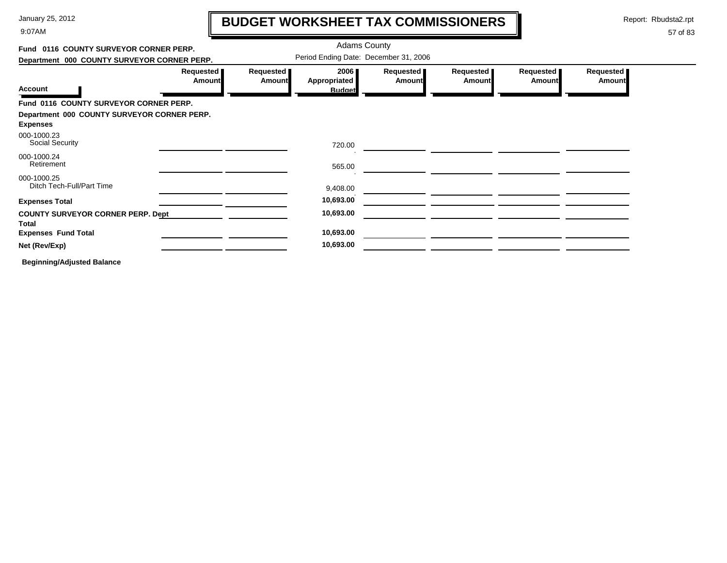9:07AM

# **BUDGET WORKSHEET TAX COMMISSIONERS**

Report: Rbudsta2.rpt

57 of 83

#### Adams County **Fund 0116 COUNTY SURVEYOR CORNER PERP.**Period Ending Date: December 31, 2006 **Department 000 COUNTY SURVEYOR CORNER PERP. Requested Requested Requested Requested Requested Requested 2006 AmountAmountAmountAppropriated Amount Amount Amount Account Budget Fund 0116 COUNTY SURVEYOR CORNER PERP. Department 000 COUNTY SURVEYOR CORNER PERP. Expenses** Social Security 000-1000.23 720.00<u> 2000 - 2000 - 2000 - 2000 - 2000 - 2000 - 2000 - 2000 - 2000 - 2000 - 2000 - 2000 - 2000 - 2000 - 2000 - 200</u> 000-1000.24Retirement 565.00 000-1000.25Ditch Tech-Full/Part Time 9,408.00 **Expenses Total 10,693.00 COUNTY SURVEYOR CORNER PERP. Dept 10,693.00 TotalExpenses Fund Total 10,693.00 Net (Rev/Exp) 10,693.00**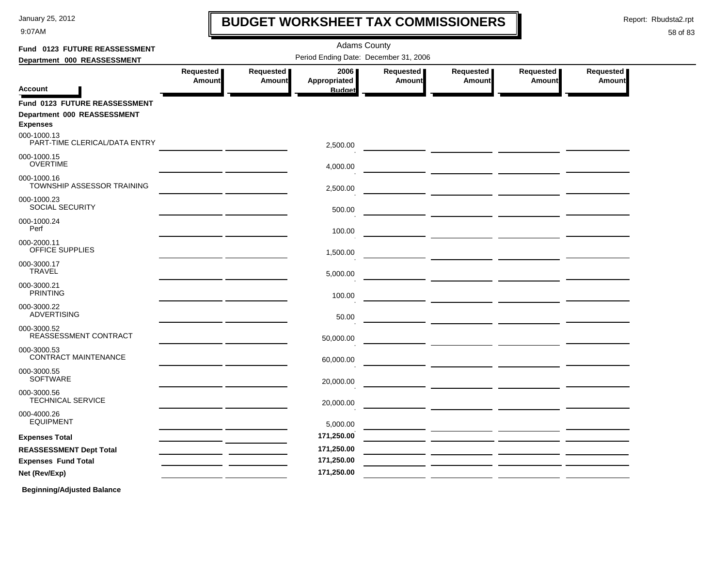9:07AM

# **BUDGET WORKSHEET TAX COMMISSIONERS**

Report: Rbudsta2.rpt

 $\mathbf l$ 

### 58 of 83

| Fund 0123 FUTURE REASSESSMENT                  |                                       |               | <b>Adams County</b> |           |                                                                                    |           |                  |  |  |  |  |  |  |
|------------------------------------------------|---------------------------------------|---------------|---------------------|-----------|------------------------------------------------------------------------------------|-----------|------------------|--|--|--|--|--|--|
| Department 000 REASSESSMENT                    | Period Ending Date: December 31, 2006 |               |                     |           |                                                                                    |           |                  |  |  |  |  |  |  |
|                                                | Requested                             | Requested     | 2006                | Requested | <b>Requested</b>                                                                   | Requested | <b>Requested</b> |  |  |  |  |  |  |
| <b>Account</b>                                 | Amount                                | <b>Amount</b> | Appropriated        | Amount    | Amount                                                                             | Amount    | Amount           |  |  |  |  |  |  |
|                                                |                                       |               | <b>Budget</b>       |           |                                                                                    |           |                  |  |  |  |  |  |  |
| Fund 0123 FUTURE REASSESSMENT                  |                                       |               |                     |           |                                                                                    |           |                  |  |  |  |  |  |  |
| Department 000 REASSESSMENT<br><b>Expenses</b> |                                       |               |                     |           |                                                                                    |           |                  |  |  |  |  |  |  |
| 000-1000.13<br>PART-TIME CLERICAL/DATA ENTRY   |                                       |               | 2,500.00            |           |                                                                                    |           |                  |  |  |  |  |  |  |
| 000-1000.15<br><b>OVERTIME</b>                 |                                       |               | 4,000.00            |           |                                                                                    |           |                  |  |  |  |  |  |  |
| 000-1000.16<br>TOWNSHIP ASSESSOR TRAINING      |                                       |               | 2,500.00            |           |                                                                                    |           |                  |  |  |  |  |  |  |
| 000-1000.23<br><b>SOCIAL SECURITY</b>          |                                       |               | 500.00              |           |                                                                                    |           |                  |  |  |  |  |  |  |
| 000-1000.24<br>Perf                            |                                       |               | 100.00              |           |                                                                                    |           |                  |  |  |  |  |  |  |
| 000-2000.11<br>OFFICE SUPPLIES                 |                                       |               | 1,500.00            |           | $\overline{\phantom{a}}$ and $\overline{\phantom{a}}$ and $\overline{\phantom{a}}$ |           |                  |  |  |  |  |  |  |
| 000-3000.17<br><b>TRAVEL</b>                   |                                       |               | 5,000.00            |           |                                                                                    |           |                  |  |  |  |  |  |  |
| 000-3000.21<br><b>PRINTING</b>                 |                                       |               | 100.00              |           |                                                                                    |           |                  |  |  |  |  |  |  |
| 000-3000.22<br><b>ADVERTISING</b>              |                                       |               | 50.00               |           |                                                                                    |           |                  |  |  |  |  |  |  |
| 000-3000.52<br>REASSESSMENT CONTRACT           |                                       |               | 50,000.00           |           |                                                                                    |           |                  |  |  |  |  |  |  |
| 000-3000.53<br><b>CONTRACT MAINTENANCE</b>     |                                       |               | 60,000.00           |           |                                                                                    |           |                  |  |  |  |  |  |  |
| 000-3000.55<br><b>SOFTWARE</b>                 |                                       |               | 20,000.00           |           |                                                                                    |           |                  |  |  |  |  |  |  |
| 000-3000.56<br><b>TECHNICAL SERVICE</b>        |                                       |               | 20,000.00           |           |                                                                                    |           |                  |  |  |  |  |  |  |
| 000-4000.26<br><b>EQUIPMENT</b>                |                                       |               | 5,000.00            |           |                                                                                    |           |                  |  |  |  |  |  |  |
| <b>Expenses Total</b>                          |                                       |               | 171,250.00          |           |                                                                                    |           |                  |  |  |  |  |  |  |
| <b>REASSESSMENT Dept Total</b>                 |                                       |               | 171,250.00          |           |                                                                                    |           |                  |  |  |  |  |  |  |
| <b>Expenses Fund Total</b>                     |                                       |               | 171,250.00          |           |                                                                                    |           |                  |  |  |  |  |  |  |
| Net (Rev/Exp)                                  |                                       |               | 171,250.00          |           |                                                                                    |           |                  |  |  |  |  |  |  |
|                                                |                                       |               |                     |           |                                                                                    |           |                  |  |  |  |  |  |  |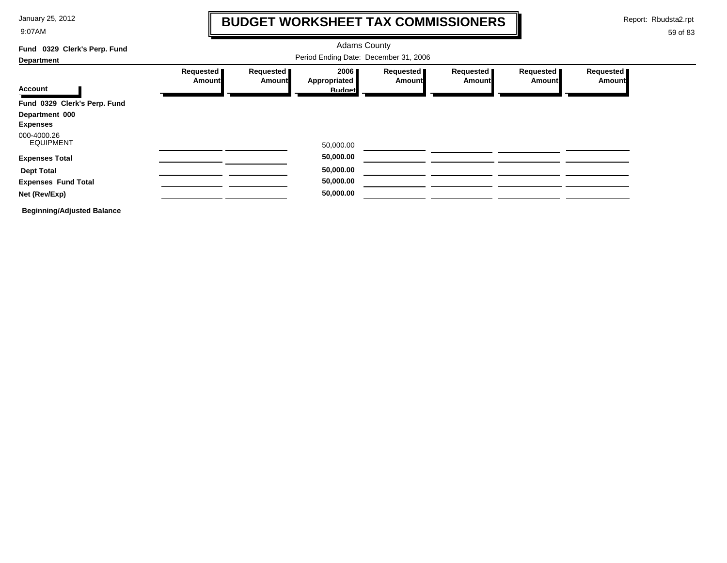9:07AM

# **BUDGET WORKSHEET TAX COMMISSIONERS**

Report: Rbudsta2.rpt

 $\mathbf l$ 

| 0329 Clerk's Perp. Fund<br>Fund   |                            |                       | <b>Adams County</b>                          |                     |                     |                            |                     |
|-----------------------------------|----------------------------|-----------------------|----------------------------------------------|---------------------|---------------------|----------------------------|---------------------|
| <b>Department</b>                 |                            |                       |                                              |                     |                     |                            |                     |
| <b>Account</b>                    | Requested<br><b>Amount</b> | Requested  <br>Amount | 2006<br><b>Appropriated</b><br><b>Budget</b> | Requested<br>Amount | Requested<br>Amount | Requested<br><b>Amount</b> | Requested<br>Amount |
| Fund 0329 Clerk's Perp. Fund      |                            |                       |                                              |                     |                     |                            |                     |
| Department 000<br><b>Expenses</b> |                            |                       |                                              |                     |                     |                            |                     |
| 000-4000.26<br><b>EQUIPMENT</b>   |                            |                       | 50,000.00                                    |                     |                     |                            |                     |
| <b>Expenses Total</b>             |                            |                       | 50,000.00                                    |                     |                     |                            |                     |
| <b>Dept Total</b>                 |                            |                       | 50,000.00                                    |                     |                     |                            |                     |
| <b>Expenses Fund Total</b>        |                            |                       | 50,000.00                                    |                     |                     |                            |                     |
| Net (Rev/Exp)                     |                            |                       | 50,000.00                                    |                     |                     |                            |                     |
| <b>Beginning/Adjusted Balance</b> |                            |                       |                                              |                     |                     |                            |                     |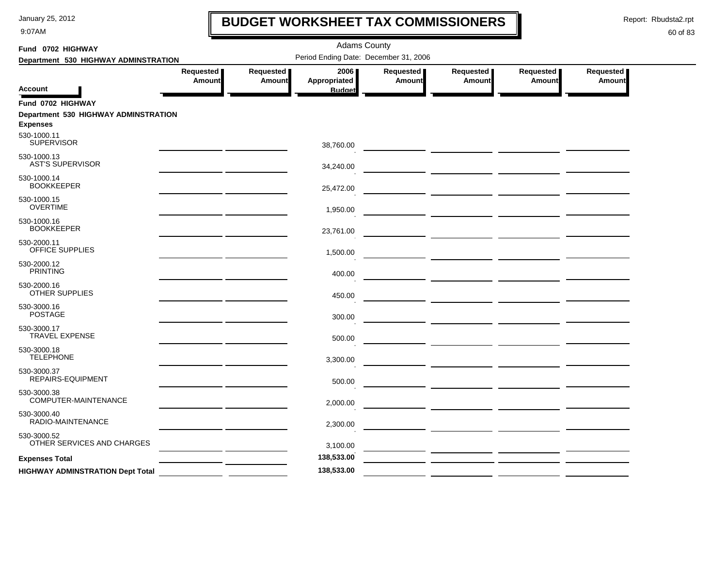9:07AM

# **BUDGET WORKSHEET TAX COMMISSIONERS**

Report: Rbudsta2.rpt

 $\mathbf l$ 

| Fund 0702 HIGHWAY                                       |                                                          | <b>Adams County</b>        |                                       |                            |                     |                                     |                              |  |  |
|---------------------------------------------------------|----------------------------------------------------------|----------------------------|---------------------------------------|----------------------------|---------------------|-------------------------------------|------------------------------|--|--|
| Department 530 HIGHWAY ADMINSTRATION                    |                                                          |                            | Period Ending Date: December 31, 2006 |                            |                     |                                     |                              |  |  |
|                                                         | Requested<br>Amount                                      | Requested<br><b>Amount</b> | 2006<br>Appropriated                  | Requested<br><b>Amount</b> | Requested<br>Amount | Requested<br><b>Amount</b>          | Requested  <br><b>Amount</b> |  |  |
| Account                                                 |                                                          |                            | <b>Budget</b>                         |                            |                     |                                     |                              |  |  |
| Fund 0702 HIGHWAY                                       |                                                          |                            |                                       |                            |                     |                                     |                              |  |  |
| Department 530 HIGHWAY ADMINSTRATION<br><b>Expenses</b> |                                                          |                            |                                       |                            |                     |                                     |                              |  |  |
| 530-1000.11<br><b>SUPERVISOR</b>                        |                                                          |                            | 38,760.00                             |                            |                     |                                     |                              |  |  |
| 530-1000.13<br><b>AST'S SUPERVISOR</b>                  |                                                          |                            | 34,240.00                             |                            |                     |                                     |                              |  |  |
| 530-1000.14<br><b>BOOKKEEPER</b>                        |                                                          |                            | 25,472.00                             |                            |                     |                                     |                              |  |  |
| 530-1000.15<br><b>OVERTIME</b>                          |                                                          |                            | 1,950.00                              |                            |                     |                                     |                              |  |  |
| 530-1000.16<br><b>BOOKKEEPER</b>                        |                                                          |                            | 23,761.00                             |                            |                     |                                     |                              |  |  |
| 530-2000.11<br><b>OFFICE SUPPLIES</b>                   |                                                          |                            | 1,500.00                              |                            |                     | — <u>— —————</u> <u>——————</u> ———— |                              |  |  |
| 530-2000.12<br><b>PRINTING</b>                          |                                                          |                            | 400.00                                |                            |                     |                                     |                              |  |  |
| 530-2000.16<br>OTHER SUPPLIES                           |                                                          |                            | 450.00                                |                            |                     |                                     |                              |  |  |
| 530-3000.16<br><b>POSTAGE</b>                           |                                                          |                            | 300.00                                |                            |                     |                                     |                              |  |  |
| 530-3000.17<br><b>TRAVEL EXPENSE</b>                    |                                                          |                            | 500.00                                |                            |                     |                                     |                              |  |  |
| 530-3000.18<br><b>TELEPHONE</b>                         |                                                          |                            | 3,300.00                              |                            |                     |                                     |                              |  |  |
| 530-3000.37<br>REPAIRS-EQUIPMENT                        |                                                          |                            | 500.00                                |                            |                     |                                     |                              |  |  |
| 530-3000.38<br>COMPUTER-MAINTENANCE                     |                                                          |                            | 2,000.00                              |                            |                     |                                     |                              |  |  |
| 530-3000.40<br>RADIO-MAINTENANCE                        |                                                          |                            | 2,300.00                              |                            |                     |                                     |                              |  |  |
| 530-3000.52<br>OTHER SERVICES AND CHARGES               |                                                          |                            | 3,100.00                              |                            |                     |                                     |                              |  |  |
| <b>Expenses Total</b>                                   |                                                          |                            | 138,533.00                            |                            |                     |                                     |                              |  |  |
| <b>HIGHWAY ADMINSTRATION Dept Total</b>                 | <u> 1989 - Jan Jawa Barat, pangangan pada salah sahi</u> |                            | 138,533.00                            |                            |                     |                                     |                              |  |  |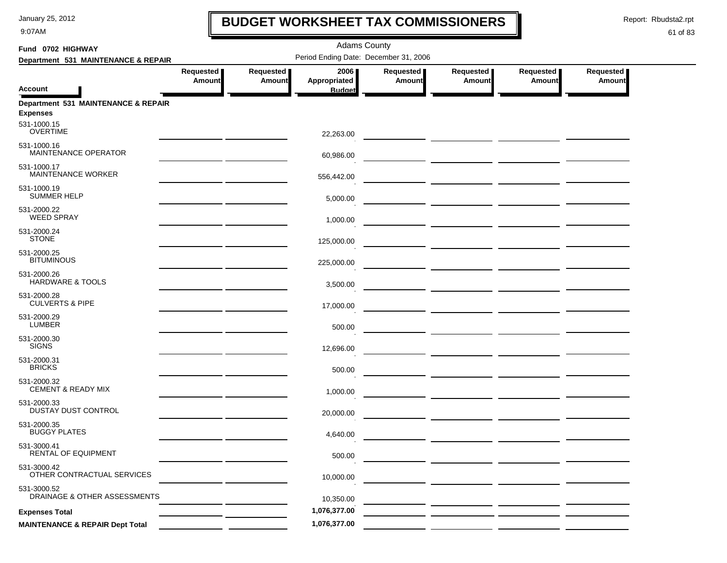9:07AM

# **BUDGET WORKSHEET TAX COMMISSIONERS**

Report: Rbudsta2.rpt

 $\mathbf I$ 

| Fund 0702 HIGHWAY                                      |                              |                     | <b>Adams County</b>                          |                            |                                                                                                                                                                                                                                      |                            |                     |
|--------------------------------------------------------|------------------------------|---------------------|----------------------------------------------|----------------------------|--------------------------------------------------------------------------------------------------------------------------------------------------------------------------------------------------------------------------------------|----------------------------|---------------------|
| Department 531 MAINTENANCE & REPAIR                    |                              |                     | Period Ending Date: December 31, 2006        |                            |                                                                                                                                                                                                                                      |                            |                     |
| <b>Account</b>                                         | Requested  <br><b>Amount</b> | Requested<br>Amount | 2006<br><b>Appropriated</b><br><b>Budget</b> | Requested<br><b>Amount</b> | Requested<br><b>Amount</b>                                                                                                                                                                                                           | Requested<br><b>Amount</b> | Requested<br>Amount |
| Department 531 MAINTENANCE & REPAIR<br><b>Expenses</b> |                              |                     |                                              |                            |                                                                                                                                                                                                                                      |                            |                     |
| 531-1000.15<br><b>OVERTIME</b>                         |                              |                     | 22,263.00                                    |                            |                                                                                                                                                                                                                                      |                            |                     |
| 531-1000.16<br>MAINTENANCE OPERATOR                    |                              |                     | 60,986.00                                    |                            | ____ _________ __________ ________                                                                                                                                                                                                   |                            |                     |
| 531-1000.17<br>MAINTENANCE WORKER                      |                              |                     | 556,442.00                                   |                            |                                                                                                                                                                                                                                      |                            |                     |
| 531-1000.19<br><b>SUMMER HELP</b>                      |                              |                     | 5,000.00                                     |                            |                                                                                                                                                                                                                                      |                            |                     |
| 531-2000.22<br><b>WEED SPRAY</b>                       |                              |                     | 1,000.00                                     |                            |                                                                                                                                                                                                                                      |                            |                     |
| 531-2000.24<br><b>STONE</b>                            |                              |                     | 125,000.00                                   |                            | <u> The Common State of the Common State of the Common State of the Common State of the Common State of the Common State of the Common State of the Common State of the Common State of the Common State of the Common State of </u> |                            |                     |
| 531-2000.25<br><b>BITUMINOUS</b>                       |                              |                     | 225,000.00                                   |                            |                                                                                                                                                                                                                                      |                            |                     |
| 531-2000.26<br><b>HARDWARE &amp; TOOLS</b>             |                              |                     | 3,500.00                                     |                            |                                                                                                                                                                                                                                      |                            |                     |
| 531-2000.28<br><b>CULVERTS &amp; PIPE</b>              |                              |                     | 17,000.00                                    |                            |                                                                                                                                                                                                                                      |                            |                     |
| 531-2000.29<br><b>LUMBER</b>                           |                              |                     | 500.00                                       |                            |                                                                                                                                                                                                                                      |                            |                     |
| 531-2000.30<br><b>SIGNS</b>                            |                              |                     | 12,696.00                                    |                            |                                                                                                                                                                                                                                      |                            |                     |
| 531-2000.31<br><b>BRICKS</b>                           |                              |                     | 500.00                                       |                            |                                                                                                                                                                                                                                      |                            |                     |
| 531-2000.32<br><b>CEMENT &amp; READY MIX</b>           |                              |                     | 1,000.00                                     |                            |                                                                                                                                                                                                                                      |                            |                     |
| 531-2000.33<br>DUSTAY DUST CONTROL                     |                              |                     | 20,000.00                                    |                            |                                                                                                                                                                                                                                      |                            |                     |
| 531-2000.35<br><b>BUGGY PLATES</b>                     |                              |                     | 4,640.00                                     |                            |                                                                                                                                                                                                                                      |                            |                     |
| 531-3000.41<br>RENTAL OF EQUIPMENT                     |                              |                     | 500.00                                       |                            |                                                                                                                                                                                                                                      |                            |                     |
| 531-3000.42<br>OTHER CONTRACTUAL SERVICES              |                              |                     | 10,000.00                                    |                            |                                                                                                                                                                                                                                      |                            |                     |
| 531-3000.52<br>DRAINAGE & OTHER ASSESSMENTS            |                              |                     | 10,350.00                                    |                            |                                                                                                                                                                                                                                      |                            |                     |
| <b>Expenses Total</b>                                  |                              |                     | 1,076,377.00                                 |                            |                                                                                                                                                                                                                                      |                            |                     |
| <b>MAINTENANCE &amp; REPAIR Dept Total</b>             |                              |                     | 1,076,377.00                                 |                            |                                                                                                                                                                                                                                      |                            |                     |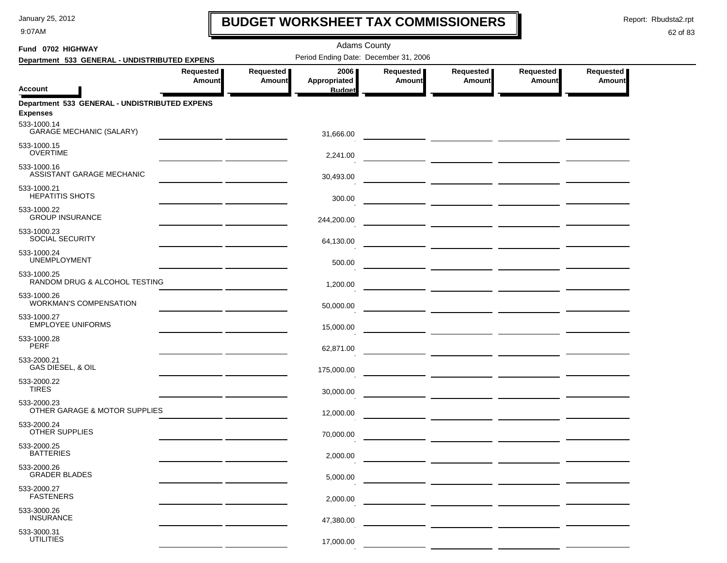9:07AM

# **BUDGET WORKSHEET TAX COMMISSIONERS**

Report: Rbudsta2.rpt

 $\mathbf l$ 

| Fund 0702 HIGHWAY               |                                               |                     |                            | <b>Adams County</b>                   |                     |                                                                                                                      |                                                                                                                        |                     |
|---------------------------------|-----------------------------------------------|---------------------|----------------------------|---------------------------------------|---------------------|----------------------------------------------------------------------------------------------------------------------|------------------------------------------------------------------------------------------------------------------------|---------------------|
|                                 | Department 533 GENERAL - UNDISTRIBUTED EXPENS |                     |                            | Period Ending Date: December 31, 2006 |                     |                                                                                                                      |                                                                                                                        |                     |
|                                 |                                               | Requested<br>Amount | Requested<br><b>Amount</b> | 2006<br>Appropriated                  | Requested<br>Amount | Requested<br><b>Amount</b>                                                                                           | Requested<br><b>Amount</b>                                                                                             | Requested<br>Amount |
| <b>Account</b>                  |                                               |                     |                            | <b>Budget</b>                         |                     |                                                                                                                      |                                                                                                                        |                     |
| <b>Expenses</b><br>533-1000.14  | Department 533 GENERAL - UNDISTRIBUTED EXPENS |                     |                            |                                       |                     |                                                                                                                      |                                                                                                                        |                     |
|                                 | <b>GARAGE MECHANIC (SALARY)</b>               |                     |                            | 31,666.00                             |                     |                                                                                                                      |                                                                                                                        |                     |
| 533-1000.15<br><b>OVERTIME</b>  |                                               |                     |                            | 2,241.00                              |                     |                                                                                                                      |                                                                                                                        |                     |
| 533-1000.16                     | ASSISTANT GARAGE MECHANIC                     |                     |                            | 30,493.00                             |                     | <u> 1989 - Johann Harry Barn, mars and de la partie de la partie de la partie de la partie de la partie de la pa</u> |                                                                                                                        |                     |
| 533-1000.21                     | <b>HEPATITIS SHOTS</b>                        |                     |                            | 300.00                                |                     |                                                                                                                      |                                                                                                                        |                     |
| 533-1000.22                     | <b>GROUP INSURANCE</b>                        |                     |                            | 244,200.00                            |                     |                                                                                                                      |                                                                                                                        |                     |
| 533-1000.23                     | SOCIAL SECURITY                               |                     |                            | 64,130.00                             |                     | — <u>————————————————</u>                                                                                            |                                                                                                                        |                     |
| 533-1000.24                     | <b>UNEMPLOYMENT</b>                           |                     |                            | 500.00                                |                     |                                                                                                                      |                                                                                                                        |                     |
| 533-1000.25                     | RANDOM DRUG & ALCOHOL TESTING                 |                     |                            | 1,200.00                              |                     |                                                                                                                      | <u> 2001 - Johann John Stone, amerikan personal (h. 1878).</u>                                                         |                     |
| 533-1000.26                     | <b>WORKMAN'S COMPENSATION</b>                 |                     |                            | 50,000.00                             |                     |                                                                                                                      |                                                                                                                        |                     |
| 533-1000.27                     | <b>EMPLOYEE UNIFORMS</b>                      |                     |                            | 15,000.00                             |                     |                                                                                                                      |                                                                                                                        |                     |
| 533-1000.28<br><b>PERF</b>      |                                               |                     |                            | 62,871.00                             |                     |                                                                                                                      | <u> 2002 - Jan Barristo, amerikan personal personal personal personal personal personal personal personal personal</u> |                     |
| 533-2000.21                     | GAS DIESEL, & OIL                             |                     |                            | 175,000.00                            |                     |                                                                                                                      |                                                                                                                        |                     |
| 533-2000.22<br><b>TIRES</b>     |                                               |                     |                            | 30,000.00                             |                     |                                                                                                                      |                                                                                                                        |                     |
| 533-2000.23                     | OTHER GARAGE & MOTOR SUPPLIES                 |                     |                            | 12,000.00                             |                     |                                                                                                                      |                                                                                                                        |                     |
| 533-2000.24                     | OTHER SUPPLIES                                |                     |                            | 70,000.00                             |                     | <u>and</u> the control of the control of the control of the control of the control of the control of the control of  |                                                                                                                        |                     |
| 533-2000.25<br><b>BATTERIES</b> |                                               |                     |                            | 2,000.00                              |                     |                                                                                                                      |                                                                                                                        |                     |
| 533-2000.26                     | <b>GRADER BLADES</b>                          |                     |                            | 5,000.00                              |                     |                                                                                                                      |                                                                                                                        |                     |
| 533-2000.27<br><b>FASTENERS</b> |                                               |                     |                            | 2,000.00                              |                     |                                                                                                                      |                                                                                                                        |                     |
| 533-3000.26<br><b>INSURANCE</b> |                                               |                     |                            | 47,380.00                             |                     |                                                                                                                      |                                                                                                                        |                     |
| 533-3000.31<br><b>UTILITIES</b> |                                               |                     |                            | 17,000.00                             |                     |                                                                                                                      |                                                                                                                        |                     |
|                                 |                                               |                     |                            |                                       |                     |                                                                                                                      |                                                                                                                        |                     |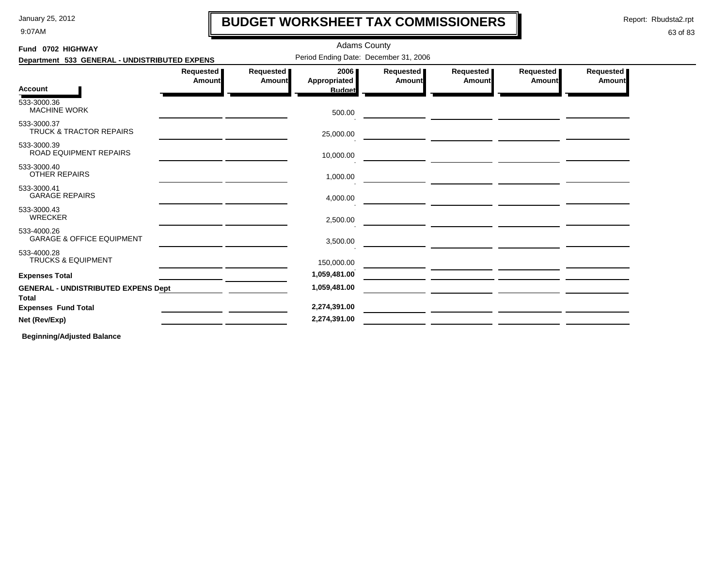9:07AM

# **BUDGET WORKSHEET TAX COMMISSIONERS**

Report: Rbudsta2.rpt

### 63 of 83

| Fund 0702 HIGHWAY                                          |                              |                     | <b>Adams County</b>                   |                     |                                                                                                                     |                            |                            |
|------------------------------------------------------------|------------------------------|---------------------|---------------------------------------|---------------------|---------------------------------------------------------------------------------------------------------------------|----------------------------|----------------------------|
| Department 533 GENERAL - UNDISTRIBUTED EXPENS              |                              |                     | Period Ending Date: December 31, 2006 |                     |                                                                                                                     |                            |                            |
|                                                            | Requested  <br><b>Amount</b> | Requested<br>Amount | 2006<br>Appropriated                  | Requested<br>Amount | Requested<br><b>Amount</b>                                                                                          | Requested<br><b>Amount</b> | Requested<br><b>Amount</b> |
| <b>Account</b>                                             |                              |                     | <b>Budget</b>                         |                     |                                                                                                                     |                            |                            |
| 533-3000.36<br><b>MACHINE WORK</b>                         |                              |                     | 500.00                                |                     |                                                                                                                     |                            |                            |
| 533-3000.37<br><b>TRUCK &amp; TRACTOR REPAIRS</b>          |                              |                     | 25,000.00                             |                     |                                                                                                                     |                            |                            |
| 533-3000.39<br>ROAD EQUIPMENT REPAIRS                      |                              |                     | 10,000.00                             |                     |                                                                                                                     |                            |                            |
| 533-3000.40<br><b>OTHER REPAIRS</b>                        |                              |                     | 1,000.00                              |                     | <u> Alban a shekara ta 1999 a shekara ta 1999 a shekara ta 1999 a shekara ta 1999 a shekara ta 1999 a shekara t</u> |                            |                            |
| 533-3000.41<br><b>GARAGE REPAIRS</b>                       |                              |                     | 4,000.00                              |                     |                                                                                                                     |                            |                            |
| 533-3000.43<br><b>WRECKER</b>                              |                              |                     | 2,500.00                              |                     |                                                                                                                     |                            |                            |
| 533-4000.26<br><b>GARAGE &amp; OFFICE EQUIPMENT</b>        |                              |                     | 3,500.00                              |                     |                                                                                                                     |                            |                            |
| 533-4000.28<br><b>TRUCKS &amp; EQUIPMENT</b>               |                              |                     | 150,000.00                            |                     |                                                                                                                     |                            |                            |
| <b>Expenses Total</b>                                      |                              |                     | 1,059,481.00                          |                     |                                                                                                                     |                            |                            |
| <b>GENERAL - UNDISTRIBUTED EXPENS Dept</b><br><b>Total</b> |                              |                     | 1,059,481.00                          |                     |                                                                                                                     |                            |                            |
| <b>Expenses Fund Total</b>                                 |                              |                     | 2,274,391.00                          |                     |                                                                                                                     |                            |                            |
| Net (Rev/Exp)                                              |                              |                     | 2,274,391.00                          |                     |                                                                                                                     |                            |                            |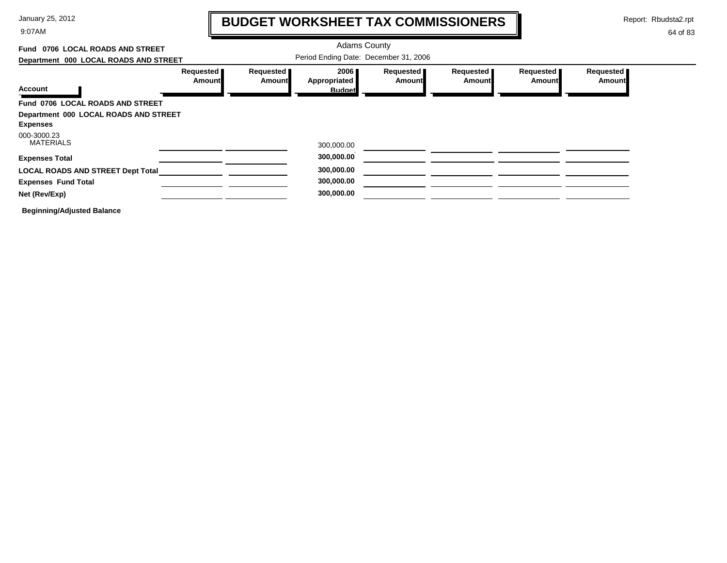9:07AM

# **BUDGET WORKSHEET TAX COMMISSIONERS**

Report: Rbudsta2.rpt

 $\mathbf l$ 

| Fund 0706 LOCAL ROADS AND STREET         |                               |                                       |                      |                                     |                     |                       |                     |
|------------------------------------------|-------------------------------|---------------------------------------|----------------------|-------------------------------------|---------------------|-----------------------|---------------------|
| Department 000 LOCAL ROADS AND STREET    |                               | Period Ending Date: December 31, 2006 |                      |                                     |                     |                       |                     |
| Account                                  | Requested <b>I</b><br>Amount∎ | Requested<br>Amount                   | 2006<br>Appropriated | Requested <b>I</b><br><b>Amount</b> | Requested<br>Amount | Requested  <br>Amount | Requested<br>Amount |
|                                          |                               |                                       | <b>Budget</b>        |                                     |                     |                       |                     |
| Fund 0706 LOCAL ROADS AND STREET         |                               |                                       |                      |                                     |                     |                       |                     |
| Department 000 LOCAL ROADS AND STREET    |                               |                                       |                      |                                     |                     |                       |                     |
| <b>Expenses</b>                          |                               |                                       |                      |                                     |                     |                       |                     |
| 000-3000.23<br><b>MATERIALS</b>          |                               |                                       | 300,000.00           |                                     |                     |                       |                     |
| <b>Expenses Total</b>                    |                               |                                       | 300,000.00           |                                     |                     |                       |                     |
| <b>LOCAL ROADS AND STREET Dept Total</b> |                               |                                       | 300,000.00           |                                     |                     |                       |                     |
| <b>Expenses Fund Total</b>               |                               |                                       | 300,000.00           |                                     |                     |                       |                     |
| Net (Rev/Exp)                            |                               |                                       | 300,000.00           |                                     |                     |                       |                     |
| <b>Beginning/Adjusted Balance</b>        |                               |                                       |                      |                                     |                     |                       |                     |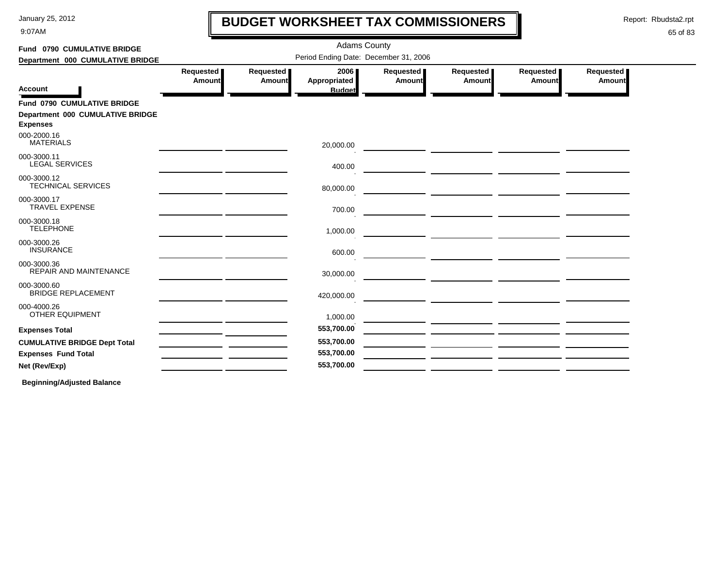9:07AM

# **BUDGET WORKSHEET TAX COMMISSIONERS**

Report: Rbudsta2.rpt

 $\mathbf l$ 

### 65 of 83

| Fund 0790 CUMULATIVE BRIDGE<br>Department 000 CUMULATIVE BRIDGE                           | <b>Adams County</b><br>Period Ending Date: December 31, 2006 |                     |                                       |                            |                                                                                                                       |                            |                            |  |
|-------------------------------------------------------------------------------------------|--------------------------------------------------------------|---------------------|---------------------------------------|----------------------------|-----------------------------------------------------------------------------------------------------------------------|----------------------------|----------------------------|--|
| <b>Account</b>                                                                            | Requested<br><b>Amount</b>                                   | Requested<br>Amount | 2006<br>Appropriated<br><b>Budget</b> | Requested<br><b>Amount</b> | Requested<br><b>Amount</b>                                                                                            | Requested<br><b>Amount</b> | Requested<br><b>Amount</b> |  |
| <b>Fund 0790 CUMULATIVE BRIDGE</b><br>Department 000 CUMULATIVE BRIDGE<br><b>Expenses</b> |                                                              |                     |                                       |                            |                                                                                                                       |                            |                            |  |
| 000-2000.16<br><b>MATERIALS</b>                                                           |                                                              |                     | 20,000.00                             |                            |                                                                                                                       |                            |                            |  |
| 000-3000.11<br><b>LEGAL SERVICES</b>                                                      |                                                              |                     | 400.00                                |                            |                                                                                                                       |                            |                            |  |
| 000-3000.12<br><b>TECHNICAL SERVICES</b>                                                  |                                                              |                     | 80,000.00                             |                            |                                                                                                                       |                            |                            |  |
| 000-3000.17<br><b>TRAVEL EXPENSE</b>                                                      |                                                              |                     | 700.00                                |                            |                                                                                                                       |                            |                            |  |
| 000-3000.18<br><b>TELEPHONE</b>                                                           |                                                              |                     | 1,000.00                              |                            |                                                                                                                       |                            |                            |  |
| 000-3000.26<br><b>INSURANCE</b>                                                           |                                                              |                     | 600.00                                |                            | <u> 1980 - Johann Barbara, markazi ya kutoka mwaka wa 1980 - Andrea Markazi ya Kisara mwaka wa 1980 - Andrea Mark</u> |                            |                            |  |
| 000-3000.36<br>REPAIR AND MAINTENANCE                                                     |                                                              |                     | 30,000.00                             |                            |                                                                                                                       |                            |                            |  |
| 000-3000.60<br><b>BRIDGE REPLACEMENT</b>                                                  |                                                              |                     | 420,000.00                            |                            |                                                                                                                       |                            |                            |  |
| 000-4000.26<br>OTHER EQUIPMENT                                                            |                                                              |                     | 1,000.00                              |                            |                                                                                                                       |                            |                            |  |
| <b>Expenses Total</b>                                                                     |                                                              |                     | 553,700.00                            |                            |                                                                                                                       |                            |                            |  |
| <b>CUMULATIVE BRIDGE Dept Total</b>                                                       |                                                              |                     | 553,700.00                            |                            |                                                                                                                       |                            |                            |  |
| <b>Expenses Fund Total</b>                                                                |                                                              |                     | 553,700.00                            |                            |                                                                                                                       |                            |                            |  |
| Net (Rev/Exp)                                                                             |                                                              |                     | 553,700.00                            |                            |                                                                                                                       |                            |                            |  |
|                                                                                           |                                                              |                     |                                       |                            |                                                                                                                       |                            |                            |  |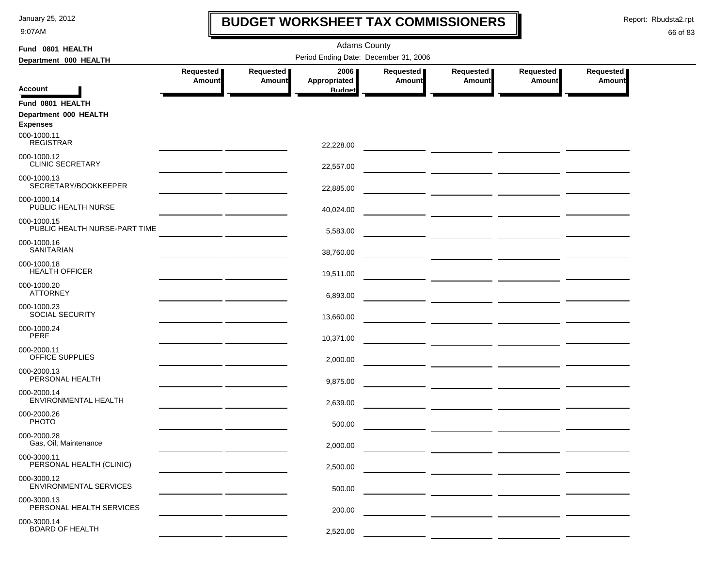9:07AM

# **BUDGET WORKSHEET TAX COMMISSIONERS**

Report: Rbudsta2.rpt

 $\mathbf l$ 

| Fund 0801 HEALTH                             |                                       |                            | <b>Adams County</b>  |                            |                                                   |                              |                            |  |
|----------------------------------------------|---------------------------------------|----------------------------|----------------------|----------------------------|---------------------------------------------------|------------------------------|----------------------------|--|
| Department 000 HEALTH                        | Period Ending Date: December 31, 2006 |                            |                      |                            |                                                   |                              |                            |  |
|                                              | Requested<br><b>Amount</b>            | Requested<br><b>Amount</b> | 2006<br>Appropriated | Requested<br><b>Amount</b> | Requested<br><b>Amount</b>                        | Requested  <br><b>Amount</b> | Requested<br><b>Amount</b> |  |
| <b>Account</b>                               |                                       |                            | <b>Budget</b>        |                            |                                                   |                              |                            |  |
| Fund 0801 HEALTH                             |                                       |                            |                      |                            |                                                   |                              |                            |  |
| Department 000 HEALTH<br><b>Expenses</b>     |                                       |                            |                      |                            |                                                   |                              |                            |  |
| 000-1000.11<br><b>REGISTRAR</b>              |                                       |                            | 22,228.00            |                            |                                                   |                              |                            |  |
| 000-1000.12<br><b>CLINIC SECRETARY</b>       |                                       |                            | 22,557.00            |                            |                                                   |                              |                            |  |
| 000-1000.13<br>SECRETARY/BOOKKEEPER          |                                       |                            | 22,885.00            |                            |                                                   |                              |                            |  |
| 000-1000.14<br>PUBLIC HEALTH NURSE           |                                       |                            | 40,024.00            |                            |                                                   |                              |                            |  |
| 000-1000.15<br>PUBLIC HEALTH NURSE-PART TIME |                                       |                            | 5,583.00             |                            |                                                   |                              |                            |  |
| 000-1000.16<br><b>SANITARIAN</b>             |                                       |                            | 38,760.00            |                            |                                                   |                              |                            |  |
| 000-1000.18<br><b>HEALTH OFFICER</b>         |                                       |                            | 19,511.00            |                            |                                                   |                              |                            |  |
| 000-1000.20<br><b>ATTORNEY</b>               |                                       |                            | 6,893.00             |                            | — <u>— — — — — — — — — — —</u>                    |                              |                            |  |
| 000-1000.23<br>SOCIAL SECURITY               |                                       |                            | 13,660.00            |                            |                                                   |                              |                            |  |
| 000-1000.24<br><b>PERF</b>                   |                                       |                            | 10,371.00            |                            |                                                   |                              |                            |  |
| 000-2000.11<br>OFFICE SUPPLIES               |                                       |                            | 2,000.00             |                            |                                                   |                              |                            |  |
| 000-2000.13<br>PERSONAL HEALTH               |                                       |                            | 9,875.00             |                            |                                                   |                              |                            |  |
| 000-2000.14<br>ENVIRONMENTAL HEALTH          |                                       |                            | 2,639.00             |                            |                                                   |                              |                            |  |
| 000-2000.26<br><b>PHOTO</b>                  |                                       |                            | 500.00               |                            |                                                   |                              |                            |  |
| 000-2000.28<br>Gas, Oil, Maintenance         |                                       |                            | 2,000.00             |                            | <u> 1999 - Johann Barbara, martin amerikan ba</u> |                              |                            |  |
| 000-3000.11<br>PERSONAL HEALTH (CLINIC)      |                                       |                            | 2,500.00             |                            |                                                   |                              |                            |  |
| 000-3000.12<br><b>ENVIRONMENTAL SERVICES</b> |                                       |                            |                      |                            |                                                   |                              |                            |  |
| 000-3000.13<br>PERSONAL HEALTH SERVICES      |                                       |                            | 500.00               |                            |                                                   |                              |                            |  |
| 000-3000.14<br><b>BOARD OF HEALTH</b>        |                                       |                            | 200.00<br>2,520.00   |                            |                                                   |                              |                            |  |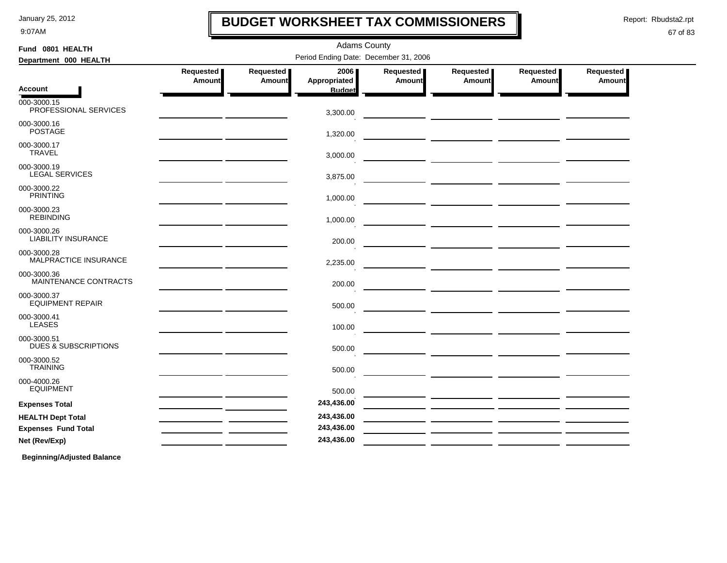9:07AM

## **BUDGET WORKSHEET TAX COMMISSIONERS**

Adams County

Report: Rbudsta2.rpt

I

### 67 of 83

| Fund 0801 HEALTH                               | <b>Adams County</b> |                            |                                       |                     |                     |                     |                     |
|------------------------------------------------|---------------------|----------------------------|---------------------------------------|---------------------|---------------------|---------------------|---------------------|
| Department 000 HEALTH                          |                     |                            | Period Ending Date: December 31, 2006 |                     |                     |                     |                     |
|                                                | Requested<br>Amount | Requested<br><b>Amount</b> | 2006<br>Appropriated                  | Requested<br>Amount | Requested<br>Amount | Requested<br>Amount | Requested<br>Amount |
| <b>Account</b>                                 |                     |                            | <b>Budget</b>                         |                     |                     |                     |                     |
| 000-3000.15<br>PROFESSIONAL SERVICES           |                     |                            | 3,300.00                              |                     |                     |                     |                     |
| 000-3000.16<br><b>POSTAGE</b>                  |                     |                            | 1,320.00                              |                     |                     |                     |                     |
| 000-3000.17<br><b>TRAVEL</b>                   |                     |                            | 3,000.00                              |                     |                     |                     |                     |
| 000-3000.19<br><b>LEGAL SERVICES</b>           |                     |                            | 3,875.00                              |                     |                     |                     |                     |
| 000-3000.22<br><b>PRINTING</b>                 |                     |                            | 1,000.00                              |                     |                     |                     |                     |
| 000-3000.23<br><b>REBINDING</b>                |                     |                            | 1,000.00                              |                     |                     |                     |                     |
| 000-3000.26<br><b>LIABILITY INSURANCE</b>      |                     |                            | 200.00                                |                     |                     |                     |                     |
| 000-3000.28<br>MALPRACTICE INSURANCE           |                     |                            | 2,235.00                              |                     |                     |                     |                     |
| 000-3000.36<br>MAINTENANCE CONTRACTS           |                     |                            | 200.00                                |                     |                     |                     |                     |
| 000-3000.37<br><b>EQUIPMENT REPAIR</b>         |                     |                            | 500.00                                |                     |                     |                     |                     |
| 000-3000.41<br><b>LEASES</b>                   |                     |                            | 100.00                                |                     |                     |                     |                     |
| 000-3000.51<br><b>DUES &amp; SUBSCRIPTIONS</b> |                     |                            | 500.00                                |                     |                     |                     |                     |
| 000-3000.52<br><b>TRAINING</b>                 |                     |                            | 500.00                                |                     |                     |                     |                     |
| 000-4000.26<br><b>EQUIPMENT</b>                |                     |                            | 500.00                                |                     |                     |                     |                     |
| <b>Expenses Total</b>                          |                     |                            | 243,436.00                            |                     |                     |                     |                     |
| <b>HEALTH Dept Total</b>                       |                     |                            | 243,436.00                            |                     |                     |                     |                     |
| <b>Expenses Fund Total</b>                     |                     |                            | 243,436.00                            |                     |                     |                     |                     |
| Net (Rev/Exp)                                  |                     |                            | 243,436.00                            |                     |                     |                     |                     |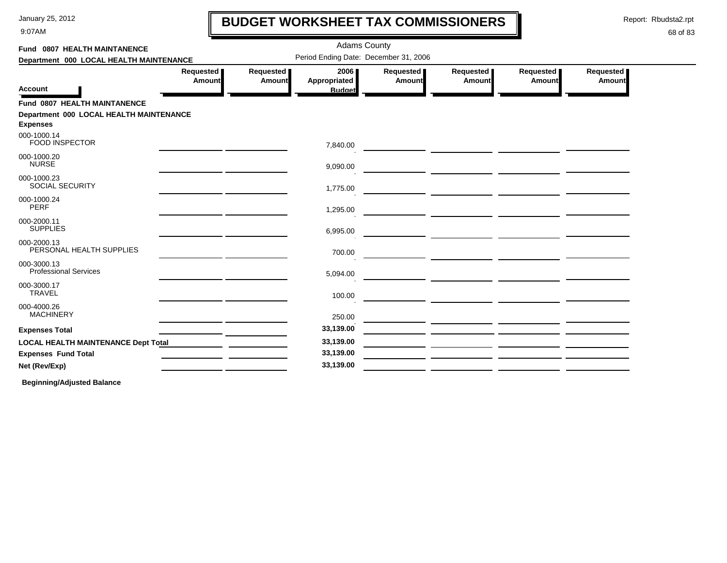9:07AM

# **BUDGET WORKSHEET TAX COMMISSIONERS**

Report: Rbudsta2.rpt

 $\mathbf l$ 

### 68 of 83

| Fund 0807 HEALTH MAINTANENCE                               |                            |                                       | <b>Adams County</b>                   |                     |                            |                            |                     |  |
|------------------------------------------------------------|----------------------------|---------------------------------------|---------------------------------------|---------------------|----------------------------|----------------------------|---------------------|--|
| Department 000 LOCAL HEALTH MAINTENANCE                    |                            | Period Ending Date: December 31, 2006 |                                       |                     |                            |                            |                     |  |
| <b>Account</b>                                             | Requested<br><b>Amount</b> | Requested<br>Amount                   | 2006<br>Appropriated<br><b>Budget</b> | Requested<br>Amount | Requested<br><b>Amount</b> | Requested<br><b>Amount</b> | Requested<br>Amount |  |
| <b>Fund 0807 HEALTH MAINTANENCE</b>                        |                            |                                       |                                       |                     |                            |                            |                     |  |
| Department 000 LOCAL HEALTH MAINTENANCE<br><b>Expenses</b> |                            |                                       |                                       |                     |                            |                            |                     |  |
| 000-1000.14<br><b>FOOD INSPECTOR</b>                       |                            |                                       | 7,840.00                              |                     |                            |                            |                     |  |
| 000-1000.20<br><b>NURSE</b>                                |                            |                                       | 9,090.00                              |                     |                            |                            |                     |  |
| 000-1000.23<br><b>SOCIAL SECURITY</b>                      |                            |                                       | 1,775.00                              |                     |                            |                            |                     |  |
| 000-1000.24<br>PERF                                        |                            |                                       | 1,295.00                              |                     |                            |                            |                     |  |
| 000-2000.11<br><b>SUPPLIES</b>                             |                            |                                       | 6,995.00                              |                     |                            |                            |                     |  |
| 000-2000.13<br>PERSONAL HEALTH SUPPLIES                    |                            |                                       | 700.00                                |                     |                            |                            |                     |  |
| 000-3000.13<br><b>Professional Services</b>                |                            |                                       | 5,094.00                              |                     |                            |                            |                     |  |
| 000-3000.17<br><b>TRAVEL</b>                               |                            |                                       | 100.00                                |                     |                            |                            |                     |  |
| 000-4000.26<br><b>MACHINERY</b>                            |                            |                                       | 250.00                                |                     |                            |                            |                     |  |
| <b>Expenses Total</b>                                      |                            |                                       | 33,139.00                             |                     |                            |                            |                     |  |
| <b>LOCAL HEALTH MAINTENANCE Dept Total</b>                 |                            |                                       | 33,139.00                             |                     |                            |                            |                     |  |
| <b>Expenses Fund Total</b>                                 |                            |                                       | 33,139.00                             |                     |                            |                            |                     |  |
| Net (Rev/Exp)                                              |                            |                                       | 33,139.00                             |                     |                            |                            |                     |  |
|                                                            |                            |                                       |                                       |                     |                            |                            |                     |  |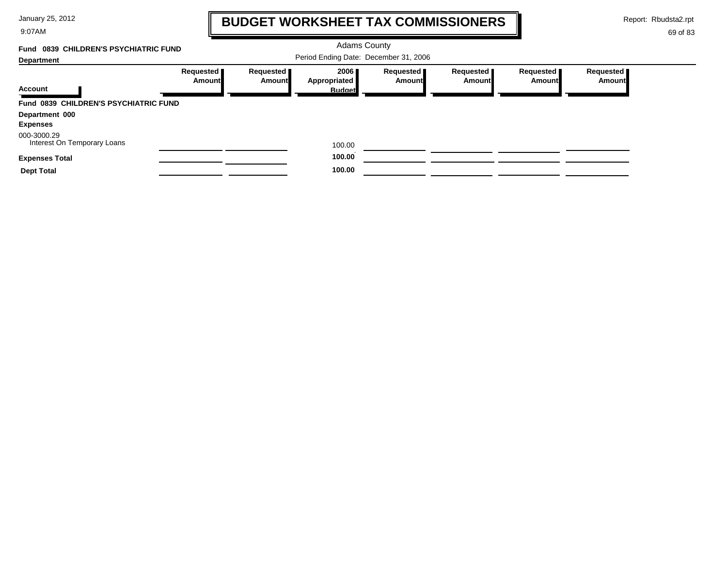9:07AM

# **BUDGET WORKSHEET TAX COMMISSIONERS**

Report: Rbudsta2.rpt

### 69 of 83

#### Adams County Period Ending Date: December 31, 2006 **Account Department Fund 0839 CHILDREN'S PSYCHIATRIC FUNDRequested Amount Requested Amount 2006 Appropriated Budget Requested Amount Requested Amount Requested Amount Requested Amount Fund 0839 CHILDREN'S PSYCHIATRIC FUNDDepartment 000 Expenses** Interest On Temporary Loans 000-3000.29 100.00 **Expenses Total 100.00 Dept Total 100.00 100.00**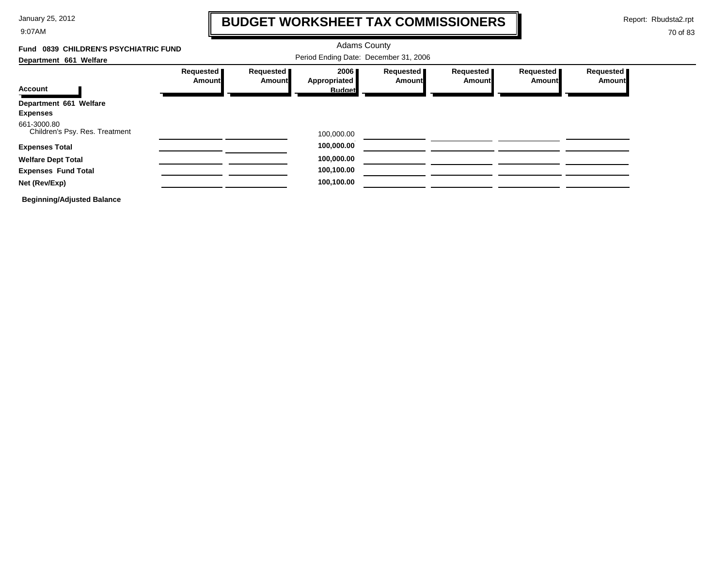9:07AM

# **BUDGET WORKSHEET TAX COMMISSIONERS**

Report: Rbudsta2.rpt

### 70 of 83

#### Adams County Period Ending Date: December 31, 2006 **Account Department 661 Welfare Fund 0839 CHILDREN'S PSYCHIATRIC FUNDRequested Amount Requested Amount 2006 Appropriated Budget Requested Amount Requested Amount Requested Amount Requested Amount Department 661 Welfare Expenses** Children's Psy. Res. Treatment 661-3000.80 100,000.00 **Expenses Total 100,000.00 Welfare Dept Total 100,000.00 Expenses Fund Total 100,100.00 100,100.00 Net (Rev/Exp) 100,100.00**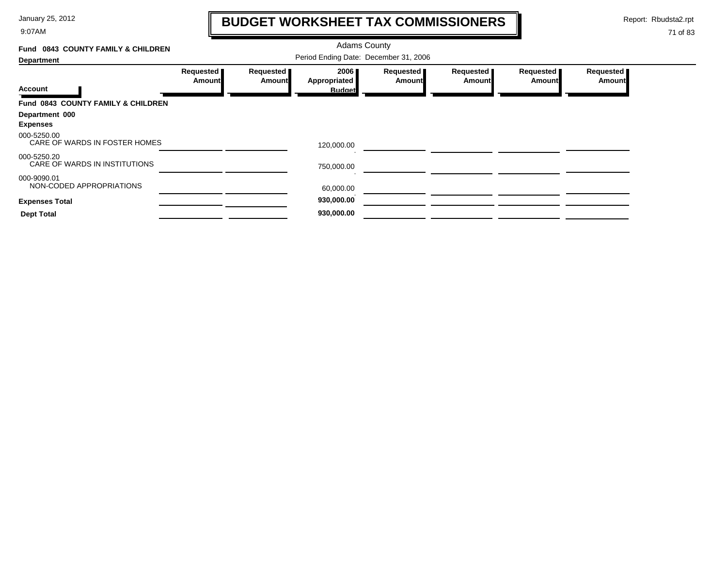9:07AM

# **BUDGET WORKSHEET TAX COMMISSIONERS**

Report: Rbudsta2.rpt

 $\mathbf \mathbf I$ 

| Fund 0843 COUNTY FAMILY & CHILDREN           |                     |                     | <b>Adams County</b>                   |                     |                            |                            |                            |
|----------------------------------------------|---------------------|---------------------|---------------------------------------|---------------------|----------------------------|----------------------------|----------------------------|
| <b>Department</b>                            |                     |                     | Period Ending Date: December 31, 2006 |                     |                            |                            |                            |
| <b>Account</b>                               | Requested<br>Amount | Requested<br>Amount | 2006<br>Appropriated<br><b>Budget</b> | Requested<br>Amount | Requested<br><b>Amount</b> | Requested<br><b>Amount</b> | Requested<br><b>Amount</b> |
| Fund 0843 COUNTY FAMILY & CHILDREN           |                     |                     |                                       |                     |                            |                            |                            |
| Department 000<br><b>Expenses</b>            |                     |                     |                                       |                     |                            |                            |                            |
| 000-5250.00<br>CARE OF WARDS IN FOSTER HOMES |                     |                     | 120,000.00                            |                     |                            |                            |                            |
| 000-5250.20<br>CARE OF WARDS IN INSTITUTIONS |                     |                     | 750,000.00                            |                     |                            |                            |                            |
| 000-9090.01<br>NON-CODED APPROPRIATIONS      |                     |                     | 60,000.00                             |                     |                            |                            |                            |
| <b>Expenses Total</b>                        |                     |                     | 930,000.00                            |                     |                            |                            |                            |
| <b>Dept Total</b>                            |                     |                     | 930,000.00                            |                     |                            |                            |                            |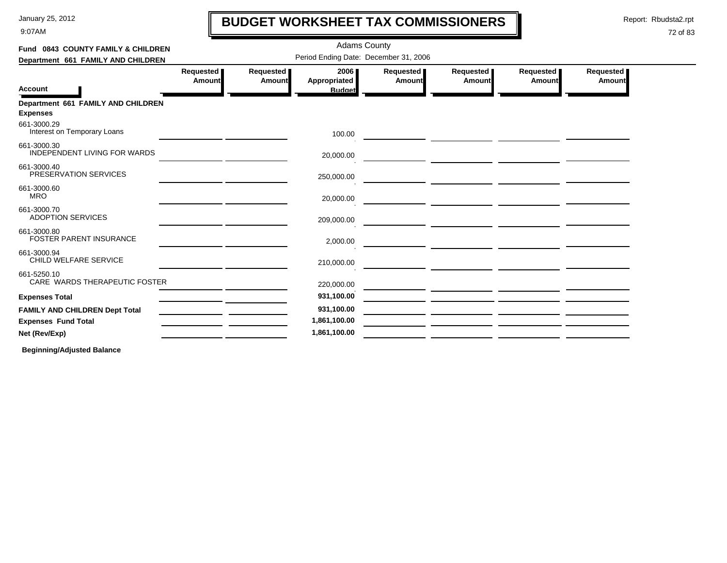9:07AM

# **BUDGET WORKSHEET TAX COMMISSIONERS**

Report: Rbudsta2.rpt

 $\mathbf l$ 

### 72 of 83

| Fund 0843 COUNTY FAMILY & CHILDREN                    |                                       | <b>Adams County</b> |                                       |                     |                     |                                   |                     |  |  |  |
|-------------------------------------------------------|---------------------------------------|---------------------|---------------------------------------|---------------------|---------------------|-----------------------------------|---------------------|--|--|--|
| Department 661 FAMILY AND CHILDREN                    | Period Ending Date: December 31, 2006 |                     |                                       |                     |                     |                                   |                     |  |  |  |
| <b>Account</b>                                        | Requested<br>Amount                   | Requested<br>Amount | 2006<br>Appropriated<br><b>Budget</b> | Requested<br>Amount | Requested<br>Amount | <b>Requested</b><br><b>Amount</b> | Requested<br>Amount |  |  |  |
| Department 661 FAMILY AND CHILDREN<br><b>Expenses</b> |                                       |                     |                                       |                     |                     |                                   |                     |  |  |  |
| 661-3000.29<br>Interest on Temporary Loans            |                                       |                     | 100.00                                |                     |                     |                                   |                     |  |  |  |
| 661-3000.30<br>INDEPENDENT LIVING FOR WARDS           |                                       |                     | 20,000.00                             |                     |                     |                                   |                     |  |  |  |
| 661-3000.40<br>PRESERVATION SERVICES                  |                                       |                     | 250,000.00                            |                     |                     |                                   |                     |  |  |  |
| 661-3000.60<br><b>MRO</b>                             |                                       |                     | 20,000.00                             |                     |                     |                                   |                     |  |  |  |
| 661-3000.70<br><b>ADOPTION SERVICES</b>               |                                       |                     | 209,000.00                            |                     |                     |                                   |                     |  |  |  |
| 661-3000.80<br><b>FOSTER PARENT INSURANCE</b>         |                                       |                     | 2,000.00                              |                     |                     |                                   |                     |  |  |  |
| 661-3000.94<br>CHILD WELFARE SERVICE                  |                                       |                     | 210,000.00                            |                     |                     |                                   |                     |  |  |  |
| 661-5250.10<br>CARE WARDS THERAPEUTIC FOSTER          |                                       |                     | 220,000.00                            |                     |                     |                                   |                     |  |  |  |
| <b>Expenses Total</b>                                 |                                       |                     | 931,100.00                            |                     |                     |                                   |                     |  |  |  |
| <b>FAMILY AND CHILDREN Dept Total</b>                 |                                       |                     | 931,100.00                            |                     |                     |                                   |                     |  |  |  |
| <b>Expenses Fund Total</b>                            |                                       |                     | 1,861,100.00                          |                     |                     |                                   |                     |  |  |  |
| Net (Rev/Exp)                                         |                                       |                     | 1,861,100.00                          |                     |                     |                                   |                     |  |  |  |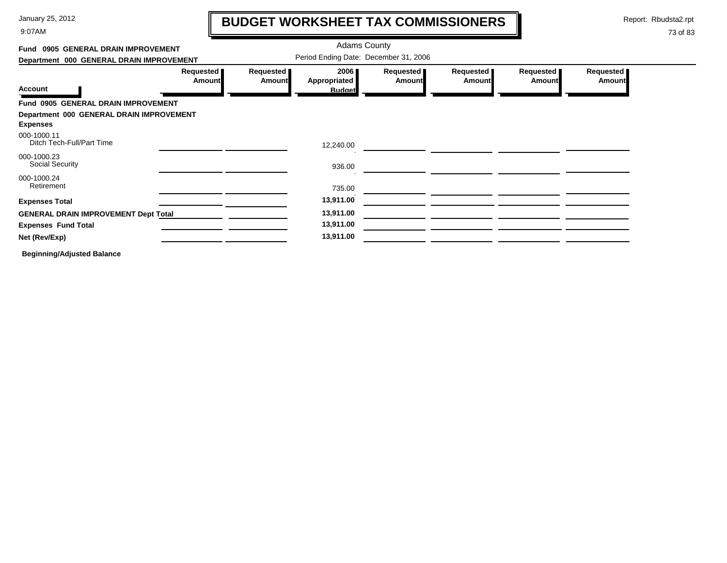9:07AM

# **BUDGET WORKSHEET TAX COMMISSIONERS**

Report: Rbudsta2.rpt

 $\mathbf I$ 

| Fund 0905 GENERAL DRAIN IMPROVEMENT                         |                            |                            | <b>Adams County</b>                   |                            |                     |                     |                     |
|-------------------------------------------------------------|----------------------------|----------------------------|---------------------------------------|----------------------------|---------------------|---------------------|---------------------|
| Department 000 GENERAL DRAIN IMPROVEMENT                    |                            |                            | Period Ending Date: December 31, 2006 |                            |                     |                     |                     |
| <b>Account</b>                                              | Requested<br><b>Amount</b> | Requested<br><b>Amount</b> | 2006<br>Appropriated<br><b>Budget</b> | Requested<br><b>Amount</b> | Requested<br>Amount | Requested<br>Amount | Requested<br>Amount |
| Fund 0905 GENERAL DRAIN IMPROVEMENT                         |                            |                            |                                       |                            |                     |                     |                     |
| Department 000 GENERAL DRAIN IMPROVEMENT<br><b>Expenses</b> |                            |                            |                                       |                            |                     |                     |                     |
| 000-1000.11<br>Ditch Tech-Full/Part Time                    |                            |                            | 12,240.00                             |                            |                     |                     |                     |
| 000-1000.23<br>Social Security                              |                            |                            | 936.00                                |                            |                     |                     |                     |
| 000-1000.24<br>Retirement                                   |                            |                            | 735.00                                |                            |                     |                     |                     |
| <b>Expenses Total</b>                                       |                            |                            | 13,911.00                             |                            |                     |                     |                     |
| <b>GENERAL DRAIN IMPROVEMENT Dept Total</b>                 |                            |                            | 13,911.00                             |                            |                     |                     |                     |
| <b>Expenses Fund Total</b>                                  |                            |                            | 13,911.00                             |                            |                     |                     |                     |
| Net (Rev/Exp)                                               |                            |                            | 13,911.00                             |                            |                     |                     |                     |
| <b>Beginning/Adjusted Balance</b>                           |                            |                            |                                       |                            |                     |                     |                     |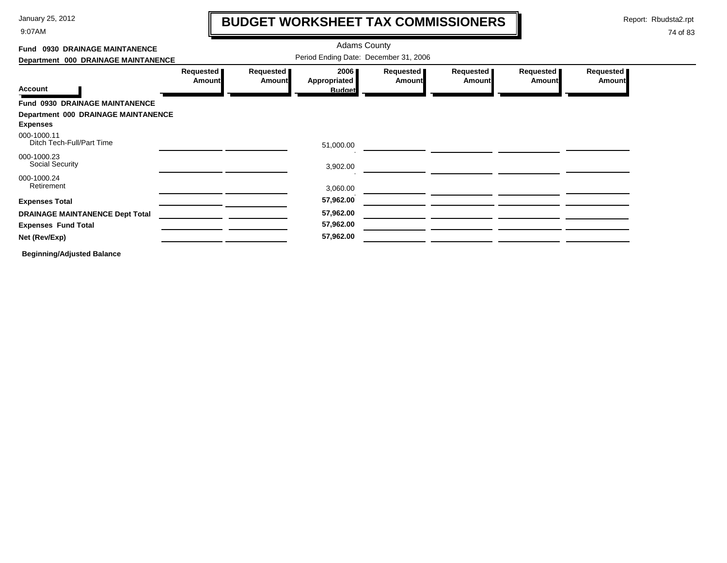9:07AM

# **BUDGET WORKSHEET TAX COMMISSIONERS**

Report: Rbudsta2.rpt

 $\mathbf l$ 

| Fund 0930 DRAINAGE MAINTANENCE             |                                       | <b>Adams County</b>        |                                              |                            |                            |                            |                            |  |  |  |
|--------------------------------------------|---------------------------------------|----------------------------|----------------------------------------------|----------------------------|----------------------------|----------------------------|----------------------------|--|--|--|
| Department 000 DRAINAGE MAINTANENCE        | Period Ending Date: December 31, 2006 |                            |                                              |                            |                            |                            |                            |  |  |  |
| <b>Account</b>                             | Requested<br><b>Amount</b>            | Requested<br><b>Amount</b> | 2006<br><b>Appropriated</b><br><b>Budget</b> | Requested<br><b>Amount</b> | Requested<br><b>Amount</b> | Requested<br><b>Amount</b> | Requested<br><b>Amount</b> |  |  |  |
| Fund 0930 DRAINAGE MAINTANENCE             |                                       |                            |                                              |                            |                            |                            |                            |  |  |  |
| <b>Department 000 DRAINAGE MAINTANENCE</b> |                                       |                            |                                              |                            |                            |                            |                            |  |  |  |
| <b>Expenses</b>                            |                                       |                            |                                              |                            |                            |                            |                            |  |  |  |
| 000-1000.11<br>Ditch Tech-Full/Part Time   |                                       |                            | 51,000.00                                    |                            |                            |                            |                            |  |  |  |
| 000-1000.23<br>Social Security             |                                       |                            | 3,902.00                                     |                            |                            |                            |                            |  |  |  |
| 000-1000.24<br>Retirement                  |                                       |                            |                                              |                            |                            |                            |                            |  |  |  |
|                                            |                                       |                            | 3,060.00                                     |                            |                            |                            |                            |  |  |  |
| <b>Expenses Total</b>                      |                                       |                            | 57,962.00                                    |                            |                            |                            |                            |  |  |  |
| <b>DRAINAGE MAINTANENCE Dept Total</b>     |                                       |                            | 57,962.00                                    |                            |                            |                            |                            |  |  |  |
| <b>Expenses Fund Total</b>                 |                                       |                            | 57,962.00                                    |                            |                            |                            |                            |  |  |  |
| Net (Rev/Exp)                              |                                       |                            | 57,962.00                                    |                            |                            |                            |                            |  |  |  |
| <b>Beginning/Adjusted Balance</b>          |                                       |                            |                                              |                            |                            |                            |                            |  |  |  |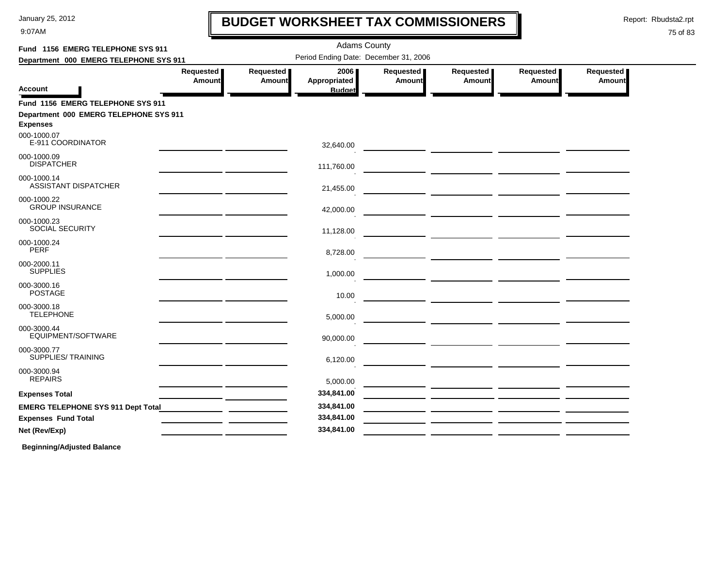9:07AM

# **BUDGET WORKSHEET TAX COMMISSIONERS**

Report: Rbudsta2.rpt

 $\mathbf l$ 

#### 75 of 83

| Fund 1156 EMERG TELEPHONE SYS 911                                                              |                                                                                                                       |                     | <b>Adams County</b>                   |                              |                                                                                                                      |                       |                     |
|------------------------------------------------------------------------------------------------|-----------------------------------------------------------------------------------------------------------------------|---------------------|---------------------------------------|------------------------------|----------------------------------------------------------------------------------------------------------------------|-----------------------|---------------------|
| Department 000 EMERG TELEPHONE SYS 911                                                         |                                                                                                                       |                     | Period Ending Date: December 31, 2006 |                              |                                                                                                                      |                       |                     |
|                                                                                                | Requested  <br>Amount                                                                                                 | Requested<br>Amount | 2006<br>Appropriated                  | Requested  <br><b>Amount</b> | Requested  <br>Amount                                                                                                | Requested  <br>Amount | Requested<br>Amount |
| Account                                                                                        |                                                                                                                       |                     | <b>Budget</b>                         |                              |                                                                                                                      |                       |                     |
| Fund 1156 EMERG TELEPHONE SYS 911<br>Department 000 EMERG TELEPHONE SYS 911<br><b>Expenses</b> |                                                                                                                       |                     |                                       |                              |                                                                                                                      |                       |                     |
| 000-1000.07<br>E-911 COORDINATOR                                                               |                                                                                                                       |                     | 32,640.00                             |                              |                                                                                                                      |                       |                     |
| 000-1000.09<br><b>DISPATCHER</b>                                                               |                                                                                                                       |                     | 111,760.00                            |                              |                                                                                                                      |                       |                     |
| 000-1000.14<br><b>ASSISTANT DISPATCHER</b>                                                     | <u> 1989 - Johann Harry Barn, mars and de Branch and de Branch and de Branch and de Branch and de Branch and de B</u> |                     | 21,455.00                             |                              |                                                                                                                      |                       |                     |
| 000-1000.22<br><b>GROUP INSURANCE</b>                                                          | <u> 1989 - Johann John Stone, mars et al. (</u>                                                                       |                     | 42,000.00                             |                              |                                                                                                                      |                       |                     |
| 000-1000.23<br><b>SOCIAL SECURITY</b>                                                          | <u> 2000 - Jan James James, politik eta politik eta politik eta politik eta politik eta politik eta politik eta</u>   |                     | 11,128.00                             |                              |                                                                                                                      |                       |                     |
| 000-1000.24<br><b>PERF</b>                                                                     |                                                                                                                       |                     | 8,728.00                              |                              |                                                                                                                      |                       |                     |
| 000-2000.11<br><b>SUPPLIES</b>                                                                 |                                                                                                                       |                     | 1,000.00                              |                              |                                                                                                                      |                       |                     |
| 000-3000.16<br><b>POSTAGE</b>                                                                  |                                                                                                                       |                     | 10.00                                 |                              |                                                                                                                      |                       |                     |
| 000-3000.18<br><b>TELEPHONE</b>                                                                | <u> 1989 - Johann John Stone, mars and de finland and de finland and de finland and de finland and de finland an</u>  |                     | 5,000.00                              |                              |                                                                                                                      |                       |                     |
| 000-3000.44<br>EQUIPMENT/SOFTWARE                                                              | <u> 1989 - Johann Harry Barn, mars an t-Amerikaansk kommunister (</u>                                                 |                     | 90,000.00                             |                              |                                                                                                                      |                       |                     |
| 000-3000.77<br>SUPPLIES/ TRAINING                                                              | <u> 1989 - Johann John Stone, mars et al. (</u>                                                                       |                     | 6,120.00                              |                              |                                                                                                                      |                       |                     |
| 000-3000.94<br><b>REPAIRS</b>                                                                  | <u> 1989 - Johann Barn, mars ann an t-Alban ann an t-</u>                                                             |                     | 5,000.00                              |                              |                                                                                                                      |                       |                     |
| <b>Expenses Total</b>                                                                          | <u> 1989 - Johann Harry Barn, mars and de Branch and de Branch and de Branch and de Branch and de Branch and de B</u> |                     | 334,841.00                            |                              |                                                                                                                      |                       |                     |
|                                                                                                |                                                                                                                       |                     | 334,841.00                            |                              |                                                                                                                      |                       |                     |
| <b>Expenses Fund Total</b>                                                                     |                                                                                                                       |                     | 334,841.00                            |                              | <u> 1999 - Jan James James Jan James James Jan James James Jan James James Jan James James Jan Jan James James J</u> |                       |                     |
| Net (Rev/Exp)                                                                                  |                                                                                                                       |                     | 334,841.00                            |                              | <u> 1989 - Andrea Santana, amerikana politika (h. 1989).</u>                                                         |                       |                     |
|                                                                                                |                                                                                                                       |                     |                                       |                              |                                                                                                                      |                       |                     |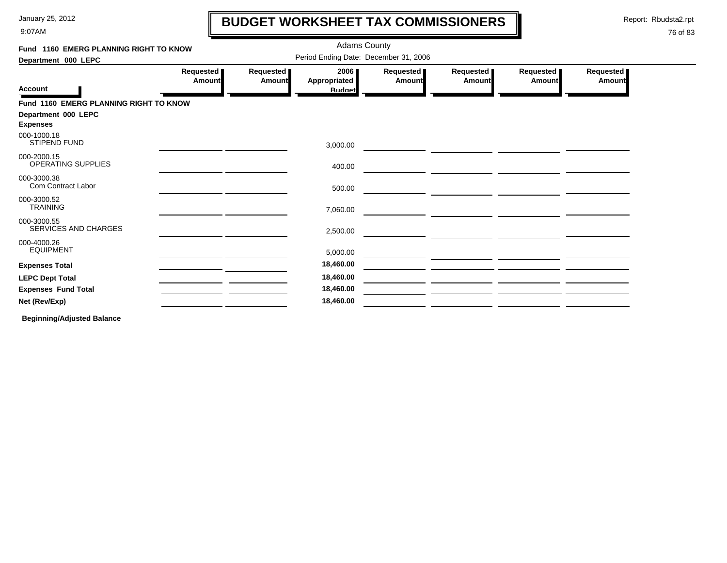9:07AM

### **BUDGET WORKSHEET TAX COMMISSIONERS**

Report: Rbudsta2.rpt

 $\mathbf l$ 

#### 76 of 83

| Fund 1160 EMERG PLANNING RIGHT TO KNOW   |                     |                                       | <b>Adams County</b>                   |                              |                              |                     |                     |
|------------------------------------------|---------------------|---------------------------------------|---------------------------------------|------------------------------|------------------------------|---------------------|---------------------|
| Department 000 LEPC                      |                     | Period Ending Date: December 31, 2006 |                                       |                              |                              |                     |                     |
| <b>Account</b>                           | Requested<br>Amount | Requested<br>Amount                   | 2006<br>Appropriated<br><b>Budget</b> | Requested  <br><b>Amount</b> | Requested  <br><b>Amount</b> | Requested<br>Amount | Requested<br>Amount |
| Fund 1160 EMERG PLANNING RIGHT TO KNOW   |                     |                                       |                                       |                              |                              |                     |                     |
| Department 000 LEPC<br><b>Expenses</b>   |                     |                                       |                                       |                              |                              |                     |                     |
| 000-1000.18<br><b>STIPEND FUND</b>       |                     |                                       | 3,000.00                              |                              |                              |                     |                     |
| 000-2000.15<br><b>OPERATING SUPPLIES</b> |                     |                                       | 400.00                                |                              |                              |                     |                     |
| 000-3000.38<br>Com Contract Labor        |                     |                                       | 500.00                                |                              |                              |                     |                     |
| 000-3000.52<br><b>TRAINING</b>           |                     |                                       | 7,060.00                              |                              |                              |                     |                     |
| 000-3000.55<br>SERVICES AND CHARGES      |                     |                                       | 2,500.00                              |                              |                              |                     |                     |
| 000-4000.26<br><b>EQUIPMENT</b>          |                     |                                       | 5,000.00                              |                              |                              |                     |                     |
| <b>Expenses Total</b>                    |                     |                                       | 18,460.00                             |                              |                              |                     |                     |
| <b>LEPC Dept Total</b>                   |                     |                                       | 18,460.00                             |                              |                              |                     |                     |
| <b>Expenses Fund Total</b>               |                     |                                       | 18,460.00                             |                              |                              |                     |                     |
| Net (Rev/Exp)                            |                     |                                       | 18,460.00                             |                              |                              |                     |                     |
|                                          |                     |                                       |                                       |                              |                              |                     |                     |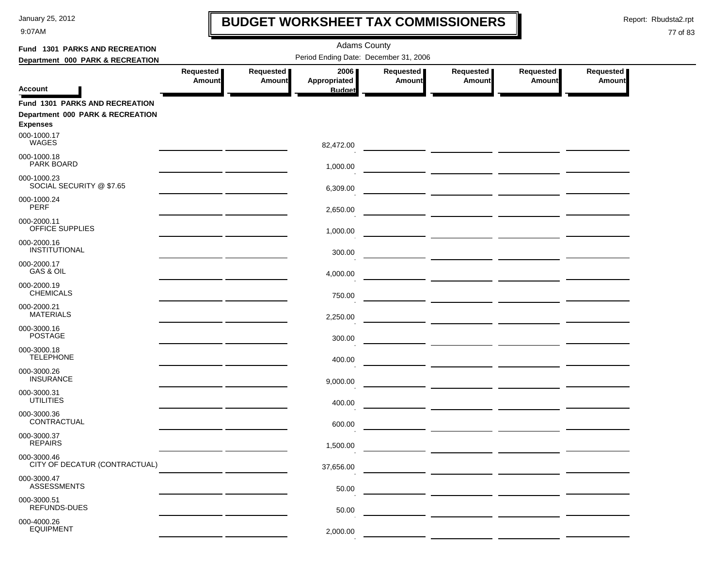9:07AM

# **BUDGET WORKSHEET TAX COMMISSIONERS**

Report: Rbudsta2.rpt

 $\mathbf I$ 

| Fund 1301 PARKS AND RECREATION                                                               |                            |                            |                                       |                            |                                                                                                                                                                                                                                      |                            |                            |
|----------------------------------------------------------------------------------------------|----------------------------|----------------------------|---------------------------------------|----------------------------|--------------------------------------------------------------------------------------------------------------------------------------------------------------------------------------------------------------------------------------|----------------------------|----------------------------|
| Department 000 PARK & RECREATION                                                             |                            |                            |                                       |                            |                                                                                                                                                                                                                                      |                            |                            |
| <b>Account</b>                                                                               | Requested<br><b>Amount</b> | Requested<br><b>Amount</b> | 2006<br>Appropriated<br><b>Budget</b> | Requested<br><b>Amount</b> | Requested<br><b>Amount</b>                                                                                                                                                                                                           | Requested<br><b>Amount</b> | Requested<br><b>Amount</b> |
| <b>Fund 1301 PARKS AND RECREATION</b><br>Department 000 PARK & RECREATION<br><b>Expenses</b> |                            |                            |                                       |                            |                                                                                                                                                                                                                                      |                            |                            |
| 000-1000.17<br>WAGES                                                                         |                            |                            | 82,472.00                             |                            |                                                                                                                                                                                                                                      |                            |                            |
| 000-1000.18<br>PARK BOARD                                                                    |                            |                            | 1,000.00                              |                            |                                                                                                                                                                                                                                      |                            |                            |
| 000-1000.23<br>SOCIAL SECURITY @ \$7.65                                                      |                            |                            | 6,309.00                              |                            |                                                                                                                                                                                                                                      |                            |                            |
| 000-1000.24<br>PERF                                                                          |                            |                            | 2,650.00                              |                            |                                                                                                                                                                                                                                      |                            |                            |
| 000-2000.11<br>OFFICE SUPPLIES                                                               |                            |                            | 1,000.00                              |                            | <u> The Common School (1999) en de Common School (1999) en de Common School (1999) en de Common School (1999) en </u>                                                                                                                |                            |                            |
| 000-2000.16<br>INSTITUTIONAL                                                                 |                            |                            | 300.00                                |                            |                                                                                                                                                                                                                                      |                            |                            |
| 000-2000.17<br>GAS & OIL                                                                     |                            |                            | 4,000.00                              |                            |                                                                                                                                                                                                                                      |                            |                            |
| 000-2000.19<br><b>CHEMICALS</b>                                                              |                            |                            | 750.00                                |                            |                                                                                                                                                                                                                                      |                            |                            |
| 000-2000.21<br><b>MATERIALS</b>                                                              |                            |                            | 2,250.00                              |                            |                                                                                                                                                                                                                                      |                            |                            |
| 000-3000.16<br><b>POSTAGE</b>                                                                |                            |                            | 300.00                                |                            |                                                                                                                                                                                                                                      |                            |                            |
| 000-3000.18<br><b>TELEPHONE</b>                                                              |                            |                            | 400.00                                |                            |                                                                                                                                                                                                                                      |                            |                            |
| 000-3000.26<br><b>INSURANCE</b>                                                              |                            |                            | 9,000.00                              |                            |                                                                                                                                                                                                                                      |                            |                            |
| 000-3000.31<br><b>UTILITIES</b>                                                              |                            |                            | 400.00                                |                            | <u> 1990 - Johann John Harry Harry Harry Harry Harry Harry Harry Harry Harry Harry Harry Harry Harry Harry Harry</u>                                                                                                                 |                            |                            |
| 000-3000.36<br>CONTRACTUAL                                                                   |                            |                            | 600.00                                |                            | <u> The Common State of the Common State of the Common State of the Common State of the Common State of the Common State of the Common State of the Common State of the Common State of the Common State of the Common State of </u> |                            |                            |
| 000-3000.37<br><b>REPAIRS</b>                                                                |                            |                            | 1,500.00                              |                            |                                                                                                                                                                                                                                      |                            |                            |
| 000-3000.46<br>CITY OF DECATUR (CONTRACTUAL)                                                 |                            |                            | 37,656.00                             |                            |                                                                                                                                                                                                                                      |                            |                            |
| 000-3000.47<br><b>ASSESSMENTS</b>                                                            |                            |                            | 50.00                                 |                            |                                                                                                                                                                                                                                      |                            |                            |
| 000-3000.51<br><b>REFUNDS-DUES</b>                                                           |                            |                            | 50.00                                 |                            |                                                                                                                                                                                                                                      |                            |                            |
| 000-4000.26<br><b>EQUIPMENT</b>                                                              |                            |                            | 2,000.00                              |                            |                                                                                                                                                                                                                                      |                            |                            |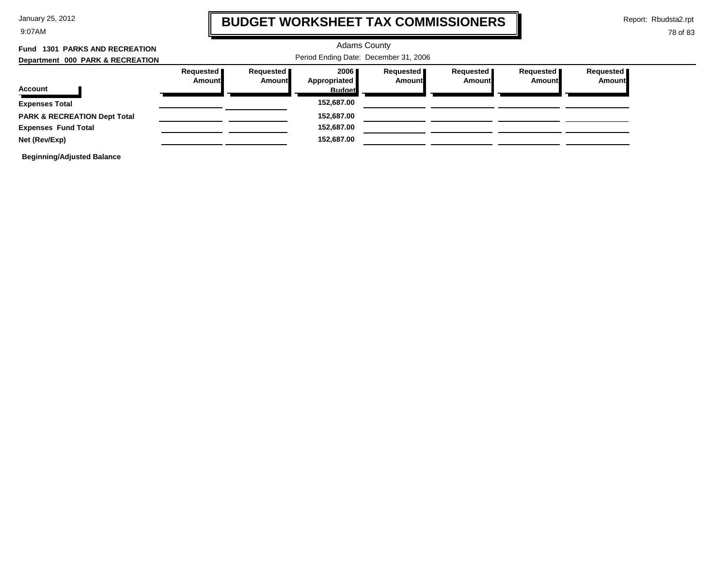9:07AM

### **BUDGET WORKSHEET TAX COMMISSIONERS**

Report: Rbudsta2.rpt

 $\mathbf l$ 

#### 78 of 83

| Fund 1301 PARKS AND RECREATION          | <b>Adams County</b>                   |                       |                        |                                     |                              |                       |                            |  |  |
|-----------------------------------------|---------------------------------------|-----------------------|------------------------|-------------------------------------|------------------------------|-----------------------|----------------------------|--|--|
| Department 000 PARK & RECREATION        | Period Ending Date: December 31, 2006 |                       |                        |                                     |                              |                       |                            |  |  |
|                                         | Requested<br>Amount                   | Requested  <br>Amount | 2006 ∎<br>Appropriated | Requested <b>I</b><br><b>Amount</b> | Requested  <br><b>Amount</b> | Requested  <br>Amount | Requested<br><b>Amount</b> |  |  |
| Account                                 |                                       |                       | <b>Budget</b>          |                                     |                              |                       |                            |  |  |
| <b>Expenses Total</b>                   |                                       |                       | 152,687.00             |                                     |                              |                       |                            |  |  |
| <b>PARK &amp; RECREATION Dept Total</b> |                                       |                       | 152,687.00             |                                     |                              |                       |                            |  |  |
| <b>Expenses Fund Total</b>              |                                       |                       | 152,687.00             |                                     |                              |                       |                            |  |  |
| Net (Rev/Exp)                           |                                       |                       | 152,687.00             |                                     |                              |                       |                            |  |  |
|                                         |                                       |                       |                        |                                     |                              |                       |                            |  |  |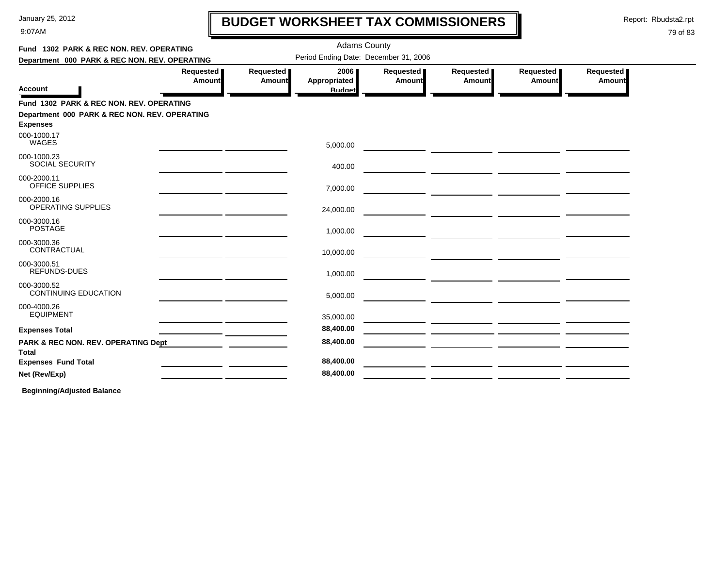9:07AM

# **BUDGET WORKSHEET TAX COMMISSIONERS**

Report: Rbudsta2.rpt

 $\mathbf \mathbf I$ 

#### 79 of 83

| Fund 1302 PARK & REC NON. REV. OPERATING                                                                                    |                        |                     | <b>Adams County</b>                          |                       |                                                                                                                       |                     |                     |  |
|-----------------------------------------------------------------------------------------------------------------------------|------------------------|---------------------|----------------------------------------------|-----------------------|-----------------------------------------------------------------------------------------------------------------------|---------------------|---------------------|--|
| Department 000 PARK & REC NON. REV. OPERATING                                                                               |                        |                     | Period Ending Date: December 31, 2006        |                       |                                                                                                                       |                     |                     |  |
| Account                                                                                                                     | Requested   <br>Amount | Requested<br>Amount | 2006<br><b>Appropriated</b><br><b>Budget</b> | Requested  <br>Amount | Requested<br>Amount                                                                                                   | Requested<br>Amount | Requested<br>Amount |  |
| Fund 1302 PARK & REC NON. REV. OPERATING<br>Department 000 PARK & REC NON. REV. OPERATING<br><b>Expenses</b><br>000-1000.17 |                        |                     |                                              |                       |                                                                                                                       |                     |                     |  |
| WAGES                                                                                                                       |                        |                     | 5,000.00                                     |                       |                                                                                                                       |                     |                     |  |
| 000-1000.23<br><b>SOCIAL SECURITY</b>                                                                                       |                        |                     | 400.00                                       |                       |                                                                                                                       |                     |                     |  |
| 000-2000.11<br><b>OFFICE SUPPLIES</b>                                                                                       |                        |                     | 7,000.00                                     |                       |                                                                                                                       |                     |                     |  |
| 000-2000.16<br>OPERATING SUPPLIES                                                                                           |                        |                     | 24,000.00                                    |                       |                                                                                                                       |                     |                     |  |
| 000-3000.16<br><b>POSTAGE</b>                                                                                               |                        |                     | 1,000.00                                     |                       |                                                                                                                       |                     |                     |  |
| 000-3000.36<br>CONTRACTUAL                                                                                                  |                        |                     | 10,000.00                                    |                       |                                                                                                                       |                     |                     |  |
| 000-3000.51<br>REFUNDS-DUES                                                                                                 |                        |                     | 1,000.00                                     |                       |                                                                                                                       |                     |                     |  |
| 000-3000.52<br><b>CONTINUING EDUCATION</b>                                                                                  |                        |                     | 5,000.00                                     |                       |                                                                                                                       |                     |                     |  |
| 000-4000.26<br><b>EQUIPMENT</b>                                                                                             |                        |                     | 35,000.00                                    |                       |                                                                                                                       |                     |                     |  |
| <b>Expenses Total</b>                                                                                                       |                        |                     | 88,400.00                                    |                       | <u> 1980 - Johann John Stone, markin amerikan bisa di sebagai pertama dan bagian dan bagian dan bisa di sebagai p</u> |                     |                     |  |
| PARK & REC NON. REV. OPERATING Dept<br>Total                                                                                |                        |                     | 88,400.00                                    |                       |                                                                                                                       |                     |                     |  |
| <b>Expenses Fund Total</b>                                                                                                  |                        |                     | 88,400.00                                    |                       |                                                                                                                       |                     |                     |  |
| Net (Rev/Exp)                                                                                                               |                        |                     | 88,400.00                                    |                       |                                                                                                                       |                     |                     |  |
|                                                                                                                             |                        |                     |                                              |                       |                                                                                                                       |                     |                     |  |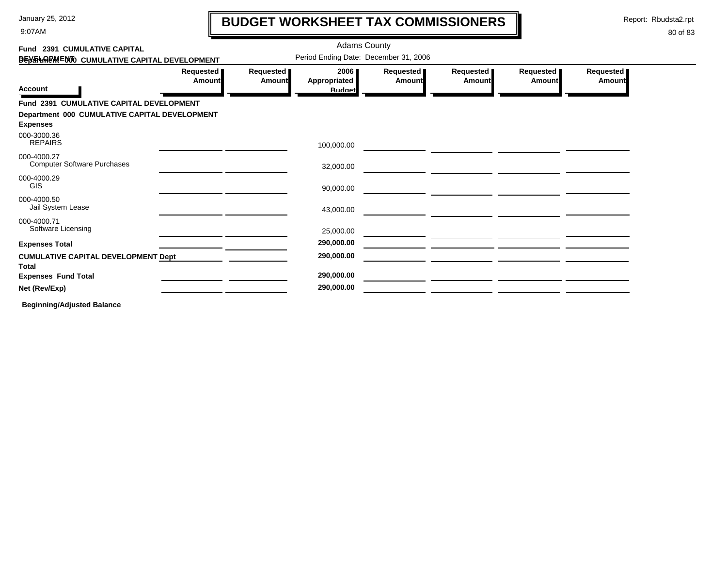9:07AM

# **BUDGET WORKSHEET TAX COMMISSIONERS**

Report: Rbudsta2.rpt

 $\mathbf l$ 

#### 80 of 83

| Fund 2391 CUMULATIVE CAPITAL                               |                            |                              | <b>Adams County</b>                   |                     |                            |                            |                            |
|------------------------------------------------------------|----------------------------|------------------------------|---------------------------------------|---------------------|----------------------------|----------------------------|----------------------------|
| DEN THREM ENTO CUMULATIVE CAPITAL DEVELOPMENT              |                            |                              | Period Ending Date: December 31, 2006 |                     |                            |                            |                            |
|                                                            | Requested<br><b>Amount</b> | Requested  <br><b>Amount</b> | 2006<br>Appropriated                  | Requested<br>Amount | Requested<br><b>Amount</b> | Requested<br><b>Amount</b> | Requested<br><b>Amount</b> |
| <b>Account</b>                                             |                            |                              | <b>Budget</b>                         |                     |                            |                            |                            |
| Fund 2391 CUMULATIVE CAPITAL DEVELOPMENT                   |                            |                              |                                       |                     |                            |                            |                            |
| Department 000 CUMULATIVE CAPITAL DEVELOPMENT              |                            |                              |                                       |                     |                            |                            |                            |
| <b>Expenses</b>                                            |                            |                              |                                       |                     |                            |                            |                            |
| 000-3000.36<br><b>REPAIRS</b>                              |                            |                              | 100,000.00                            |                     |                            |                            |                            |
| 000-4000.27<br><b>Computer Software Purchases</b>          |                            |                              | 32,000.00                             |                     |                            |                            |                            |
| 000-4000.29<br><b>GIS</b>                                  |                            |                              | 90,000.00                             |                     |                            |                            |                            |
| 000-4000.50<br>Jail System Lease                           |                            |                              | 43,000.00                             |                     |                            |                            |                            |
| 000-4000.71<br>Software Licensing                          |                            |                              | 25,000.00                             |                     |                            |                            |                            |
| <b>Expenses Total</b>                                      |                            |                              | 290,000.00                            |                     |                            |                            |                            |
| <b>CUMULATIVE CAPITAL DEVELOPMENT Dept</b><br><b>Total</b> |                            |                              | 290,000.00                            |                     |                            |                            |                            |
| <b>Expenses Fund Total</b>                                 |                            |                              | 290,000.00                            |                     |                            |                            |                            |
| Net (Rev/Exp)                                              |                            |                              | 290,000.00                            |                     |                            |                            |                            |
| _ _ _ _ _ _ _ _ _ _                                        |                            |                              |                                       |                     |                            |                            |                            |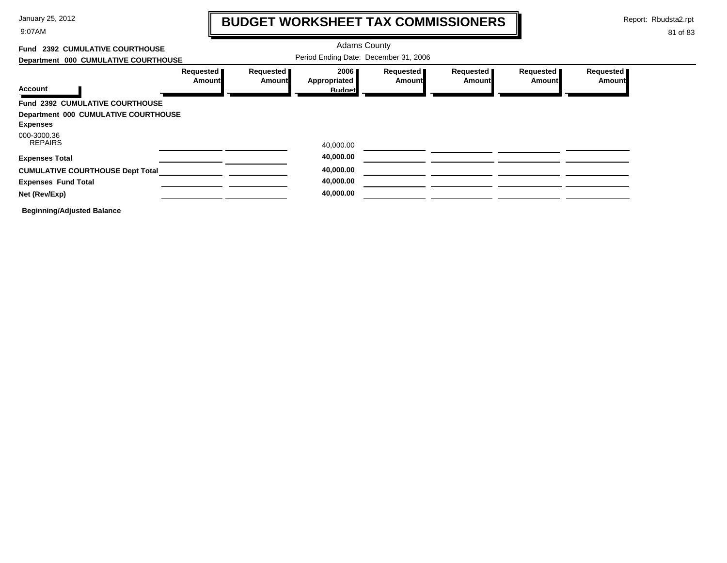9:07AM

# **BUDGET WORKSHEET TAX COMMISSIONERS**

Report: Rbudsta2.rpt

 $\mathbf l$ 

| Fund 2392 CUMULATIVE COURTHOUSE                         |                            |                     | <b>Adams County</b>                   |                              |                       |                            |                            |
|---------------------------------------------------------|----------------------------|---------------------|---------------------------------------|------------------------------|-----------------------|----------------------------|----------------------------|
| Department 000 CUMULATIVE COURTHOUSE                    |                            |                     | Period Ending Date: December 31, 2006 |                              |                       |                            |                            |
|                                                         | Requested<br><b>Amount</b> | Requested<br>Amount | 2006<br>Appropriated                  | Requested <b>I</b><br>Amount | Requested  <br>Amount | Requested<br><b>Amount</b> | Requested<br><b>Amount</b> |
| Account                                                 |                            |                     | <b>Budget</b>                         |                              |                       |                            |                            |
| Fund 2392 CUMULATIVE COURTHOUSE                         |                            |                     |                                       |                              |                       |                            |                            |
| Department 000 CUMULATIVE COURTHOUSE<br><b>Expenses</b> |                            |                     |                                       |                              |                       |                            |                            |
| 000-3000.36<br><b>REPAIRS</b>                           |                            |                     | 40,000.00                             |                              |                       |                            |                            |
| <b>Expenses Total</b>                                   |                            |                     | 40,000.00                             |                              |                       |                            |                            |
| <b>CUMULATIVE COURTHOUSE Dept Total</b>                 |                            |                     | 40,000.00                             |                              |                       |                            |                            |
| <b>Expenses Fund Total</b>                              |                            |                     | 40,000.00                             |                              |                       |                            |                            |
| Net (Rev/Exp)                                           |                            |                     | 40,000.00                             |                              |                       |                            |                            |
| <b>Beginning/Adjusted Balance</b>                       |                            |                     |                                       |                              |                       |                            |                            |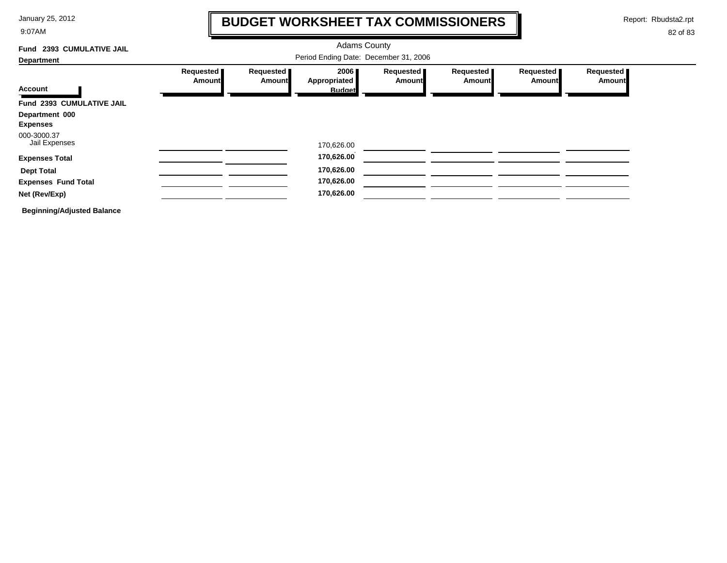9:07AM

### **BUDGET WORKSHEET TAX COMMISSIONERS**

Report: Rbudsta2.rpt

 $\mathbf l$ 

| <b>2393 CUMULATIVE JAIL</b><br>Fund |                            |                            | <b>Adams County</b>                   |                       |                              |                            |                            |
|-------------------------------------|----------------------------|----------------------------|---------------------------------------|-----------------------|------------------------------|----------------------------|----------------------------|
| <b>Department</b>                   |                            |                            |                                       |                       |                              |                            |                            |
| <b>Account</b>                      | Requested<br><b>Amount</b> | Requested<br><b>Amount</b> | 2006<br>Appropriated<br><b>Budget</b> | Requested  <br>Amount | Requested  <br><b>Amount</b> | Requested<br><b>Amount</b> | Requested<br><b>Amount</b> |
| Fund 2393 CUMULATIVE JAIL           |                            |                            |                                       |                       |                              |                            |                            |
| Department 000<br><b>Expenses</b>   |                            |                            |                                       |                       |                              |                            |                            |
| 000-3000.37<br>Jail Expenses        |                            |                            | 170,626.00                            |                       |                              |                            |                            |
| <b>Expenses Total</b>               |                            |                            | 170,626.00                            |                       |                              |                            |                            |
| <b>Dept Total</b>                   |                            |                            | 170,626.00                            |                       |                              |                            |                            |
| <b>Expenses Fund Total</b>          |                            |                            | 170,626.00                            |                       |                              |                            |                            |
| Net (Rev/Exp)                       |                            |                            | 170,626.00                            |                       |                              |                            |                            |
| <b>Beginning/Adjusted Balance</b>   |                            |                            |                                       |                       |                              |                            |                            |